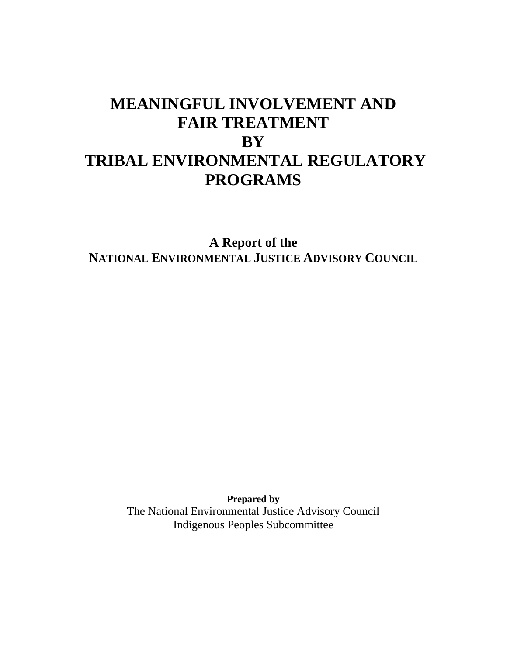# **MEANINGFUL INVOLVEMENT AND FAIR TREATMENT BY TRIBAL ENVIRONMENTAL REGULATORY PROGRAMS**

**A Report of the NATIONAL ENVIRONMENTAL JUSTICE ADVISORY COUNCIL** 

> **Prepared by**  The National Environmental Justice Advisory Council Indigenous Peoples Subcommittee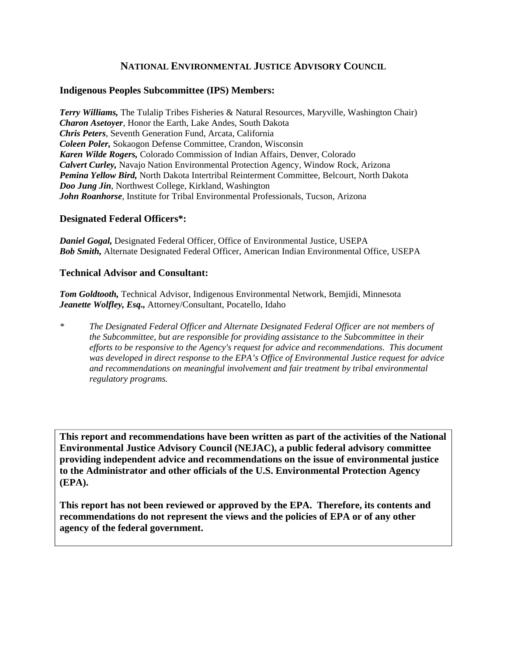# **NATIONAL ENVIRONMENTAL JUSTICE ADVISORY COUNCIL**

#### **Indigenous Peoples Subcommittee (IPS) Members:**

*Terry Williams,* The Tulalip Tribes Fisheries & Natural Resources, Maryville, Washington Chair) *Charon Asetoyer*, Honor the Earth, Lake Andes, South Dakota *Chris Peters*, Seventh Generation Fund, Arcata, California *Coleen Poler,* Sokaogon Defense Committee, Crandon, Wisconsin *Karen Wilde Rogers,* Colorado Commission of Indian Affairs, Denver, Colorado *Calvert Curley,* Navajo Nation Environmental Protection Agency, Window Rock, Arizona *Pemina Yellow Bird,* North Dakota Intertribal Reinterment Committee, Belcourt, North Dakota *Doo Jung Jin*, Northwest College, Kirkland, Washington *John Roanhorse*, Institute for Tribal Environmental Professionals, Tucson, Arizona

#### **Designated Federal Officers\*:**

*Daniel Gogal,* Designated Federal Officer, Office of Environmental Justice, USEPA *Bob Smith,* Alternate Designated Federal Officer, American Indian Environmental Office, USEPA

#### **Technical Advisor and Consultant:**

*Tom Goldtooth,* Technical Advisor, Indigenous Environmental Network, Bemjidi, Minnesota *Jeanette Wolfley, Esq.,* Attorney/Consultant, Pocatello, Idaho

*\* The Designated Federal Officer and Alternate Designated Federal Officer are not members of the Subcommittee, but are responsible for providing assistance to the Subcommittee in their efforts to be responsive to the Agency's request for advice and recommendations. This document was developed in direct response to the EPA's Office of Environmental Justice request for advice and recommendations on meaningful involvement and fair treatment by tribal environmental regulatory programs.* 

**This report and recommendations have been written as part of the activities of the National Environmental Justice Advisory Council (NEJAC), a public federal advisory committee providing independent advice and recommendations on the issue of environmental justice to the Administrator and other officials of the U.S. Environmental Protection Agency (EPA).** 

**This report has not been reviewed or approved by the EPA. Therefore, its contents and recommendations do not represent the views and the policies of EPA or of any other agency of the federal government.**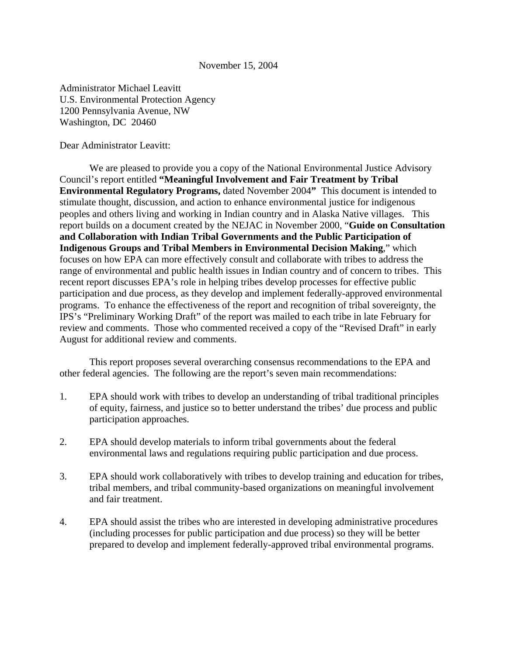#### November 15, 2004

Administrator Michael Leavitt U.S. Environmental Protection Agency 1200 Pennsylvania Avenue, NW Washington, DC 20460

Dear Administrator Leavitt:

We are pleased to provide you a copy of the National Environmental Justice Advisory Council's report entitled **"Meaningful Involvement and Fair Treatment by Tribal Environmental Regulatory Programs,** dated November 2004**"** This document is intended to stimulate thought, discussion, and action to enhance environmental justice for indigenous peoples and others living and working in Indian country and in Alaska Native villages. This report builds on a document created by the NEJAC in November 2000, "**Guide on Consultation and Collaboration with Indian Tribal Governments and the Public Participation of Indigenous Groups and Tribal Members in Environmental Decision Making**," which focuses on how EPA can more effectively consult and collaborate with tribes to address the range of environmental and public health issues in Indian country and of concern to tribes. This recent report discusses EPA's role in helping tribes develop processes for effective public participation and due process, as they develop and implement federally-approved environmental programs. To enhance the effectiveness of the report and recognition of tribal sovereignty, the IPS's "Preliminary Working Draft" of the report was mailed to each tribe in late February for review and comments. Those who commented received a copy of the "Revised Draft" in early August for additional review and comments.

This report proposes several overarching consensus recommendations to the EPA and other federal agencies. The following are the report's seven main recommendations:

- 1. EPA should work with tribes to develop an understanding of tribal traditional principles of equity, fairness, and justice so to better understand the tribes' due process and public participation approaches.
- 2. EPA should develop materials to inform tribal governments about the federal environmental laws and regulations requiring public participation and due process.
- 3. EPA should work collaboratively with tribes to develop training and education for tribes, tribal members, and tribal community-based organizations on meaningful involvement and fair treatment.
- 4. EPA should assist the tribes who are interested in developing administrative procedures (including processes for public participation and due process) so they will be better prepared to develop and implement federally-approved tribal environmental programs.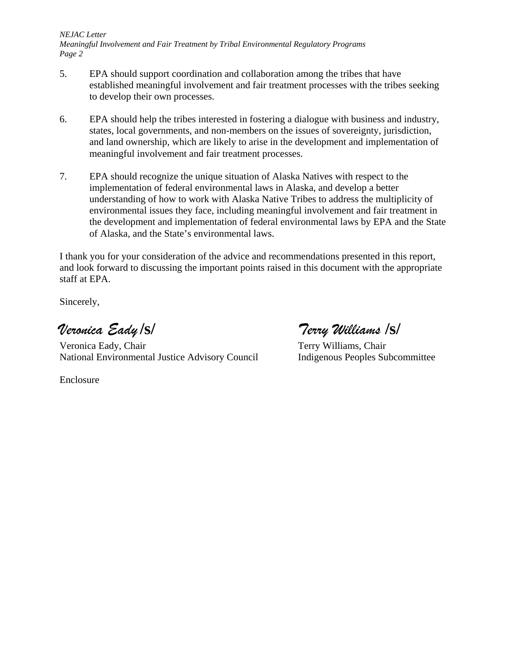*NEJAC Letter Meaningful Involvement and Fair Treatment by Tribal Environmental Regulatory Programs Page 2* 

- 5. EPA should support coordination and collaboration among the tribes that have established meaningful involvement and fair treatment processes with the tribes seeking to develop their own processes.
- 6. EPA should help the tribes interested in fostering a dialogue with business and industry, states, local governments, and non-members on the issues of sovereignty, jurisdiction, and land ownership, which are likely to arise in the development and implementation of meaningful involvement and fair treatment processes.
- 7. EPA should recognize the unique situation of Alaska Natives with respect to the implementation of federal environmental laws in Alaska, and develop a better understanding of how to work with Alaska Native Tribes to address the multiplicity of environmental issues they face, including meaningful involvement and fair treatment in the development and implementation of federal environmental laws by EPA and the State of Alaska, and the State's environmental laws.

I thank you for your consideration of the advice and recommendations presented in this report, and look forward to discussing the important points raised in this document with the appropriate staff at EPA.

Sincerely,

Veronica Eady, Chair Terry Williams, Chair National Environmental Justice Advisory Council Indigenous Peoples Subcommittee

Enclosure

*Veronica Eady* **/s/** *Terry Williams* **/s/**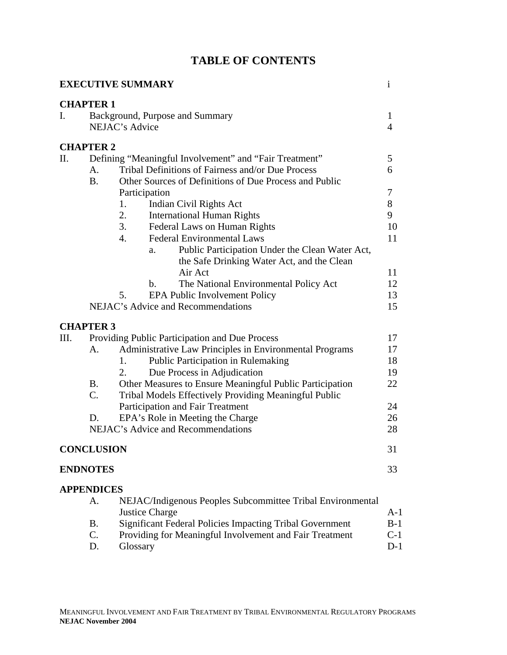| <b>EXECUTIVE SUMMARY</b> |                                                |                                                                                                     | $\mathbf{i}$   |
|--------------------------|------------------------------------------------|-----------------------------------------------------------------------------------------------------|----------------|
|                          | <b>CHAPTER 1</b>                               |                                                                                                     |                |
| I.                       |                                                | Background, Purpose and Summary                                                                     | $\mathbf{1}$   |
|                          |                                                | NEJAC's Advice                                                                                      | $\overline{4}$ |
|                          | <b>CHAPTER 2</b>                               |                                                                                                     |                |
| Π.                       |                                                | Defining "Meaningful Involvement" and "Fair Treatment"                                              | 5              |
|                          | A.                                             | Tribal Definitions of Fairness and/or Due Process                                                   | 6              |
|                          | <b>B.</b>                                      | Other Sources of Definitions of Due Process and Public                                              |                |
|                          |                                                | Participation                                                                                       | 7              |
|                          |                                                | Indian Civil Rights Act<br>1.                                                                       | 8              |
|                          |                                                | 2.<br><b>International Human Rights</b>                                                             | 9              |
|                          |                                                | 3.<br>Federal Laws on Human Rights                                                                  | 10             |
|                          |                                                | $\overline{4}$ .<br><b>Federal Environmental Laws</b>                                               | 11             |
|                          |                                                | Public Participation Under the Clean Water Act,<br>a.<br>the Safe Drinking Water Act, and the Clean |                |
|                          |                                                | Air Act                                                                                             | 11             |
|                          |                                                | The National Environmental Policy Act<br>$\mathbf{b}$ .                                             | 12             |
|                          |                                                | <b>EPA Public Involvement Policy</b><br>5.                                                          | 13             |
|                          |                                                | NEJAC's Advice and Recommendations                                                                  | 15             |
|                          | <b>CHAPTER 3</b>                               |                                                                                                     |                |
| III.                     | Providing Public Participation and Due Process |                                                                                                     | 17             |
|                          | A.                                             | Administrative Law Principles in Environmental Programs                                             | 17             |
|                          |                                                | Public Participation in Rulemaking<br>1.                                                            | 18             |
|                          |                                                | Due Process in Adjudication<br>2.                                                                   | 19             |
|                          | <b>B.</b>                                      | Other Measures to Ensure Meaningful Public Participation                                            | 22             |
|                          | $C_{\cdot}$                                    | Tribal Models Effectively Providing Meaningful Public                                               |                |
|                          |                                                | Participation and Fair Treatment                                                                    | 24             |
|                          | D.                                             | EPA's Role in Meeting the Charge                                                                    | 26             |
|                          |                                                | NEJAC's Advice and Recommendations                                                                  | 28             |
| <b>CONCLUSION</b>        |                                                |                                                                                                     | 31             |
| <b>ENDNOTES</b>          |                                                |                                                                                                     | 33             |
|                          | <b>APPENDICES</b>                              |                                                                                                     |                |
|                          | A.                                             | NEJAC/Indigenous Peoples Subcommittee Tribal Environmental                                          |                |
|                          |                                                | <b>Justice Charge</b>                                                                               | $A-1$          |
|                          | <b>B.</b>                                      | <b>Significant Federal Policies Impacting Tribal Government</b>                                     | $B-1$          |
|                          | C.                                             | Providing for Meaningful Involvement and Fair Treatment                                             | $C-1$          |

# **TABLE OF CONTENTS**

D. Glossary D-1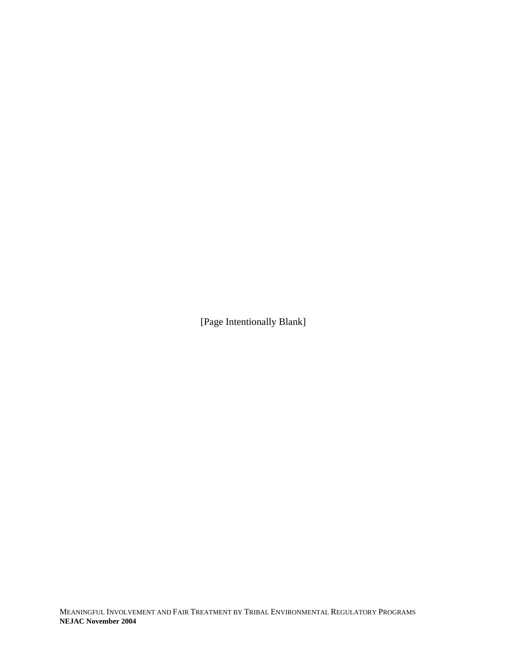[Page Intentionally Blank]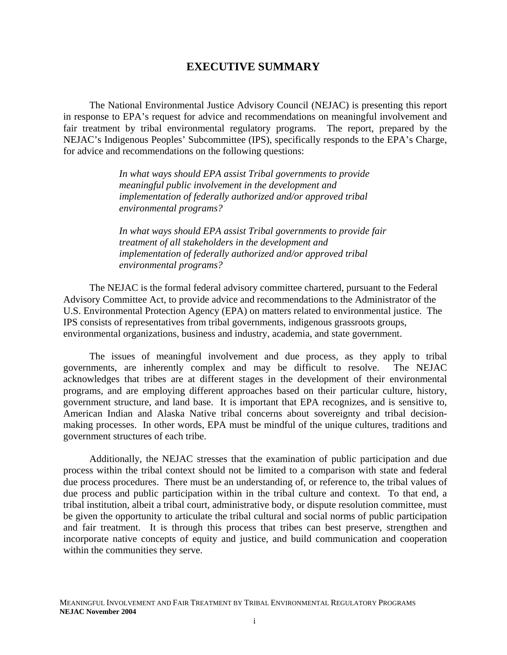# **EXECUTIVE SUMMARY**

The National Environmental Justice Advisory Council (NEJAC) is presenting this report in response to EPA's request for advice and recommendations on meaningful involvement and fair treatment by tribal environmental regulatory programs. The report, prepared by the NEJAC's Indigenous Peoples' Subcommittee (IPS), specifically responds to the EPA's Charge, for advice and recommendations on the following questions:

> *In what ways should EPA assist Tribal governments to provide meaningful public involvement in the development and implementation of federally authorized and/or approved tribal environmental programs?*

*In what ways should EPA assist Tribal governments to provide fair treatment of all stakeholders in the development and implementation of federally authorized and/or approved tribal environmental programs?* 

The NEJAC is the formal federal advisory committee chartered, pursuant to the Federal Advisory Committee Act, to provide advice and recommendations to the Administrator of the U.S. Environmental Protection Agency (EPA) on matters related to environmental justice. The IPS consists of representatives from tribal governments, indigenous grassroots groups, environmental organizations, business and industry, academia, and state government.

The issues of meaningful involvement and due process, as they apply to tribal governments, are inherently complex and may be difficult to resolve. The NEJAC acknowledges that tribes are at different stages in the development of their environmental programs, and are employing different approaches based on their particular culture, history, government structure, and land base. It is important that EPA recognizes, and is sensitive to, American Indian and Alaska Native tribal concerns about sovereignty and tribal decisionmaking processes. In other words, EPA must be mindful of the unique cultures, traditions and government structures of each tribe.

Additionally, the NEJAC stresses that the examination of public participation and due process within the tribal context should not be limited to a comparison with state and federal due process procedures. There must be an understanding of, or reference to, the tribal values of due process and public participation within in the tribal culture and context. To that end, a tribal institution, albeit a tribal court, administrative body, or dispute resolution committee, must be given the opportunity to articulate the tribal cultural and social norms of public participation and fair treatment. It is through this process that tribes can best preserve, strengthen and incorporate native concepts of equity and justice, and build communication and cooperation within the communities they serve.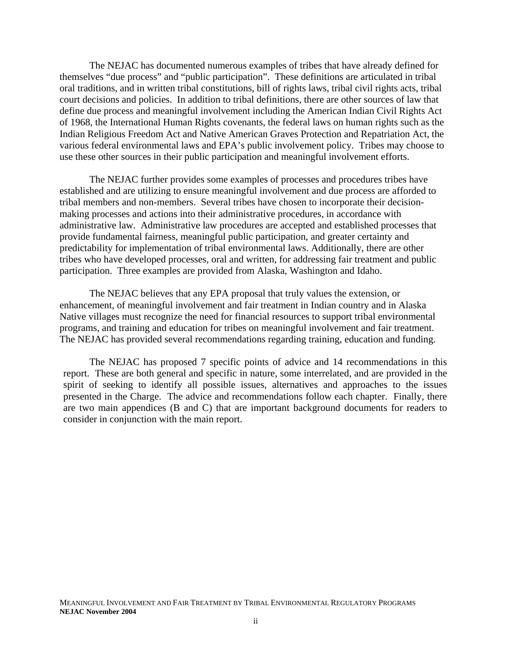The NEJAC has documented numerous examples of tribes that have already defined for themselves "due process" and "public participation". These definitions are articulated in tribal oral traditions, and in written tribal constitutions, bill of rights laws, tribal civil rights acts, tribal court decisions and policies. In addition to tribal definitions, there are other sources of law that define due process and meaningful involvement including the American Indian Civil Rights Act of 1968, the International Human Rights covenants, the federal laws on human rights such as the Indian Religious Freedom Act and Native American Graves Protection and Repatriation Act, the various federal environmental laws and EPA's public involvement policy. Tribes may choose to use these other sources in their public participation and meaningful involvement efforts.

The NEJAC further provides some examples of processes and procedures tribes have established and are utilizing to ensure meaningful involvement and due process are afforded to tribal members and non-members. Several tribes have chosen to incorporate their decisionmaking processes and actions into their administrative procedures, in accordance with administrative law. Administrative law procedures are accepted and established processes that provide fundamental fairness, meaningful public participation, and greater certainty and predictability for implementation of tribal environmental laws. Additionally, there are other tribes who have developed processes, oral and written, for addressing fair treatment and public participation. Three examples are provided from Alaska, Washington and Idaho.

The NEJAC believes that any EPA proposal that truly values the extension, or enhancement, of meaningful involvement and fair treatment in Indian country and in Alaska Native villages must recognize the need for financial resources to support tribal environmental programs, and training and education for tribes on meaningful involvement and fair treatment. The NEJAC has provided several recommendations regarding training, education and funding.

The NEJAC has proposed 7 specific points of advice and 14 recommendations in this report. These are both general and specific in nature, some interrelated, and are provided in the spirit of seeking to identify all possible issues, alternatives and approaches to the issues presented in the Charge. The advice and recommendations follow each chapter. Finally, there are two main appendices (B and C) that are important background documents for readers to consider in conjunction with the main report.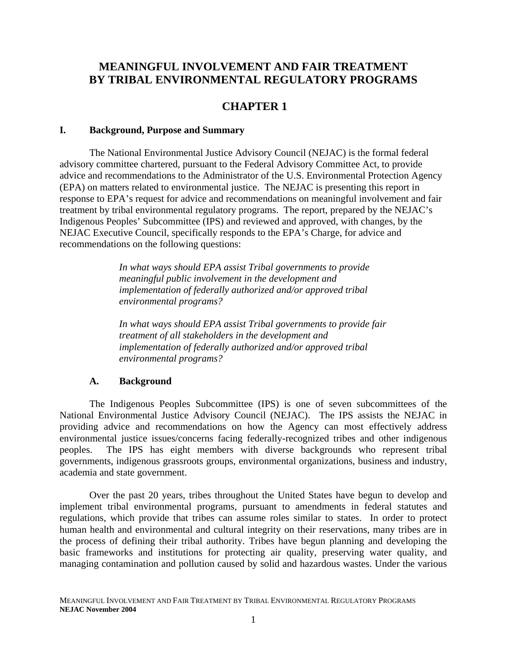# **MEANINGFUL INVOLVEMENT AND FAIR TREATMENT BY TRIBAL ENVIRONMENTAL REGULATORY PROGRAMS**

# **CHAPTER 1**

#### **I. Background, Purpose and Summary**

The National Environmental Justice Advisory Council (NEJAC) is the formal federal advisory committee chartered, pursuant to the Federal Advisory Committee Act, to provide advice and recommendations to the Administrator of the U.S. Environmental Protection Agency (EPA) on matters related to environmental justice. The NEJAC is presenting this report in response to EPA's request for advice and recommendations on meaningful involvement and fair treatment by tribal environmental regulatory programs. The report, prepared by the NEJAC's Indigenous Peoples' Subcommittee (IPS) and reviewed and approved, with changes, by the NEJAC Executive Council, specifically responds to the EPA's Charge, for advice and recommendations on the following questions:

> *In what ways should EPA assist Tribal governments to provide meaningful public involvement in the development and implementation of federally authorized and/or approved tribal environmental programs?*

*In what ways should EPA assist Tribal governments to provide fair treatment of all stakeholders in the development and implementation of federally authorized and/or approved tribal environmental programs?* 

# **A. Background**

The Indigenous Peoples Subcommittee (IPS) is one of seven subcommittees of the National Environmental Justice Advisory Council (NEJAC). The IPS assists the NEJAC in providing advice and recommendations on how the Agency can most effectively address environmental justice issues/concerns facing federally-recognized tribes and other indigenous peoples. The IPS has eight members with diverse backgrounds who represent tribal governments, indigenous grassroots groups, environmental organizations, business and industry, academia and state government.

Over the past 20 years, tribes throughout the United States have begun to develop and implement tribal environmental programs, pursuant to amendments in federal statutes and regulations, which provide that tribes can assume roles similar to states. In order to protect human health and environmental and cultural integrity on their reservations, many tribes are in the process of defining their tribal authority. Tribes have begun planning and developing the basic frameworks and institutions for protecting air quality, preserving water quality, and managing contamination and pollution caused by solid and hazardous wastes. Under the various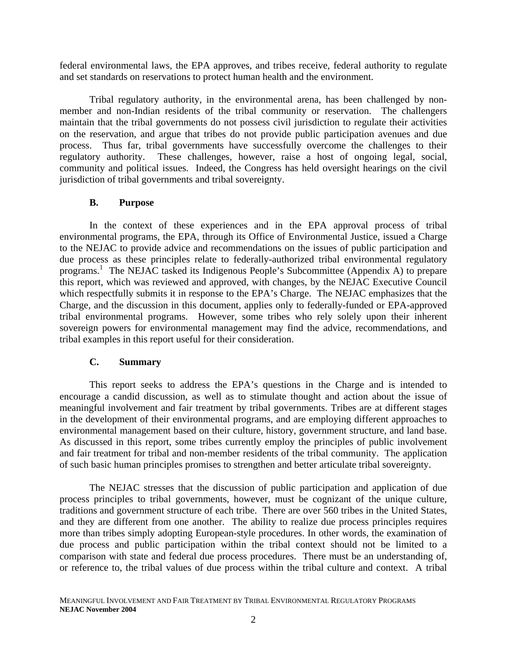federal environmental laws, the EPA approves, and tribes receive, federal authority to regulate and set standards on reservations to protect human health and the environment.

 Tribal regulatory authority, in the environmental arena, has been challenged by nonmember and non-Indian residents of the tribal community or reservation. The challengers maintain that the tribal governments do not possess civil jurisdiction to regulate their activities on the reservation, and argue that tribes do not provide public participation avenues and due process. Thus far, tribal governments have successfully overcome the challenges to their regulatory authority. These challenges, however, raise a host of ongoing legal, social, community and political issues. Indeed, the Congress has held oversight hearings on the civil jurisdiction of tribal governments and tribal sovereignty.

# **B. Purpose**

In the context of these experiences and in the EPA approval process of tribal environmental programs, the EPA, through its Office of Environmental Justice, issued a Charge to the NEJAC to provide advice and recommendations on the issues of public participation and due process as these principles relate to federally-authorized tribal environmental regulatory programs.<sup>1</sup> The NEJAC tasked its Indigenous People's Subcommittee (Appendix A) to prepare this report, which was reviewed and approved, with changes, by the NEJAC Executive Council which respectfully submits it in response to the EPA's Charge. The NEJAC emphasizes that the Charge, and the discussion in this document, applies only to federally-funded or EPA-approved tribal environmental programs. However, some tribes who rely solely upon their inherent sovereign powers for environmental management may find the advice, recommendations, and tribal examples in this report useful for their consideration.

# **C. Summary**

This report seeks to address the EPA's questions in the Charge and is intended to encourage a candid discussion, as well as to stimulate thought and action about the issue of meaningful involvement and fair treatment by tribal governments. Tribes are at different stages in the development of their environmental programs, and are employing different approaches to environmental management based on their culture, history, government structure, and land base. As discussed in this report, some tribes currently employ the principles of public involvement and fair treatment for tribal and non-member residents of the tribal community. The application of such basic human principles promises to strengthen and better articulate tribal sovereignty.

The NEJAC stresses that the discussion of public participation and application of due process principles to tribal governments, however, must be cognizant of the unique culture, traditions and government structure of each tribe. There are over 560 tribes in the United States, and they are different from one another. The ability to realize due process principles requires more than tribes simply adopting European-style procedures. In other words, the examination of due process and public participation within the tribal context should not be limited to a comparison with state and federal due process procedures. There must be an understanding of, or reference to, the tribal values of due process within the tribal culture and context. A tribal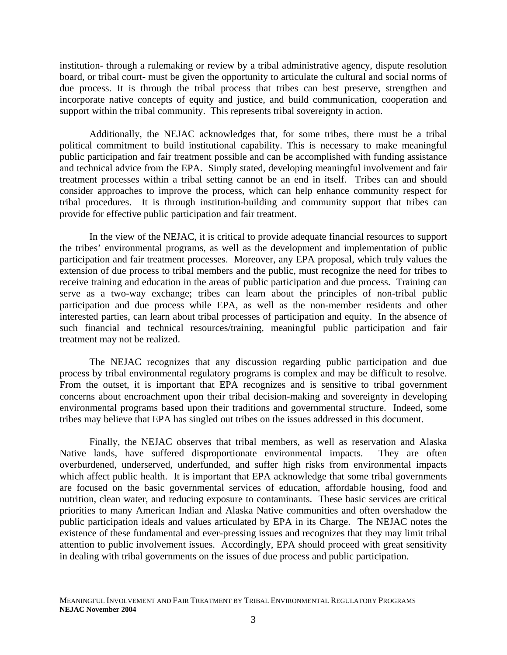institution- through a rulemaking or review by a tribal administrative agency, dispute resolution board, or tribal court- must be given the opportunity to articulate the cultural and social norms of due process. It is through the tribal process that tribes can best preserve, strengthen and incorporate native concepts of equity and justice, and build communication, cooperation and support within the tribal community. This represents tribal sovereignty in action.

Additionally, the NEJAC acknowledges that, for some tribes, there must be a tribal political commitment to build institutional capability. This is necessary to make meaningful public participation and fair treatment possible and can be accomplished with funding assistance and technical advice from the EPA. Simply stated, developing meaningful involvement and fair treatment processes within a tribal setting cannot be an end in itself. Tribes can and should consider approaches to improve the process, which can help enhance community respect for tribal procedures. It is through institution-building and community support that tribes can provide for effective public participation and fair treatment.

In the view of the NEJAC, it is critical to provide adequate financial resources to support the tribes' environmental programs, as well as the development and implementation of public participation and fair treatment processes. Moreover, any EPA proposal, which truly values the extension of due process to tribal members and the public, must recognize the need for tribes to receive training and education in the areas of public participation and due process. Training can serve as a two-way exchange; tribes can learn about the principles of non-tribal public participation and due process while EPA, as well as the non-member residents and other interested parties, can learn about tribal processes of participation and equity. In the absence of such financial and technical resources/training, meaningful public participation and fair treatment may not be realized.

The NEJAC recognizes that any discussion regarding public participation and due process by tribal environmental regulatory programs is complex and may be difficult to resolve. From the outset, it is important that EPA recognizes and is sensitive to tribal government concerns about encroachment upon their tribal decision-making and sovereignty in developing environmental programs based upon their traditions and governmental structure. Indeed, some tribes may believe that EPA has singled out tribes on the issues addressed in this document.

Finally, the NEJAC observes that tribal members, as well as reservation and Alaska Native lands, have suffered disproportionate environmental impacts. They are often overburdened, underserved, underfunded, and suffer high risks from environmental impacts which affect public health. It is important that EPA acknowledge that some tribal governments are focused on the basic governmental services of education, affordable housing, food and nutrition, clean water, and reducing exposure to contaminants. These basic services are critical priorities to many American Indian and Alaska Native communities and often overshadow the public participation ideals and values articulated by EPA in its Charge. The NEJAC notes the existence of these fundamental and ever-pressing issues and recognizes that they may limit tribal attention to public involvement issues. Accordingly, EPA should proceed with great sensitivity in dealing with tribal governments on the issues of due process and public participation.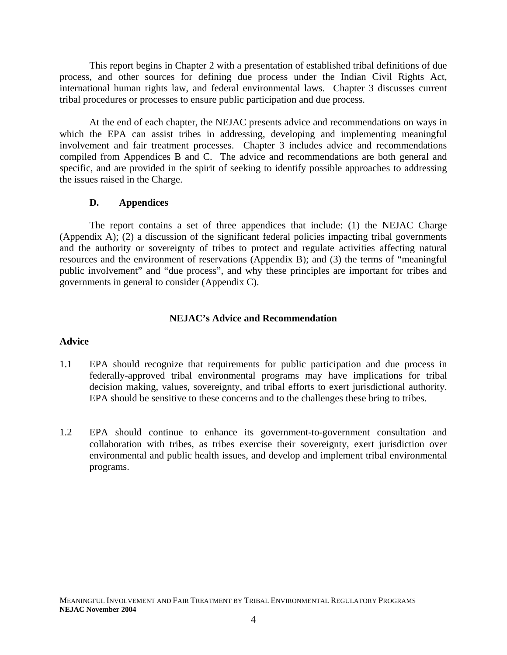This report begins in Chapter 2 with a presentation of established tribal definitions of due process, and other sources for defining due process under the Indian Civil Rights Act, international human rights law, and federal environmental laws. Chapter 3 discusses current tribal procedures or processes to ensure public participation and due process.

At the end of each chapter, the NEJAC presents advice and recommendations on ways in which the EPA can assist tribes in addressing, developing and implementing meaningful involvement and fair treatment processes. Chapter 3 includes advice and recommendations compiled from Appendices B and C. The advice and recommendations are both general and specific, and are provided in the spirit of seeking to identify possible approaches to addressing the issues raised in the Charge.

#### **D. Appendices**

The report contains a set of three appendices that include: (1) the NEJAC Charge (Appendix A); (2) a discussion of the significant federal policies impacting tribal governments and the authority or sovereignty of tribes to protect and regulate activities affecting natural resources and the environment of reservations (Appendix B); and (3) the terms of "meaningful public involvement" and "due process", and why these principles are important for tribes and governments in general to consider (Appendix C).

#### **NEJAC's Advice and Recommendation**

#### **Advice**

- 1.1 EPA should recognize that requirements for public participation and due process in federally-approved tribal environmental programs may have implications for tribal decision making, values, sovereignty, and tribal efforts to exert jurisdictional authority. EPA should be sensitive to these concerns and to the challenges these bring to tribes.
- 1.2 EPA should continue to enhance its government-to-government consultation and collaboration with tribes, as tribes exercise their sovereignty, exert jurisdiction over environmental and public health issues, and develop and implement tribal environmental programs.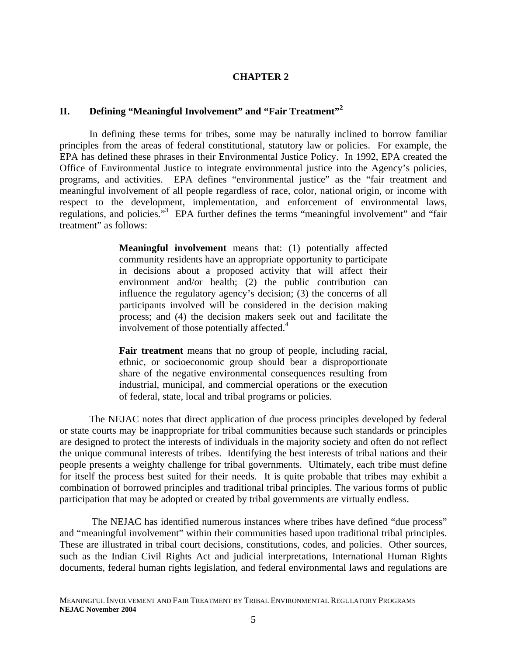# **CHAPTER 2**

#### **II. Defining "Meaningful Involvement" and "Fair Treatment"2**

In defining these terms for tribes, some may be naturally inclined to borrow familiar principles from the areas of federal constitutional, statutory law or policies. For example, the EPA has defined these phrases in their Environmental Justice Policy. In 1992, EPA created the Office of Environmental Justice to integrate environmental justice into the Agency's policies, programs, and activities. EPA defines "environmental justice" as the "fair treatment and meaningful involvement of all people regardless of race, color, national origin, or income with respect to the development, implementation, and enforcement of environmental laws, regulations, and policies."<sup>3</sup> EPA further defines the terms "meaningful involvement" and "fair treatment" as follows:

> **Meaningful involvement** means that: (1) potentially affected community residents have an appropriate opportunity to participate in decisions about a proposed activity that will affect their environment and/or health; (2) the public contribution can influence the regulatory agency's decision; (3) the concerns of all participants involved will be considered in the decision making process; and (4) the decision makers seek out and facilitate the involvement of those potentially affected.<sup>4</sup>

> **Fair treatment** means that no group of people, including racial, ethnic, or socioeconomic group should bear a disproportionate share of the negative environmental consequences resulting from industrial, municipal, and commercial operations or the execution of federal, state, local and tribal programs or policies.

The NEJAC notes that direct application of due process principles developed by federal or state courts may be inappropriate for tribal communities because such standards or principles are designed to protect the interests of individuals in the majority society and often do not reflect the unique communal interests of tribes. Identifying the best interests of tribal nations and their people presents a weighty challenge for tribal governments. Ultimately, each tribe must define for itself the process best suited for their needs. It is quite probable that tribes may exhibit a combination of borrowed principles and traditional tribal principles. The various forms of public participation that may be adopted or created by tribal governments are virtually endless.

The NEJAC has identified numerous instances where tribes have defined "due process" and "meaningful involvement" within their communities based upon traditional tribal principles. These are illustrated in tribal court decisions, constitutions, codes, and policies. Other sources, such as the Indian Civil Rights Act and judicial interpretations, International Human Rights documents, federal human rights legislation, and federal environmental laws and regulations are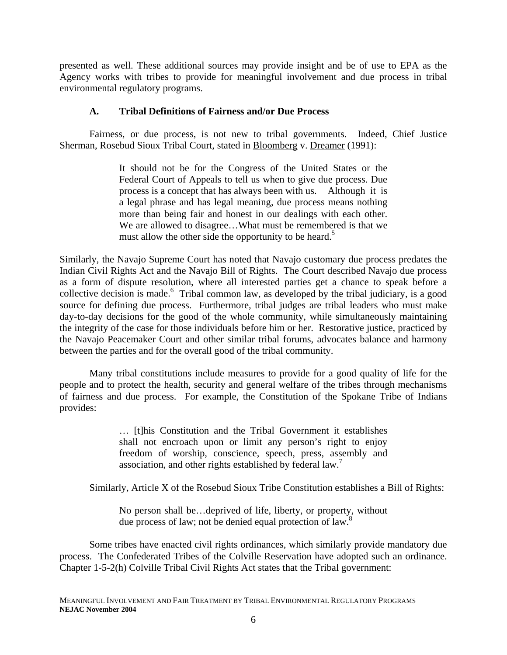presented as well. These additional sources may provide insight and be of use to EPA as the Agency works with tribes to provide for meaningful involvement and due process in tribal environmental regulatory programs.

### **A. Tribal Definitions of Fairness and/or Due Process**

Fairness, or due process, is not new to tribal governments. Indeed, Chief Justice Sherman, Rosebud Sioux Tribal Court, stated in Bloomberg v. Dreamer (1991):

> It should not be for the Congress of the United States or the Federal Court of Appeals to tell us when to give due process. Due process is a concept that has always been with us. Although it is a legal phrase and has legal meaning, due process means nothing more than being fair and honest in our dealings with each other. We are allowed to disagree…What must be remembered is that we must allow the other side the opportunity to be heard.<sup>5</sup>

Similarly, the Navajo Supreme Court has noted that Navajo customary due process predates the Indian Civil Rights Act and the Navajo Bill of Rights. The Court described Navajo due process as a form of dispute resolution, where all interested parties get a chance to speak before a collective decision is made.<sup>6</sup> Tribal common law, as developed by the tribal judiciary, is a good source for defining due process. Furthermore, tribal judges are tribal leaders who must make day-to-day decisions for the good of the whole community, while simultaneously maintaining the integrity of the case for those individuals before him or her. Restorative justice, practiced by the Navajo Peacemaker Court and other similar tribal forums, advocates balance and harmony between the parties and for the overall good of the tribal community.

Many tribal constitutions include measures to provide for a good quality of life for the people and to protect the health, security and general welfare of the tribes through mechanisms of fairness and due process. For example, the Constitution of the Spokane Tribe of Indians provides:

> … [t]his Constitution and the Tribal Government it establishes shall not encroach upon or limit any person's right to enjoy freedom of worship, conscience, speech, press, assembly and association, and other rights established by federal law.<sup>7</sup>

Similarly, Article X of the Rosebud Sioux Tribe Constitution establishes a Bill of Rights:

No person shall be…deprived of life, liberty, or property, without due process of law; not be denied equal protection of law.<sup>8</sup>

Some tribes have enacted civil rights ordinances, which similarly provide mandatory due process. The Confederated Tribes of the Colville Reservation have adopted such an ordinance. Chapter 1-5-2(h) Colville Tribal Civil Rights Act states that the Tribal government: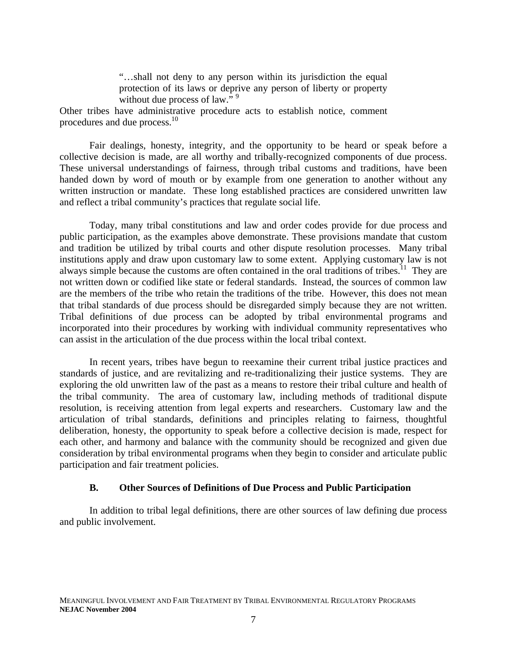"…shall not deny to any person within its jurisdiction the equal protection of its laws or deprive any person of liberty or property without due process of law."<sup>9</sup>

Other tribes have administrative procedure acts to establish notice, comment procedures and due process.<sup>10</sup>

Fair dealings, honesty, integrity, and the opportunity to be heard or speak before a collective decision is made, are all worthy and tribally-recognized components of due process. These universal understandings of fairness, through tribal customs and traditions, have been handed down by word of mouth or by example from one generation to another without any written instruction or mandate. These long established practices are considered unwritten law and reflect a tribal community's practices that regulate social life.

Today, many tribal constitutions and law and order codes provide for due process and public participation, as the examples above demonstrate. These provisions mandate that custom and tradition be utilized by tribal courts and other dispute resolution processes. Many tribal institutions apply and draw upon customary law to some extent. Applying customary law is not always simple because the customs are often contained in the oral traditions of tribes.<sup>11</sup> They are not written down or codified like state or federal standards. Instead, the sources of common law are the members of the tribe who retain the traditions of the tribe. However, this does not mean that tribal standards of due process should be disregarded simply because they are not written. Tribal definitions of due process can be adopted by tribal environmental programs and incorporated into their procedures by working with individual community representatives who can assist in the articulation of the due process within the local tribal context.

In recent years, tribes have begun to reexamine their current tribal justice practices and standards of justice, and are revitalizing and re-traditionalizing their justice systems. They are exploring the old unwritten law of the past as a means to restore their tribal culture and health of the tribal community. The area of customary law, including methods of traditional dispute resolution, is receiving attention from legal experts and researchers. Customary law and the articulation of tribal standards, definitions and principles relating to fairness, thoughtful deliberation, honesty, the opportunity to speak before a collective decision is made, respect for each other, and harmony and balance with the community should be recognized and given due consideration by tribal environmental programs when they begin to consider and articulate public participation and fair treatment policies.

#### **B. Other Sources of Definitions of Due Process and Public Participation**

In addition to tribal legal definitions, there are other sources of law defining due process and public involvement.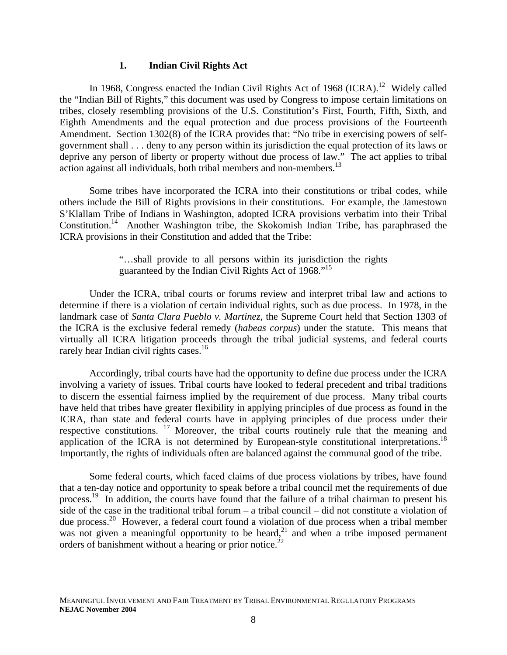#### **1. Indian Civil Rights Act**

In 1968, Congress enacted the Indian Civil Rights Act of 1968 (ICRA).<sup>12</sup> Widely called the "Indian Bill of Rights," this document was used by Congress to impose certain limitations on tribes, closely resembling provisions of the U.S. Constitution's First, Fourth, Fifth, Sixth, and Eighth Amendments and the equal protection and due process provisions of the Fourteenth Amendment. Section 1302(8) of the ICRA provides that: "No tribe in exercising powers of selfgovernment shall . . . deny to any person within its jurisdiction the equal protection of its laws or deprive any person of liberty or property without due process of law." The act applies to tribal action against all individuals, both tribal members and non-members.<sup>13</sup>

Some tribes have incorporated the ICRA into their constitutions or tribal codes, while others include the Bill of Rights provisions in their constitutions. For example, the Jamestown S'Klallam Tribe of Indians in Washington, adopted ICRA provisions verbatim into their Tribal Constitution.14 Another Washington tribe, the Skokomish Indian Tribe, has paraphrased the ICRA provisions in their Constitution and added that the Tribe:

> "…shall provide to all persons within its jurisdiction the rights guaranteed by the Indian Civil Rights Act of 1968."15

Under the ICRA, tribal courts or forums review and interpret tribal law and actions to determine if there is a violation of certain individual rights, such as due process. In 1978, in the landmark case of *Santa Clara Pueblo v. Martinez*, the Supreme Court held that Section 1303 of the ICRA is the exclusive federal remedy (*habeas corpus*) under the statute. This means that virtually all ICRA litigation proceeds through the tribal judicial systems, and federal courts rarely hear Indian civil rights cases.<sup>16</sup>

Accordingly, tribal courts have had the opportunity to define due process under the ICRA involving a variety of issues. Tribal courts have looked to federal precedent and tribal traditions to discern the essential fairness implied by the requirement of due process. Many tribal courts have held that tribes have greater flexibility in applying principles of due process as found in the ICRA, than state and federal courts have in applying principles of due process under their respective constitutions. 17 Moreover, the tribal courts routinely rule that the meaning and application of the ICRA is not determined by European-style constitutional interpretations.<sup>18</sup> Importantly, the rights of individuals often are balanced against the communal good of the tribe.

Some federal courts, which faced claims of due process violations by tribes, have found that a ten-day notice and opportunity to speak before a tribal council met the requirements of due process.<sup>19</sup> In addition, the courts have found that the failure of a tribal chairman to present his side of the case in the traditional tribal forum – a tribal council – did not constitute a violation of due process.<sup>20</sup> However, a federal court found a violation of due process when a tribal member was not given a meaningful opportunity to be heard,<sup>21</sup> and when a tribe imposed permanent orders of banishment without a hearing or prior notice.<sup>22</sup>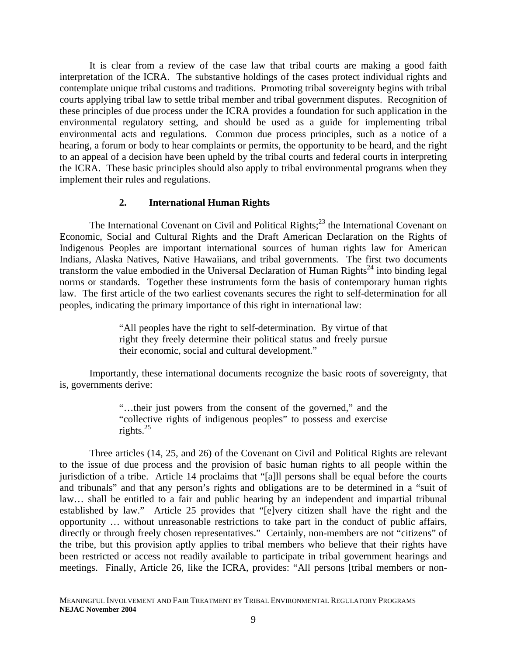It is clear from a review of the case law that tribal courts are making a good faith interpretation of the ICRA. The substantive holdings of the cases protect individual rights and contemplate unique tribal customs and traditions. Promoting tribal sovereignty begins with tribal courts applying tribal law to settle tribal member and tribal government disputes. Recognition of these principles of due process under the ICRA provides a foundation for such application in the environmental regulatory setting, and should be used as a guide for implementing tribal environmental acts and regulations. Common due process principles, such as a notice of a hearing, a forum or body to hear complaints or permits, the opportunity to be heard, and the right to an appeal of a decision have been upheld by the tribal courts and federal courts in interpreting the ICRA. These basic principles should also apply to tribal environmental programs when they implement their rules and regulations.

# **2. International Human Rights**

The International Covenant on Civil and Political Rights; $^{23}$  the International Covenant on Economic, Social and Cultural Rights and the Draft American Declaration on the Rights of Indigenous Peoples are important international sources of human rights law for American Indians, Alaska Natives, Native Hawaiians, and tribal governments. The first two documents transform the value embodied in the Universal Declaration of Human Rights<sup>24</sup> into binding legal norms or standards. Together these instruments form the basis of contemporary human rights law. The first article of the two earliest covenants secures the right to self-determination for all peoples, indicating the primary importance of this right in international law:

> "All peoples have the right to self-determination. By virtue of that right they freely determine their political status and freely pursue their economic, social and cultural development."

Importantly, these international documents recognize the basic roots of sovereignty, that is, governments derive:

> "…their just powers from the consent of the governed," and the "collective rights of indigenous peoples" to possess and exercise rights. $^{25}$

Three articles (14, 25, and 26) of the Covenant on Civil and Political Rights are relevant to the issue of due process and the provision of basic human rights to all people within the jurisdiction of a tribe. Article 14 proclaims that "[a]ll persons shall be equal before the courts and tribunals" and that any person's rights and obligations are to be determined in a "suit of law… shall be entitled to a fair and public hearing by an independent and impartial tribunal established by law." Article 25 provides that "[e]very citizen shall have the right and the opportunity … without unreasonable restrictions to take part in the conduct of public affairs, directly or through freely chosen representatives." Certainly, non-members are not "citizens" of the tribe, but this provision aptly applies to tribal members who believe that their rights have been restricted or access not readily available to participate in tribal government hearings and meetings. Finally, Article 26, like the ICRA, provides: "All persons [tribal members or non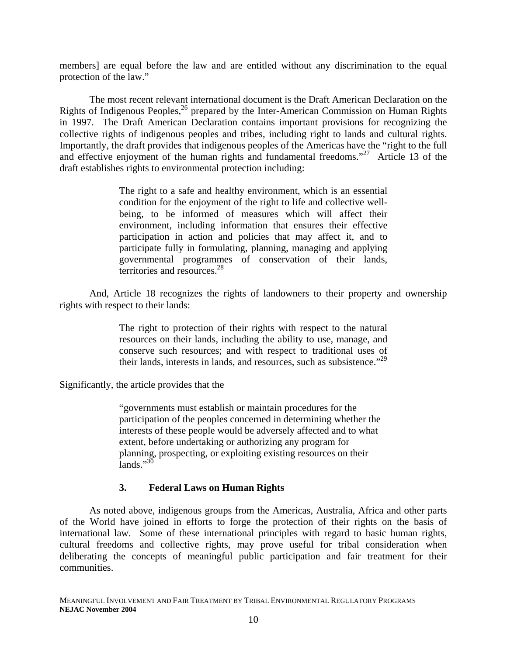members] are equal before the law and are entitled without any discrimination to the equal protection of the law."

The most recent relevant international document is the Draft American Declaration on the Rights of Indigenous Peoples,<sup>26</sup> prepared by the Inter-American Commission on Human Rights in 1997. The Draft American Declaration contains important provisions for recognizing the collective rights of indigenous peoples and tribes, including right to lands and cultural rights. Importantly, the draft provides that indigenous peoples of the Americas have the "right to the full and effective enjoyment of the human rights and fundamental freedoms."<sup>27</sup> Article 13 of the draft establishes rights to environmental protection including:

> The right to a safe and healthy environment, which is an essential condition for the enjoyment of the right to life and collective wellbeing, to be informed of measures which will affect their environment, including information that ensures their effective participation in action and policies that may affect it, and to participate fully in formulating, planning, managing and applying governmental programmes of conservation of their lands, territories and resources.28

And, Article 18 recognizes the rights of landowners to their property and ownership rights with respect to their lands:

> The right to protection of their rights with respect to the natural resources on their lands, including the ability to use, manage, and conserve such resources; and with respect to traditional uses of their lands, interests in lands, and resources, such as subsistence."29

Significantly, the article provides that the

"governments must establish or maintain procedures for the participation of the peoples concerned in determining whether the interests of these people would be adversely affected and to what extent, before undertaking or authorizing any program for planning, prospecting, or exploiting existing resources on their lands." $30$ 

# **3. Federal Laws on Human Rights**

As noted above, indigenous groups from the Americas, Australia, Africa and other parts of the World have joined in efforts to forge the protection of their rights on the basis of international law. Some of these international principles with regard to basic human rights, cultural freedoms and collective rights, may prove useful for tribal consideration when deliberating the concepts of meaningful public participation and fair treatment for their communities.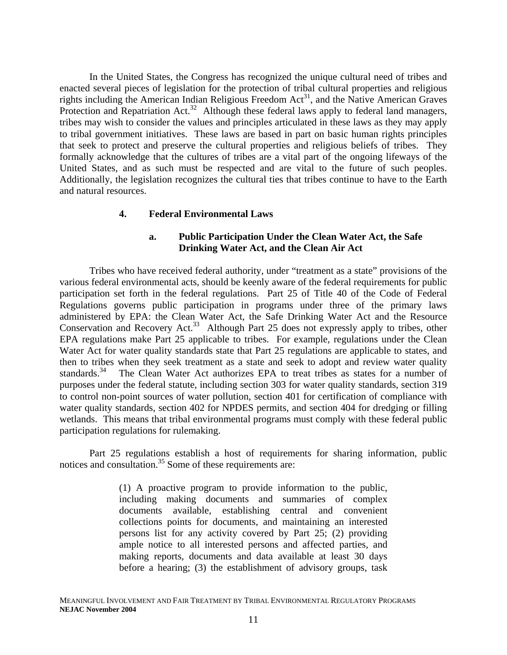In the United States, the Congress has recognized the unique cultural need of tribes and enacted several pieces of legislation for the protection of tribal cultural properties and religious rights including the American Indian Religious Freedom Act<sup>31</sup>, and the Native American Graves Protection and Repatriation Act.<sup>32</sup> Although these federal laws apply to federal land managers, tribes may wish to consider the values and principles articulated in these laws as they may apply to tribal government initiatives. These laws are based in part on basic human rights principles that seek to protect and preserve the cultural properties and religious beliefs of tribes. They formally acknowledge that the cultures of tribes are a vital part of the ongoing lifeways of the United States, and as such must be respected and are vital to the future of such peoples. Additionally, the legislation recognizes the cultural ties that tribes continue to have to the Earth and natural resources.

#### **4. Federal Environmental Laws**

#### **a. Public Participation Under the Clean Water Act, the Safe Drinking Water Act, and the Clean Air Act**

Tribes who have received federal authority, under "treatment as a state" provisions of the various federal environmental acts, should be keenly aware of the federal requirements for public participation set forth in the federal regulations. Part 25 of Title 40 of the Code of Federal Regulations governs public participation in programs under three of the primary laws administered by EPA: the Clean Water Act, the Safe Drinking Water Act and the Resource Conservation and Recovery Act.<sup>33</sup> Although Part 25 does not expressly apply to tribes, other EPA regulations make Part 25 applicable to tribes. For example, regulations under the Clean Water Act for water quality standards state that Part 25 regulations are applicable to states, and then to tribes when they seek treatment as a state and seek to adopt and review water quality standards.<sup>34</sup> The Clean Water Act authorizes EPA to treat tribes as states for a number of purposes under the federal statute, including section 303 for water quality standards, section 319 to control non-point sources of water pollution, section 401 for certification of compliance with water quality standards, section 402 for NPDES permits, and section 404 for dredging or filling wetlands. This means that tribal environmental programs must comply with these federal public participation regulations for rulemaking.

Part 25 regulations establish a host of requirements for sharing information, public notices and consultation.<sup>35</sup> Some of these requirements are:

> (1) A proactive program to provide information to the public, including making documents and summaries of complex documents available, establishing central and convenient collections points for documents, and maintaining an interested persons list for any activity covered by Part 25; (2) providing ample notice to all interested persons and affected parties, and making reports, documents and data available at least 30 days before a hearing; (3) the establishment of advisory groups, task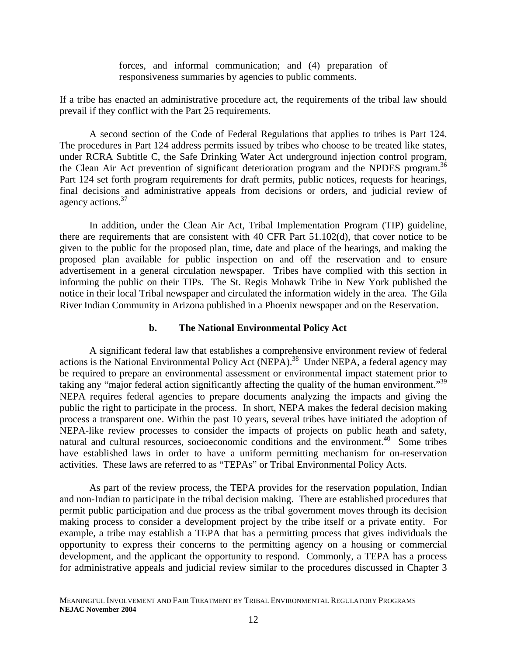forces, and informal communication; and (4) preparation of responsiveness summaries by agencies to public comments.

If a tribe has enacted an administrative procedure act, the requirements of the tribal law should prevail if they conflict with the Part 25 requirements.

A second section of the Code of Federal Regulations that applies to tribes is Part 124. The procedures in Part 124 address permits issued by tribes who choose to be treated like states, under RCRA Subtitle C, the Safe Drinking Water Act underground injection control program, the Clean Air Act prevention of significant deterioration program and the NPDES program.<sup>36</sup> Part 124 set forth program requirements for draft permits, public notices, requests for hearings, final decisions and administrative appeals from decisions or orders, and judicial review of agency actions.<sup>37</sup>

In addition**,** under the Clean Air Act, Tribal Implementation Program (TIP) guideline, there are requirements that are consistent with 40 CFR Part 51.102(d), that cover notice to be given to the public for the proposed plan, time, date and place of the hearings, and making the proposed plan available for public inspection on and off the reservation and to ensure advertisement in a general circulation newspaper. Tribes have complied with this section in informing the public on their TIPs. The St. Regis Mohawk Tribe in New York published the notice in their local Tribal newspaper and circulated the information widely in the area. The Gila River Indian Community in Arizona published in a Phoenix newspaper and on the Reservation.

#### **b. The National Environmental Policy Act**

A significant federal law that establishes a comprehensive environment review of federal actions is the National Environmental Policy Act (NEPA).<sup>38</sup> Under NEPA, a federal agency may be required to prepare an environmental assessment or environmental impact statement prior to taking any "major federal action significantly affecting the quality of the human environment."<sup>39</sup> NEPA requires federal agencies to prepare documents analyzing the impacts and giving the public the right to participate in the process. In short, NEPA makes the federal decision making process a transparent one. Within the past 10 years, several tribes have initiated the adoption of NEPA-like review processes to consider the impacts of projects on public heath and safety, natural and cultural resources, socioeconomic conditions and the environment.<sup>40</sup> Some tribes have established laws in order to have a uniform permitting mechanism for on-reservation activities. These laws are referred to as "TEPAs" or Tribal Environmental Policy Acts.

As part of the review process, the TEPA provides for the reservation population, Indian and non-Indian to participate in the tribal decision making. There are established procedures that permit public participation and due process as the tribal government moves through its decision making process to consider a development project by the tribe itself or a private entity. For example, a tribe may establish a TEPA that has a permitting process that gives individuals the opportunity to express their concerns to the permitting agency on a housing or commercial development, and the applicant the opportunity to respond. Commonly, a TEPA has a process for administrative appeals and judicial review similar to the procedures discussed in Chapter 3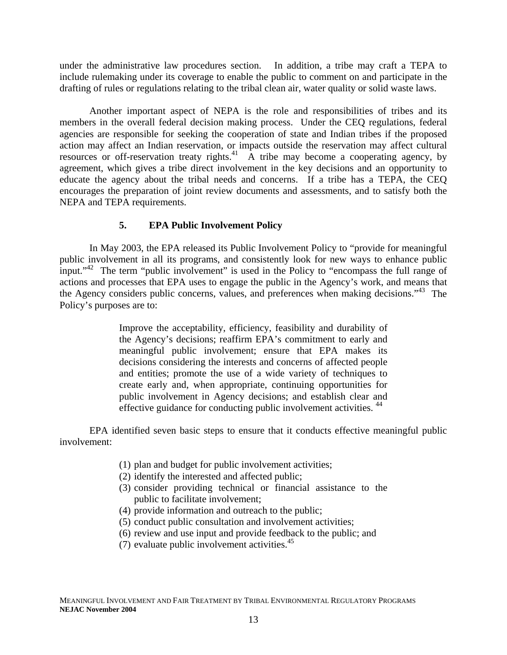under the administrative law procedures section. In addition, a tribe may craft a TEPA to include rulemaking under its coverage to enable the public to comment on and participate in the drafting of rules or regulations relating to the tribal clean air, water quality or solid waste laws.

Another important aspect of NEPA is the role and responsibilities of tribes and its members in the overall federal decision making process. Under the CEQ regulations, federal agencies are responsible for seeking the cooperation of state and Indian tribes if the proposed action may affect an Indian reservation, or impacts outside the reservation may affect cultural resources or off-reservation treaty rights.<sup>41</sup> A tribe may become a cooperating agency, by agreement, which gives a tribe direct involvement in the key decisions and an opportunity to educate the agency about the tribal needs and concerns. If a tribe has a TEPA, the CEQ encourages the preparation of joint review documents and assessments, and to satisfy both the NEPA and TEPA requirements.

#### **5. EPA Public Involvement Policy**

In May 2003, the EPA released its Public Involvement Policy to "provide for meaningful public involvement in all its programs, and consistently look for new ways to enhance public input."<sup>42</sup> The term "public involvement" is used in the Policy to "encompass the full range of actions and processes that EPA uses to engage the public in the Agency's work, and means that the Agency considers public concerns, values, and preferences when making decisions."43 The Policy's purposes are to:

> Improve the acceptability, efficiency, feasibility and durability of the Agency's decisions; reaffirm EPA's commitment to early and meaningful public involvement; ensure that EPA makes its decisions considering the interests and concerns of affected people and entities; promote the use of a wide variety of techniques to create early and, when appropriate, continuing opportunities for public involvement in Agency decisions; and establish clear and effective guidance for conducting public involvement activities. <sup>44</sup>

EPA identified seven basic steps to ensure that it conducts effective meaningful public involvement:

- (1) plan and budget for public involvement activities;
- (2) identify the interested and affected public;
- (3) consider providing technical or financial assistance to the public to facilitate involvement;
- (4) provide information and outreach to the public;
- (5) conduct public consultation and involvement activities;
- (6) review and use input and provide feedback to the public; and
- (7) evaluate public involvement activities. $45$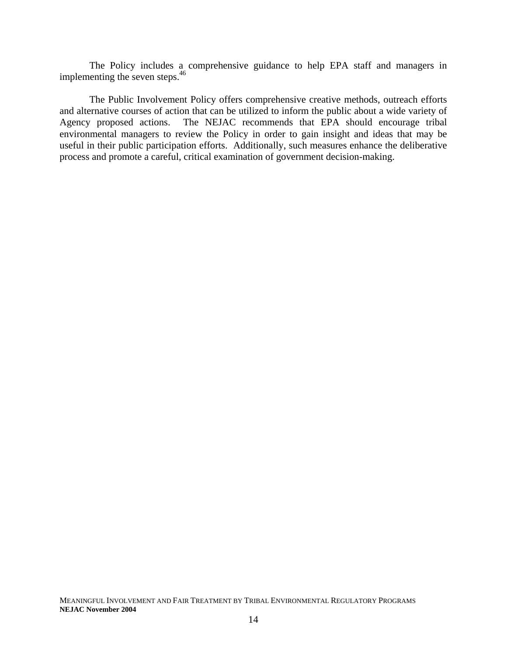The Policy includes a comprehensive guidance to help EPA staff and managers in implementing the seven steps.<sup>46</sup>

The Public Involvement Policy offers comprehensive creative methods, outreach efforts and alternative courses of action that can be utilized to inform the public about a wide variety of Agency proposed actions. The NEJAC recommends that EPA should encourage tribal environmental managers to review the Policy in order to gain insight and ideas that may be useful in their public participation efforts. Additionally, such measures enhance the deliberative process and promote a careful, critical examination of government decision-making.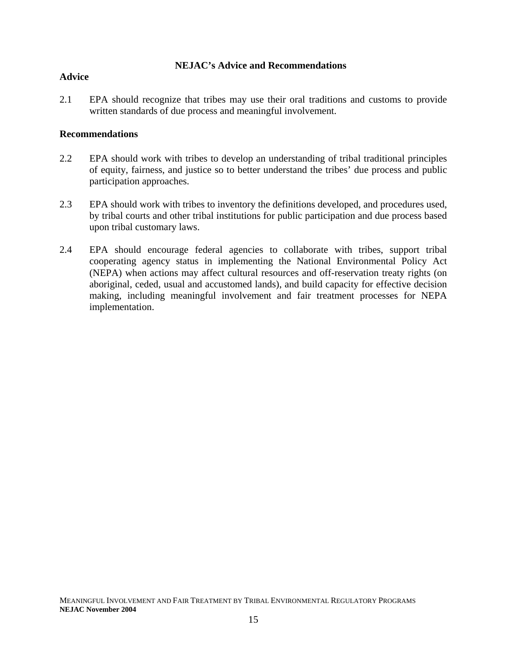### **NEJAC's Advice and Recommendations**

### **Advice**

2.1 EPA should recognize that tribes may use their oral traditions and customs to provide written standards of due process and meaningful involvement.

### **Recommendations**

- 2.2 EPA should work with tribes to develop an understanding of tribal traditional principles of equity, fairness, and justice so to better understand the tribes' due process and public participation approaches.
- 2.3 EPA should work with tribes to inventory the definitions developed, and procedures used, by tribal courts and other tribal institutions for public participation and due process based upon tribal customary laws.
- 2.4 EPA should encourage federal agencies to collaborate with tribes, support tribal cooperating agency status in implementing the National Environmental Policy Act (NEPA) when actions may affect cultural resources and off-reservation treaty rights (on aboriginal, ceded, usual and accustomed lands), and build capacity for effective decision making, including meaningful involvement and fair treatment processes for NEPA implementation.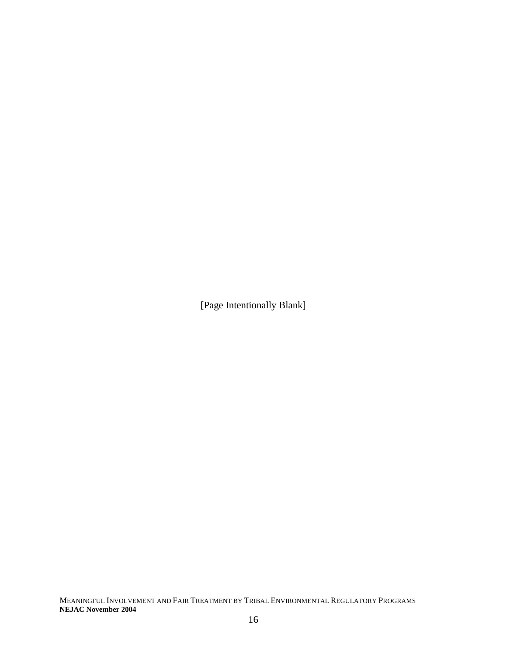[Page Intentionally Blank]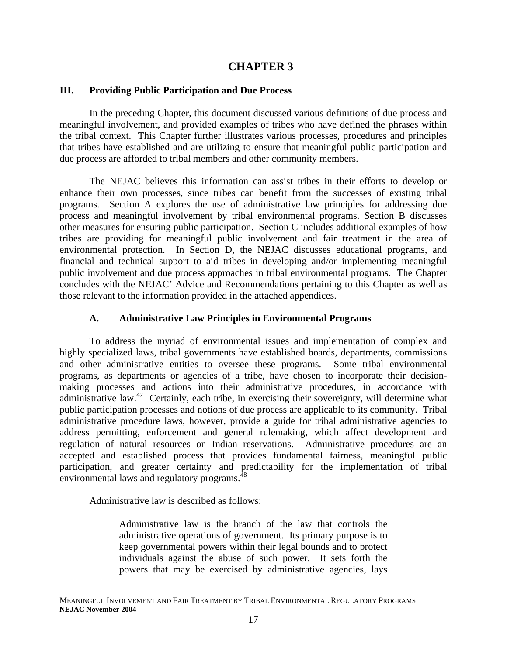# **CHAPTER 3**

#### **III. Providing Public Participation and Due Process**

In the preceding Chapter, this document discussed various definitions of due process and meaningful involvement, and provided examples of tribes who have defined the phrases within the tribal context. This Chapter further illustrates various processes, procedures and principles that tribes have established and are utilizing to ensure that meaningful public participation and due process are afforded to tribal members and other community members.

The NEJAC believes this information can assist tribes in their efforts to develop or enhance their own processes, since tribes can benefit from the successes of existing tribal programs. Section A explores the use of administrative law principles for addressing due process and meaningful involvement by tribal environmental programs. Section B discusses other measures for ensuring public participation. Section C includes additional examples of how tribes are providing for meaningful public involvement and fair treatment in the area of environmental protection. In Section D, the NEJAC discusses educational programs, and financial and technical support to aid tribes in developing and/or implementing meaningful public involvement and due process approaches in tribal environmental programs. The Chapter concludes with the NEJAC' Advice and Recommendations pertaining to this Chapter as well as those relevant to the information provided in the attached appendices.

# **A. Administrative Law Principles in Environmental Programs**

To address the myriad of environmental issues and implementation of complex and highly specialized laws, tribal governments have established boards, departments, commissions and other administrative entities to oversee these programs. Some tribal environmental programs, as departments or agencies of a tribe, have chosen to incorporate their decisionmaking processes and actions into their administrative procedures, in accordance with administrative law.<sup>47</sup> Certainly, each tribe, in exercising their sovereignty, will determine what public participation processes and notions of due process are applicable to its community. Tribal administrative procedure laws, however, provide a guide for tribal administrative agencies to address permitting, enforcement and general rulemaking, which affect development and regulation of natural resources on Indian reservations. Administrative procedures are an accepted and established process that provides fundamental fairness, meaningful public participation, and greater certainty and predictability for the implementation of tribal environmental laws and regulatory programs.<sup>48</sup>

Administrative law is described as follows:

Administrative law is the branch of the law that controls the administrative operations of government. Its primary purpose is to keep governmental powers within their legal bounds and to protect individuals against the abuse of such power. It sets forth the powers that may be exercised by administrative agencies, lays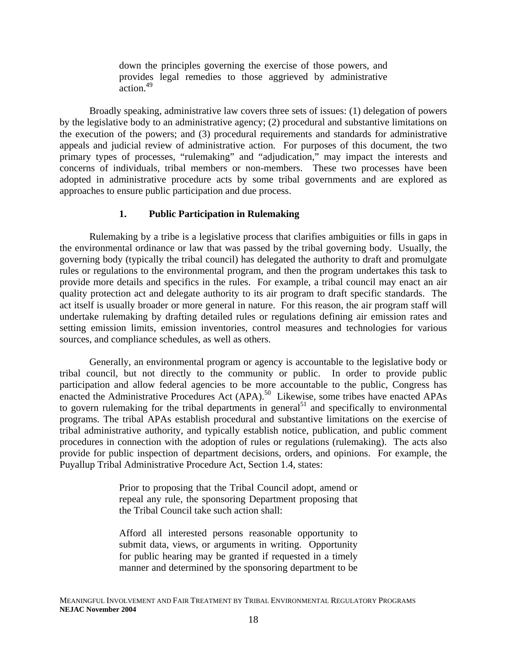down the principles governing the exercise of those powers, and provides legal remedies to those aggrieved by administrative  $\arctan^{49}$ 

Broadly speaking, administrative law covers three sets of issues: (1) delegation of powers by the legislative body to an administrative agency; (2) procedural and substantive limitations on the execution of the powers; and (3) procedural requirements and standards for administrative appeals and judicial review of administrative action. For purposes of this document, the two primary types of processes, "rulemaking" and "adjudication," may impact the interests and concerns of individuals, tribal members or non-members. These two processes have been adopted in administrative procedure acts by some tribal governments and are explored as approaches to ensure public participation and due process.

#### **1. Public Participation in Rulemaking**

Rulemaking by a tribe is a legislative process that clarifies ambiguities or fills in gaps in the environmental ordinance or law that was passed by the tribal governing body. Usually, the governing body (typically the tribal council) has delegated the authority to draft and promulgate rules or regulations to the environmental program, and then the program undertakes this task to provide more details and specifics in the rules. For example, a tribal council may enact an air quality protection act and delegate authority to its air program to draft specific standards. The act itself is usually broader or more general in nature. For this reason, the air program staff will undertake rulemaking by drafting detailed rules or regulations defining air emission rates and setting emission limits, emission inventories, control measures and technologies for various sources, and compliance schedules, as well as others.

Generally, an environmental program or agency is accountable to the legislative body or tribal council, but not directly to the community or public. In order to provide public participation and allow federal agencies to be more accountable to the public, Congress has enacted the Administrative Procedures Act (APA).<sup>50</sup> Likewise, some tribes have enacted APAs to govern rulemaking for the tribal departments in general<sup>51</sup> and specifically to environmental programs. The tribal APAs establish procedural and substantive limitations on the exercise of tribal administrative authority, and typically establish notice, publication, and public comment procedures in connection with the adoption of rules or regulations (rulemaking). The acts also provide for public inspection of department decisions, orders, and opinions. For example, the Puyallup Tribal Administrative Procedure Act, Section 1.4, states:

> Prior to proposing that the Tribal Council adopt, amend or repeal any rule, the sponsoring Department proposing that the Tribal Council take such action shall:

> Afford all interested persons reasonable opportunity to submit data, views, or arguments in writing. Opportunity for public hearing may be granted if requested in a timely manner and determined by the sponsoring department to be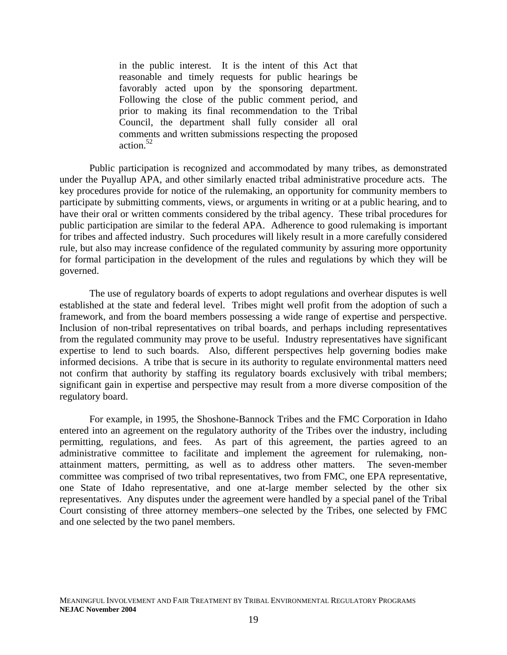in the public interest. It is the intent of this Act that reasonable and timely requests for public hearings be favorably acted upon by the sponsoring department. Following the close of the public comment period, and prior to making its final recommendation to the Tribal Council, the department shall fully consider all oral comments and written submissions respecting the proposed action.<sup>52</sup>

 Public participation is recognized and accommodated by many tribes, as demonstrated under the Puyallup APA, and other similarly enacted tribal administrative procedure acts. The key procedures provide for notice of the rulemaking, an opportunity for community members to participate by submitting comments, views, or arguments in writing or at a public hearing, and to have their oral or written comments considered by the tribal agency. These tribal procedures for public participation are similar to the federal APA. Adherence to good rulemaking is important for tribes and affected industry. Such procedures will likely result in a more carefully considered rule, but also may increase confidence of the regulated community by assuring more opportunity for formal participation in the development of the rules and regulations by which they will be governed.

The use of regulatory boards of experts to adopt regulations and overhear disputes is well established at the state and federal level. Tribes might well profit from the adoption of such a framework, and from the board members possessing a wide range of expertise and perspective. Inclusion of non-tribal representatives on tribal boards, and perhaps including representatives from the regulated community may prove to be useful. Industry representatives have significant expertise to lend to such boards. Also, different perspectives help governing bodies make informed decisions. A tribe that is secure in its authority to regulate environmental matters need not confirm that authority by staffing its regulatory boards exclusively with tribal members; significant gain in expertise and perspective may result from a more diverse composition of the regulatory board.

For example, in 1995, the Shoshone-Bannock Tribes and the FMC Corporation in Idaho entered into an agreement on the regulatory authority of the Tribes over the industry, including permitting, regulations, and fees. As part of this agreement, the parties agreed to an administrative committee to facilitate and implement the agreement for rulemaking, nonattainment matters, permitting, as well as to address other matters. The seven-member committee was comprised of two tribal representatives, two from FMC, one EPA representative, one State of Idaho representative, and one at-large member selected by the other six representatives. Any disputes under the agreement were handled by a special panel of the Tribal Court consisting of three attorney members–one selected by the Tribes, one selected by FMC and one selected by the two panel members.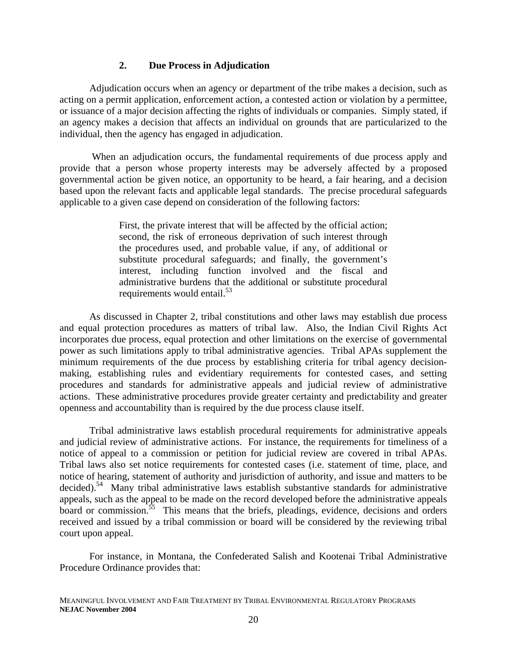#### **2. Due Process in Adjudication**

Adjudication occurs when an agency or department of the tribe makes a decision, such as acting on a permit application, enforcement action, a contested action or violation by a permittee, or issuance of a major decision affecting the rights of individuals or companies. Simply stated, if an agency makes a decision that affects an individual on grounds that are particularized to the individual, then the agency has engaged in adjudication.

When an adjudication occurs, the fundamental requirements of due process apply and provide that a person whose property interests may be adversely affected by a proposed governmental action be given notice, an opportunity to be heard, a fair hearing, and a decision based upon the relevant facts and applicable legal standards. The precise procedural safeguards applicable to a given case depend on consideration of the following factors:

> First, the private interest that will be affected by the official action; second, the risk of erroneous deprivation of such interest through the procedures used, and probable value, if any, of additional or substitute procedural safeguards; and finally, the government's interest, including function involved and the fiscal and administrative burdens that the additional or substitute procedural requirements would entail.<sup>53</sup>

As discussed in Chapter 2, tribal constitutions and other laws may establish due process and equal protection procedures as matters of tribal law. Also, the Indian Civil Rights Act incorporates due process, equal protection and other limitations on the exercise of governmental power as such limitations apply to tribal administrative agencies. Tribal APAs supplement the minimum requirements of the due process by establishing criteria for tribal agency decisionmaking, establishing rules and evidentiary requirements for contested cases, and setting procedures and standards for administrative appeals and judicial review of administrative actions. These administrative procedures provide greater certainty and predictability and greater openness and accountability than is required by the due process clause itself.

 Tribal administrative laws establish procedural requirements for administrative appeals and judicial review of administrative actions. For instance, the requirements for timeliness of a notice of appeal to a commission or petition for judicial review are covered in tribal APAs. Tribal laws also set notice requirements for contested cases (i.e. statement of time, place, and notice of hearing, statement of authority and jurisdiction of authority, and issue and matters to be decided).<sup>54</sup> Many tribal administrative laws establish substantive standards for administrative appeals, such as the appeal to be made on the record developed before the administrative appeals board or commission.<sup>55</sup> This means that the briefs, pleadings, evidence, decisions and orders received and issued by a tribal commission or board will be considered by the reviewing tribal court upon appeal.

For instance, in Montana, the Confederated Salish and Kootenai Tribal Administrative Procedure Ordinance provides that: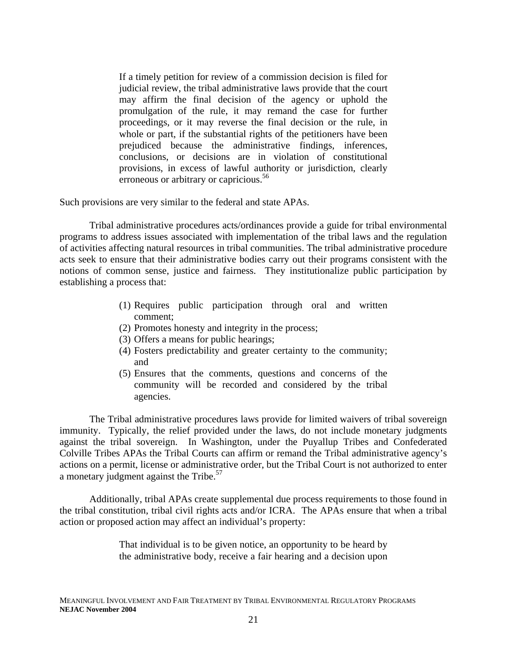If a timely petition for review of a commission decision is filed for judicial review, the tribal administrative laws provide that the court may affirm the final decision of the agency or uphold the promulgation of the rule, it may remand the case for further proceedings, or it may reverse the final decision or the rule, in whole or part, if the substantial rights of the petitioners have been prejudiced because the administrative findings, inferences, conclusions, or decisions are in violation of constitutional provisions, in excess of lawful authority or jurisdiction, clearly erroneous or arbitrary or capricious.<sup>56</sup>

Such provisions are very similar to the federal and state APAs.

Tribal administrative procedures acts/ordinances provide a guide for tribal environmental programs to address issues associated with implementation of the tribal laws and the regulation of activities affecting natural resources in tribal communities. The tribal administrative procedure acts seek to ensure that their administrative bodies carry out their programs consistent with the notions of common sense, justice and fairness. They institutionalize public participation by establishing a process that:

- (1) Requires public participation through oral and written comment;
- (2) Promotes honesty and integrity in the process;
- (3) Offers a means for public hearings;
- (4) Fosters predictability and greater certainty to the community; and
- (5) Ensures that the comments, questions and concerns of the community will be recorded and considered by the tribal agencies.

The Tribal administrative procedures laws provide for limited waivers of tribal sovereign immunity. Typically, the relief provided under the laws, do not include monetary judgments against the tribal sovereign. In Washington, under the Puyallup Tribes and Confederated Colville Tribes APAs the Tribal Courts can affirm or remand the Tribal administrative agency's actions on a permit, license or administrative order, but the Tribal Court is not authorized to enter a monetary judgment against the Tribe.<sup>57</sup>

Additionally, tribal APAs create supplemental due process requirements to those found in the tribal constitution, tribal civil rights acts and/or ICRA. The APAs ensure that when a tribal action or proposed action may affect an individual's property:

> That individual is to be given notice, an opportunity to be heard by the administrative body, receive a fair hearing and a decision upon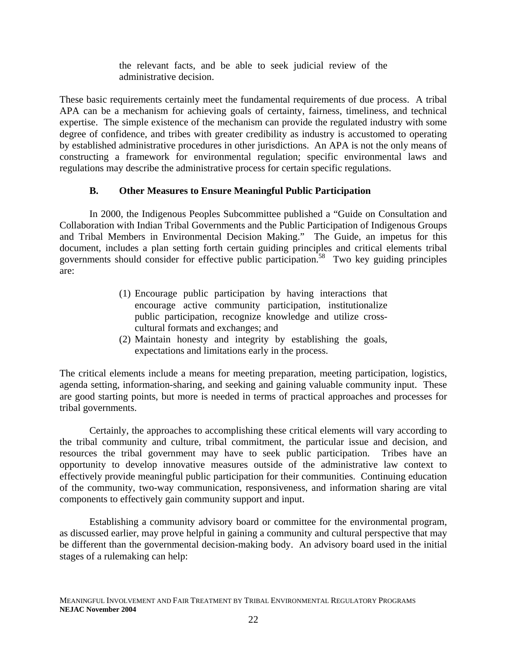the relevant facts, and be able to seek judicial review of the administrative decision.

These basic requirements certainly meet the fundamental requirements of due process. A tribal APA can be a mechanism for achieving goals of certainty, fairness, timeliness, and technical expertise. The simple existence of the mechanism can provide the regulated industry with some degree of confidence, and tribes with greater credibility as industry is accustomed to operating by established administrative procedures in other jurisdictions. An APA is not the only means of constructing a framework for environmental regulation; specific environmental laws and regulations may describe the administrative process for certain specific regulations.

# **B. Other Measures to Ensure Meaningful Public Participation**

In 2000, the Indigenous Peoples Subcommittee published a "Guide on Consultation and Collaboration with Indian Tribal Governments and the Public Participation of Indigenous Groups and Tribal Members in Environmental Decision Making." The Guide, an impetus for this document, includes a plan setting forth certain guiding principles and critical elements tribal governments should consider for effective public participation.<sup>58</sup> Two key guiding principles are:

- (1) Encourage public participation by having interactions that encourage active community participation, institutionalize public participation, recognize knowledge and utilize crosscultural formats and exchanges; and
- (2) Maintain honesty and integrity by establishing the goals, expectations and limitations early in the process.

The critical elements include a means for meeting preparation, meeting participation, logistics, agenda setting, information-sharing, and seeking and gaining valuable community input. These are good starting points, but more is needed in terms of practical approaches and processes for tribal governments.

Certainly, the approaches to accomplishing these critical elements will vary according to the tribal community and culture, tribal commitment, the particular issue and decision, and resources the tribal government may have to seek public participation. Tribes have an opportunity to develop innovative measures outside of the administrative law context to effectively provide meaningful public participation for their communities. Continuing education of the community, two-way communication, responsiveness, and information sharing are vital components to effectively gain community support and input.

Establishing a community advisory board or committee for the environmental program, as discussed earlier, may prove helpful in gaining a community and cultural perspective that may be different than the governmental decision-making body. An advisory board used in the initial stages of a rulemaking can help: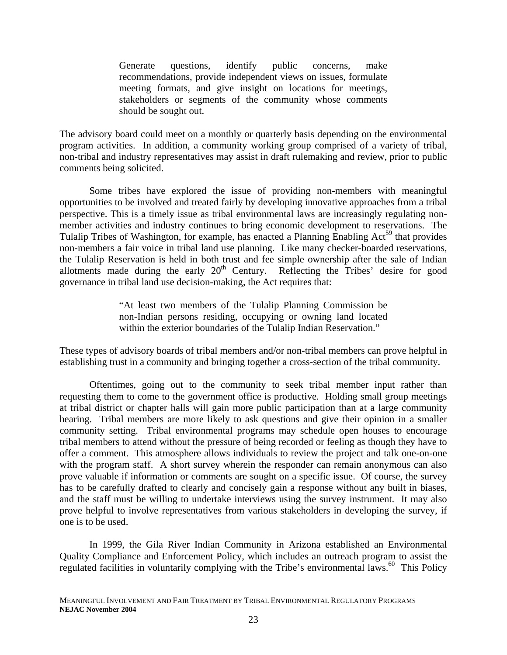Generate questions, identify public concerns, make recommendations, provide independent views on issues, formulate meeting formats, and give insight on locations for meetings, stakeholders or segments of the community whose comments should be sought out.

The advisory board could meet on a monthly or quarterly basis depending on the environmental program activities. In addition, a community working group comprised of a variety of tribal, non-tribal and industry representatives may assist in draft rulemaking and review, prior to public comments being solicited.

Some tribes have explored the issue of providing non-members with meaningful opportunities to be involved and treated fairly by developing innovative approaches from a tribal perspective. This is a timely issue as tribal environmental laws are increasingly regulating nonmember activities and industry continues to bring economic development to reservations. The Tulalip Tribes of Washington, for example, has enacted a Planning Enabling Act<sup>59</sup> that provides non-members a fair voice in tribal land use planning. Like many checker-boarded reservations, the Tulalip Reservation is held in both trust and fee simple ownership after the sale of Indian allotments made during the early  $20<sup>th</sup>$  Century. Reflecting the Tribes' desire for good governance in tribal land use decision-making, the Act requires that:

> "At least two members of the Tulalip Planning Commission be non-Indian persons residing, occupying or owning land located within the exterior boundaries of the Tulalip Indian Reservation."

These types of advisory boards of tribal members and/or non-tribal members can prove helpful in establishing trust in a community and bringing together a cross-section of the tribal community.

Oftentimes, going out to the community to seek tribal member input rather than requesting them to come to the government office is productive. Holding small group meetings at tribal district or chapter halls will gain more public participation than at a large community hearing. Tribal members are more likely to ask questions and give their opinion in a smaller community setting. Tribal environmental programs may schedule open houses to encourage tribal members to attend without the pressure of being recorded or feeling as though they have to offer a comment. This atmosphere allows individuals to review the project and talk one-on-one with the program staff. A short survey wherein the responder can remain anonymous can also prove valuable if information or comments are sought on a specific issue. Of course, the survey has to be carefully drafted to clearly and concisely gain a response without any built in biases, and the staff must be willing to undertake interviews using the survey instrument. It may also prove helpful to involve representatives from various stakeholders in developing the survey, if one is to be used.

In 1999, the Gila River Indian Community in Arizona established an Environmental Quality Compliance and Enforcement Policy, which includes an outreach program to assist the regulated facilities in voluntarily complying with the Tribe's environmental laws.<sup>60</sup> This Policy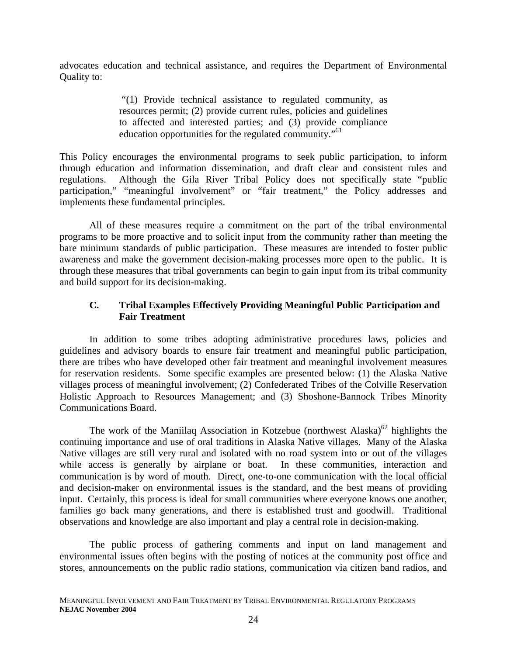advocates education and technical assistance, and requires the Department of Environmental Quality to:

> "(1) Provide technical assistance to regulated community, as resources permit; (2) provide current rules, policies and guidelines to affected and interested parties; and (3) provide compliance education opportunities for the regulated community."61

This Policy encourages the environmental programs to seek public participation, to inform through education and information dissemination, and draft clear and consistent rules and regulations. Although the Gila River Tribal Policy does not specifically state "public participation," "meaningful involvement" or "fair treatment," the Policy addresses and implements these fundamental principles.

All of these measures require a commitment on the part of the tribal environmental programs to be more proactive and to solicit input from the community rather than meeting the bare minimum standards of public participation. These measures are intended to foster public awareness and make the government decision-making processes more open to the public. It is through these measures that tribal governments can begin to gain input from its tribal community and build support for its decision-making.

# **C. Tribal Examples Effectively Providing Meaningful Public Participation and Fair Treatment**

In addition to some tribes adopting administrative procedures laws, policies and guidelines and advisory boards to ensure fair treatment and meaningful public participation, there are tribes who have developed other fair treatment and meaningful involvement measures for reservation residents. Some specific examples are presented below: (1) the Alaska Native villages process of meaningful involvement; (2) Confederated Tribes of the Colville Reservation Holistic Approach to Resources Management; and (3) Shoshone-Bannock Tribes Minority Communications Board.

The work of the Maniilaq Association in Kotzebue (northwest Alaska)<sup>62</sup> highlights the continuing importance and use of oral traditions in Alaska Native villages. Many of the Alaska Native villages are still very rural and isolated with no road system into or out of the villages while access is generally by airplane or boat. In these communities, interaction and communication is by word of mouth. Direct, one-to-one communication with the local official and decision-maker on environmental issues is the standard, and the best means of providing input. Certainly, this process is ideal for small communities where everyone knows one another, families go back many generations, and there is established trust and goodwill. Traditional observations and knowledge are also important and play a central role in decision-making.

The public process of gathering comments and input on land management and environmental issues often begins with the posting of notices at the community post office and stores, announcements on the public radio stations, communication via citizen band radios, and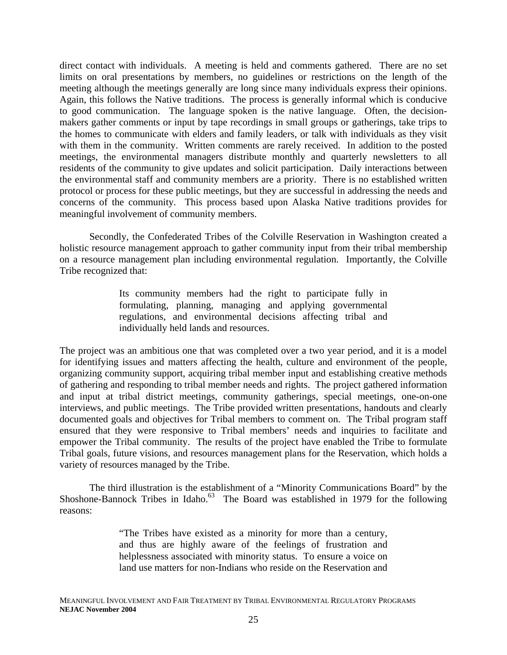direct contact with individuals. A meeting is held and comments gathered. There are no set limits on oral presentations by members, no guidelines or restrictions on the length of the meeting although the meetings generally are long since many individuals express their opinions. Again, this follows the Native traditions. The process is generally informal which is conducive to good communication. The language spoken is the native language. Often, the decisionmakers gather comments or input by tape recordings in small groups or gatherings, take trips to the homes to communicate with elders and family leaders, or talk with individuals as they visit with them in the community. Written comments are rarely received. In addition to the posted meetings, the environmental managers distribute monthly and quarterly newsletters to all residents of the community to give updates and solicit participation. Daily interactions between the environmental staff and community members are a priority. There is no established written protocol or process for these public meetings, but they are successful in addressing the needs and concerns of the community. This process based upon Alaska Native traditions provides for meaningful involvement of community members.

Secondly, the Confederated Tribes of the Colville Reservation in Washington created a holistic resource management approach to gather community input from their tribal membership on a resource management plan including environmental regulation. Importantly, the Colville Tribe recognized that:

> Its community members had the right to participate fully in formulating, planning, managing and applying governmental regulations, and environmental decisions affecting tribal and individually held lands and resources.

The project was an ambitious one that was completed over a two year period, and it is a model for identifying issues and matters affecting the health, culture and environment of the people, organizing community support, acquiring tribal member input and establishing creative methods of gathering and responding to tribal member needs and rights. The project gathered information and input at tribal district meetings, community gatherings, special meetings, one-on-one interviews, and public meetings. The Tribe provided written presentations, handouts and clearly documented goals and objectives for Tribal members to comment on. The Tribal program staff ensured that they were responsive to Tribal members' needs and inquiries to facilitate and empower the Tribal community. The results of the project have enabled the Tribe to formulate Tribal goals, future visions, and resources management plans for the Reservation, which holds a variety of resources managed by the Tribe.

The third illustration is the establishment of a "Minority Communications Board" by the Shoshone-Bannock Tribes in Idaho.<sup>63</sup> The Board was established in 1979 for the following reasons:

> "The Tribes have existed as a minority for more than a century, and thus are highly aware of the feelings of frustration and helplessness associated with minority status. To ensure a voice on land use matters for non-Indians who reside on the Reservation and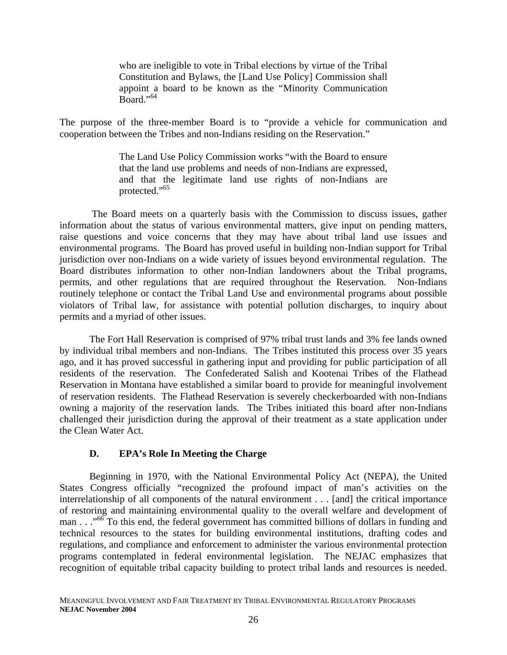who are ineligible to vote in Tribal elections by virtue of the Tribal Constitution and Bylaws, the [Land Use Policy] Commission shall appoint a board to be known as the "Minority Communication Board."<sup>64</sup>

The purpose of the three-member Board is to "provide a vehicle for communication and cooperation between the Tribes and non-Indians residing on the Reservation."

> The Land Use Policy Commission works "with the Board to ensure that the land use problems and needs of non-Indians are expressed, and that the legitimate land use rights of non-Indians are protected."<sup>65</sup>

The Board meets on a quarterly basis with the Commission to discuss issues, gather information about the status of various environmental matters, give input on pending matters, raise questions and voice concerns that they may have about tribal land use issues and environmental programs. The Board has proved useful in building non-Indian support for Tribal jurisdiction over non-Indians on a wide variety of issues beyond environmental regulation. The Board distributes information to other non-Indian landowners about the Tribal programs, permits, and other regulations that are required throughout the Reservation. Non-Indians routinely telephone or contact the Tribal Land Use and environmental programs about possible violators of Tribal law, for assistance with potential pollution discharges, to inquiry about permits and a myriad of other issues.

The Fort Hall Reservation is comprised of 97% tribal trust lands and 3% fee lands owned by individual tribal members and non-Indians. The Tribes instituted this process over 35 years ago, and it has proved successful in gathering input and providing for public participation of all residents of the reservation. The Confederated Salish and Kootenai Tribes of the Flathead Reservation in Montana have established a similar board to provide for meaningful involvement of reservation residents. The Flathead Reservation is severely checkerboarded with non-Indians owning a majority of the reservation lands. The Tribes initiated this board after non-Indians challenged their jurisdiction during the approval of their treatment as a state application under the Clean Water Act.

# **D. EPA's Role In Meeting the Charge**

Beginning in 1970, with the National Environmental Policy Act (NEPA), the United States Congress officially "recognized the profound impact of man's activities on the interrelationship of all components of the natural environment . . . [and] the critical importance of restoring and maintaining environmental quality to the overall welfare and development of man . . . . <sup>66</sup> To this end, the federal government has committed billions of dollars in funding and technical resources to the states for building environmental institutions, drafting codes and regulations, and compliance and enforcement to administer the various environmental protection programs contemplated in federal environmental legislation. The NEJAC emphasizes that recognition of equitable tribal capacity building to protect tribal lands and resources is needed.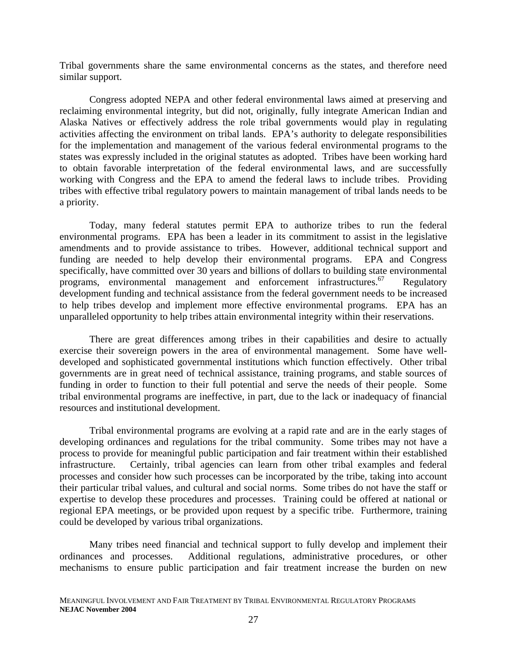Tribal governments share the same environmental concerns as the states, and therefore need similar support.

Congress adopted NEPA and other federal environmental laws aimed at preserving and reclaiming environmental integrity, but did not, originally, fully integrate American Indian and Alaska Natives or effectively address the role tribal governments would play in regulating activities affecting the environment on tribal lands. EPA's authority to delegate responsibilities for the implementation and management of the various federal environmental programs to the states was expressly included in the original statutes as adopted. Tribes have been working hard to obtain favorable interpretation of the federal environmental laws, and are successfully working with Congress and the EPA to amend the federal laws to include tribes. Providing tribes with effective tribal regulatory powers to maintain management of tribal lands needs to be a priority.

Today, many federal statutes permit EPA to authorize tribes to run the federal environmental programs. EPA has been a leader in its commitment to assist in the legislative amendments and to provide assistance to tribes. However, additional technical support and funding are needed to help develop their environmental programs. EPA and Congress specifically, have committed over 30 years and billions of dollars to building state environmental programs, environmental management and enforcement infrastructures.<sup>67</sup> Regulatory development funding and technical assistance from the federal government needs to be increased to help tribes develop and implement more effective environmental programs. EPA has an unparalleled opportunity to help tribes attain environmental integrity within their reservations.

There are great differences among tribes in their capabilities and desire to actually exercise their sovereign powers in the area of environmental management. Some have welldeveloped and sophisticated governmental institutions which function effectively. Other tribal governments are in great need of technical assistance, training programs, and stable sources of funding in order to function to their full potential and serve the needs of their people. Some tribal environmental programs are ineffective, in part, due to the lack or inadequacy of financial resources and institutional development.

Tribal environmental programs are evolving at a rapid rate and are in the early stages of developing ordinances and regulations for the tribal community. Some tribes may not have a process to provide for meaningful public participation and fair treatment within their established infrastructure. Certainly, tribal agencies can learn from other tribal examples and federal processes and consider how such processes can be incorporated by the tribe, taking into account their particular tribal values, and cultural and social norms. Some tribes do not have the staff or expertise to develop these procedures and processes. Training could be offered at national or regional EPA meetings, or be provided upon request by a specific tribe. Furthermore, training could be developed by various tribal organizations.

Many tribes need financial and technical support to fully develop and implement their ordinances and processes. Additional regulations, administrative procedures, or other mechanisms to ensure public participation and fair treatment increase the burden on new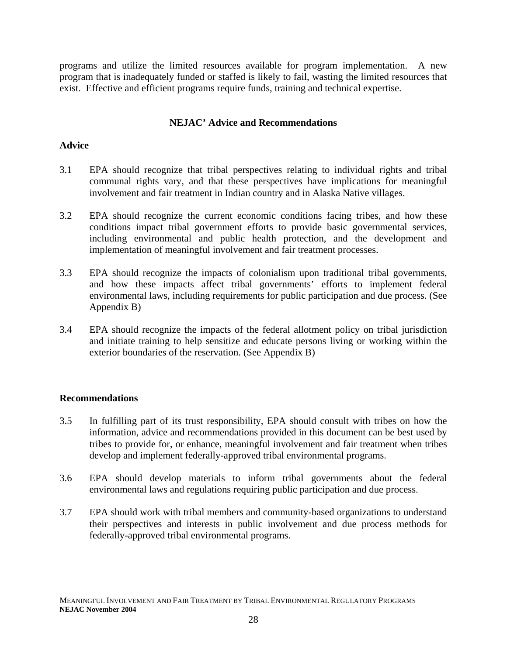programs and utilize the limited resources available for program implementation. A new program that is inadequately funded or staffed is likely to fail, wasting the limited resources that exist. Effective and efficient programs require funds, training and technical expertise.

#### **NEJAC' Advice and Recommendations**

#### **Advice**

- 3.1 EPA should recognize that tribal perspectives relating to individual rights and tribal communal rights vary, and that these perspectives have implications for meaningful involvement and fair treatment in Indian country and in Alaska Native villages.
- 3.2 EPA should recognize the current economic conditions facing tribes, and how these conditions impact tribal government efforts to provide basic governmental services, including environmental and public health protection, and the development and implementation of meaningful involvement and fair treatment processes.
- 3.3 EPA should recognize the impacts of colonialism upon traditional tribal governments, and how these impacts affect tribal governments' efforts to implement federal environmental laws, including requirements for public participation and due process. (See Appendix B)
- 3.4 EPA should recognize the impacts of the federal allotment policy on tribal jurisdiction and initiate training to help sensitize and educate persons living or working within the exterior boundaries of the reservation. (See Appendix B)

#### **Recommendations**

- 3.5 In fulfilling part of its trust responsibility, EPA should consult with tribes on how the information, advice and recommendations provided in this document can be best used by tribes to provide for, or enhance, meaningful involvement and fair treatment when tribes develop and implement federally-approved tribal environmental programs.
- 3.6 EPA should develop materials to inform tribal governments about the federal environmental laws and regulations requiring public participation and due process.
- 3.7 EPA should work with tribal members and community-based organizations to understand their perspectives and interests in public involvement and due process methods for federally-approved tribal environmental programs.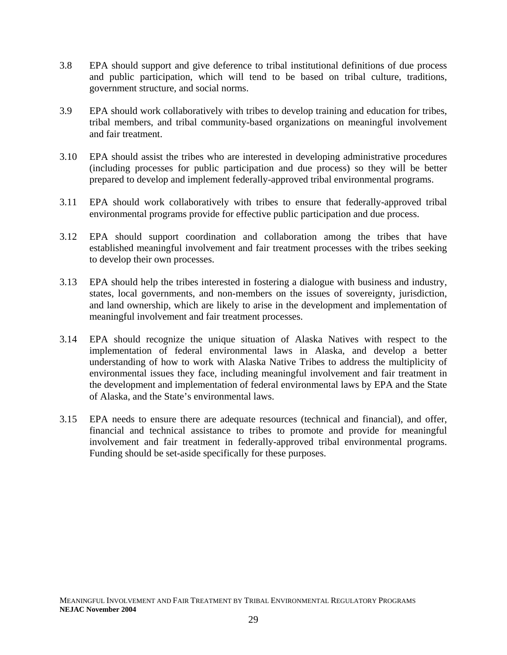- 3.8 EPA should support and give deference to tribal institutional definitions of due process and public participation, which will tend to be based on tribal culture, traditions, government structure, and social norms.
- 3.9 EPA should work collaboratively with tribes to develop training and education for tribes, tribal members, and tribal community-based organizations on meaningful involvement and fair treatment.
- 3.10 EPA should assist the tribes who are interested in developing administrative procedures (including processes for public participation and due process) so they will be better prepared to develop and implement federally-approved tribal environmental programs.
- 3.11 EPA should work collaboratively with tribes to ensure that federally-approved tribal environmental programs provide for effective public participation and due process.
- 3.12 EPA should support coordination and collaboration among the tribes that have established meaningful involvement and fair treatment processes with the tribes seeking to develop their own processes.
- 3.13 EPA should help the tribes interested in fostering a dialogue with business and industry, states, local governments, and non-members on the issues of sovereignty, jurisdiction, and land ownership, which are likely to arise in the development and implementation of meaningful involvement and fair treatment processes.
- 3.14 EPA should recognize the unique situation of Alaska Natives with respect to the implementation of federal environmental laws in Alaska, and develop a better understanding of how to work with Alaska Native Tribes to address the multiplicity of environmental issues they face, including meaningful involvement and fair treatment in the development and implementation of federal environmental laws by EPA and the State of Alaska, and the State's environmental laws.
- 3.15 EPA needs to ensure there are adequate resources (technical and financial), and offer, financial and technical assistance to tribes to promote and provide for meaningful involvement and fair treatment in federally-approved tribal environmental programs. Funding should be set-aside specifically for these purposes.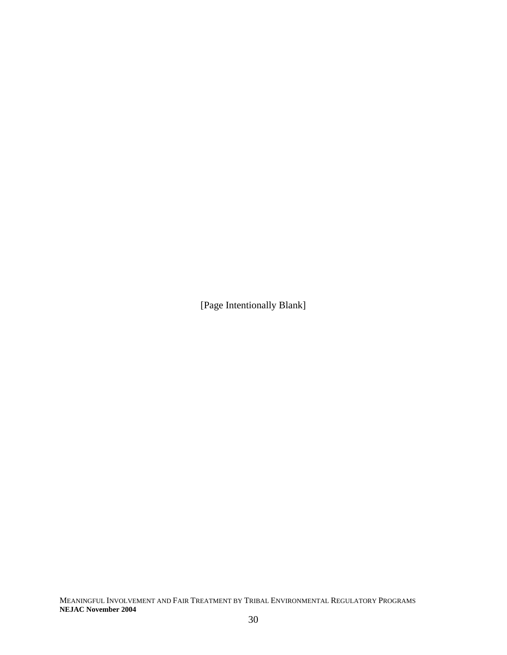[Page Intentionally Blank]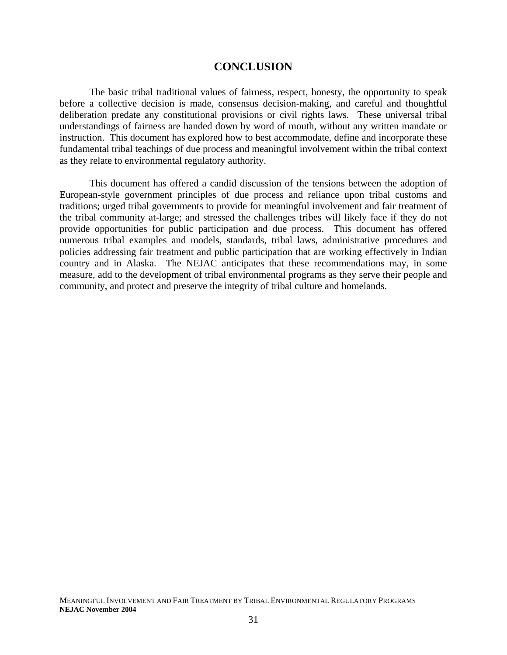# **CONCLUSION**

The basic tribal traditional values of fairness, respect, honesty, the opportunity to speak before a collective decision is made, consensus decision-making, and careful and thoughtful deliberation predate any constitutional provisions or civil rights laws. These universal tribal understandings of fairness are handed down by word of mouth, without any written mandate or instruction. This document has explored how to best accommodate, define and incorporate these fundamental tribal teachings of due process and meaningful involvement within the tribal context as they relate to environmental regulatory authority.

This document has offered a candid discussion of the tensions between the adoption of European-style government principles of due process and reliance upon tribal customs and traditions; urged tribal governments to provide for meaningful involvement and fair treatment of the tribal community at-large; and stressed the challenges tribes will likely face if they do not provide opportunities for public participation and due process. This document has offered numerous tribal examples and models, standards, tribal laws, administrative procedures and policies addressing fair treatment and public participation that are working effectively in Indian country and in Alaska. The NEJAC anticipates that these recommendations may, in some measure, add to the development of tribal environmental programs as they serve their people and community, and protect and preserve the integrity of tribal culture and homelands.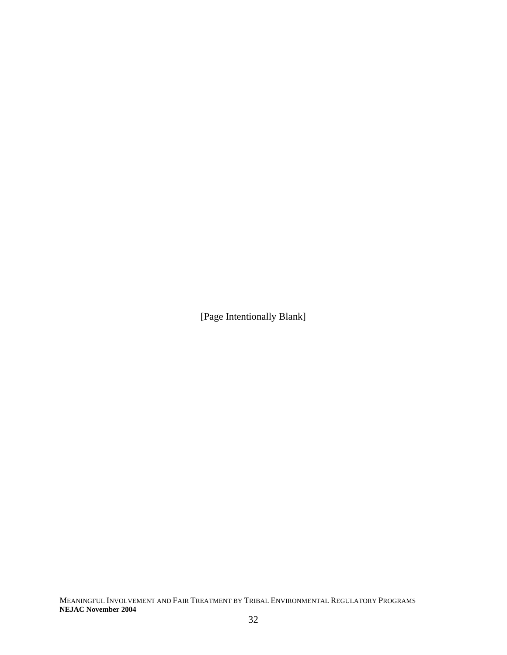[Page Intentionally Blank]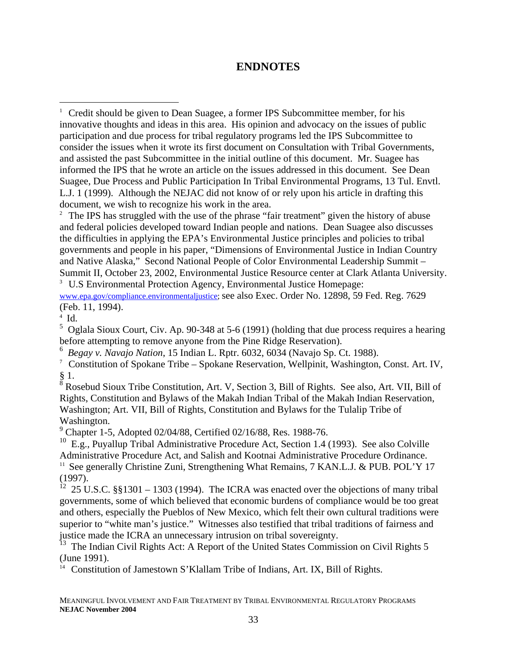# **ENDNOTES**

<sup>2</sup> The IPS has struggled with the use of the phrase "fair treatment" given the history of abuse and federal policies developed toward Indian people and nations. Dean Suagee also discusses the difficulties in applying the EPA's Environmental Justice principles and policies to tribal governments and people in his paper, "Dimensions of Environmental Justice in Indian Country and Native Alaska," Second National People of Color Environmental Leadership Summit – Summit II, October 23, 2002, Environmental Justice Resource center at Clark Atlanta University.<br><sup>3</sup> U.S Environmental Protection Agency, Environmental Justice Homepage:

www.epa.gov/compliance.environmentaljustice; see also Exec. Order No. 12898, 59 Fed. Reg. 7629 (Feb. 11, 1994).

 $4$  Id.

 $5$  Oglala Sioux Court, Civ. Ap. 90-348 at 5-6 (1991) (holding that due process requires a hearing before attempting to remove anyone from the Pine Ridge Reservation).<br><sup>6</sup> Begay v. Navajo Nation, 15 Indian L. Rptr. 6032, 6034 (Navajo Sp. Ct. 1988).

<sup>7</sup> Constitution of Spokane Tribe – Spokane Reservation, Wellpinit, Washington, Const. Art. IV, § 1.

<sup>8</sup> Rosebud Sioux Tribe Constitution, Art. V, Section 3, Bill of Rights. See also, Art. VII, Bill of Rights, Constitution and Bylaws of the Makah Indian Tribal of the Makah Indian Reservation, Washington; Art. VII, Bill of Rights, Constitution and Bylaws for the Tulalip Tribe of Washington.

<sup>9</sup> Chapter 1-5, Adopted 02/04/88, Certified 02/16/88, Res. 1988-76.

 $10$  E.g., Puyallup Tribal Administrative Procedure Act, Section 1.4 (1993). See also Colville Administrative Procedure Act, and Salish and Kootnai Administrative Procedure Ordinance.<br><sup>11</sup> See generally Christine Zuni, Strengthening What Remains, 7 KAN.L.J. & PUB. POL'Y 17  $(1997)$ .

 $12$  25 U.S.C. §§1301 – 1303 (1994). The ICRA was enacted over the objections of many tribal governments, some of which believed that economic burdens of compliance would be too great and others, especially the Pueblos of New Mexico, which felt their own cultural traditions were superior to "white man's justice." Witnesses also testified that tribal traditions of fairness and justice made the ICRA an unnecessary intrusion on tribal sovereignty.

<sup>13</sup> The Indian Civil Rights Act: A Report of the United States Commission on Civil Rights 5 (June 1991).

<sup>14</sup> Constitution of Jamestown S'Klallam Tribe of Indians, Art. IX, Bill of Rights.

<sup>&</sup>lt;sup>1</sup> Credit should be given to Dean Suagee, a former IPS Subcommittee member, for his innovative thoughts and ideas in this area. His opinion and advocacy on the issues of public participation and due process for tribal regulatory programs led the IPS Subcommittee to consider the issues when it wrote its first document on Consultation with Tribal Governments, and assisted the past Subcommittee in the initial outline of this document. Mr. Suagee has informed the IPS that he wrote an article on the issues addressed in this document. See Dean Suagee, Due Process and Public Participation In Tribal Environmental Programs, 13 Tul. Envtl. L.J. 1 (1999). Although the NEJAC did not know of or rely upon his article in drafting this document, we wish to recognize his work in the area.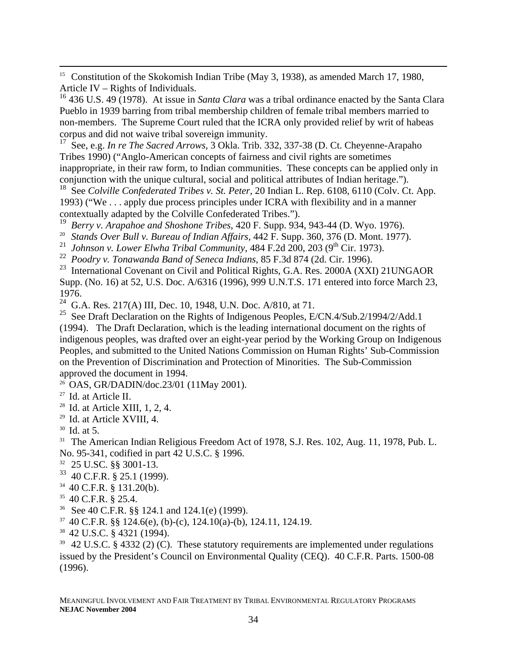<sup>15</sup> Constitution of the Skokomish Indian Tribe (May 3, 1938), as amended March 17, 1980, Article IV – Rights of Individuals.

16 436 U.S. 49 (1978). At issue in *Santa Clara* was a tribal ordinance enacted by the Santa Clara Pueblo in 1939 barring from tribal membership children of female tribal members married to non-members. The Supreme Court ruled that the ICRA only provided relief by writ of habeas corpus and did not waive tribal sovereign immunity.

17 See, e.g. *In re The Sacred Arrows,* 3 Okla. Trib. 332, 337-38 (D. Ct. Cheyenne-Arapaho Tribes 1990) ("Anglo-American concepts of fairness and civil rights are sometimes inappropriate, in their raw form, to Indian communities. These concepts can be applied only in conjunction with the unique cultural, social and political attributes of Indian heritage.").

18 See *Colville Confederated Tribes v. St. Peter*, 20 Indian L. Rep. 6108, 6110 (Colv. Ct. App. 1993) ("We . . . apply due process principles under ICRA with flexibility and in a manner contextually adapted by the Colville Confederated Tribes.").

<sup>19</sup> Berry v. Arapahoe and Shoshone Tribes, 420 F. Supp. 934, 943-44 (D. Wyo. 1976).<br><sup>20</sup> *Stands Over Bull v. Bureau of Indian Affairs, 442 F. Supp. 360, 376 (D. Mont. 1977).* 

<sup>21</sup> Johnson v. Lower Elwha Tribal Community, 484 F.2d 200, 203 (9<sup>th</sup> Cir. 1973).

<sup>22</sup>*Poodry v. Tonawanda Band of Seneca Indians*, 85 F.3d 874 (2d. Cir. 1996).

<sup>23</sup> International Covenant on Civil and Political Rights, G.A. Res. 2000A (XXI) 21UNGAOR Supp. (No. 16) at 52, U.S. Doc. A/6316 (1996), 999 U.N.T.S. 171 entered into force March 23, 1976.

24 G.A. Res. 217(A) III, Dec. 10, 1948, U.N. Doc. A/810, at 71.

<sup>25</sup> See Draft Declaration on the Rights of Indigenous Peoples, E/CN.4/Sub.2/1994/2/Add.1 (1994). The Draft Declaration, which is the leading international document on the rights of indigenous peoples, was drafted over an eight-year period by the Working Group on Indigenous Peoples, and submitted to the United Nations Commission on Human Rights' Sub-Commission on the Prevention of Discrimination and Protection of Minorities. The Sub-Commission approved the document in 1994.

<sup>26</sup> OAS, GR/DADIN/doc.23/01 (11May 2001).<br><sup>27</sup> Id. at Article II.<br><sup>28</sup> Id. at Article XIII, 1, 2, 4.

<sup>29</sup> Id. at Article XVIII, 4.<br><sup>30</sup> Id. at 5.<br><sup>31</sup> The American Indian Religious Freedom Act of 1978, S.J. Res. 102, Aug. 11, 1978, Pub. L. No. 95-341, codified in part 42 U.S.C. § 1996.

- 
- $\frac{32}{33}$  25 U.SC. §§ 3001-13.<br> $\frac{33}{40}$  40 C.F.R. § 25.1 (1999).
- 
- 
- 
- <sup>34</sup> 40 C.F.R. § 131.20(b).<br><sup>35</sup> 40 C.F.R. § 25.4.<br><sup>36</sup> See 40 C.F.R. §§ 124.1 and 124.1(e) (1999).<br><sup>37</sup> 40 C.F.R. §§ 124.6(e), (b)-(c), 124.10(a)-(b), 124.11, 124.19.<br><sup>38</sup> 42 U.S.C. § 4321 (1994).
- 

<sup>39</sup> 42 U.S.C. § 4332 (2) (C). These statutory requirements are implemented under regulations issued by the President's Council on Environmental Quality (CEQ). 40 C.F.R. Parts. 1500-08 (1996).

MEANINGFUL INVOLVEMENT AND FAIR TREATMENT BY TRIBAL ENVIRONMENTAL REGULATORY PROGRAMS **NEJAC November 2004**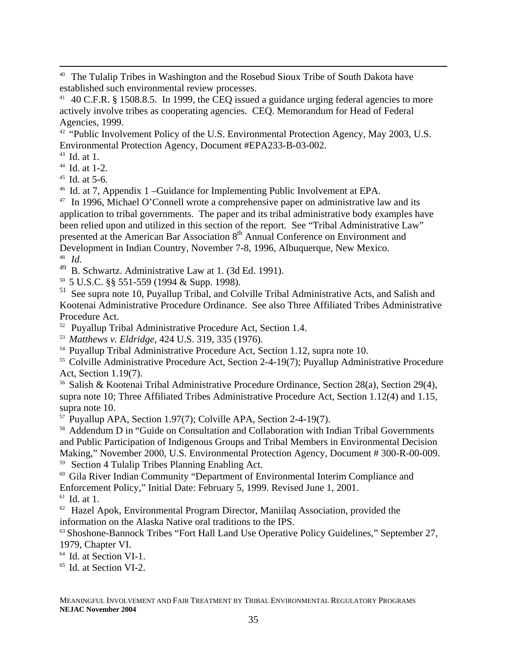40 The Tulalip Tribes in Washington and the Rosebud Sioux Tribe of South Dakota have established such environmental review processes.

<sup>42</sup> "Public Involvement Policy of the U.S. Environmental Protection Agency, May 2003, U.S. Environmental Protection Agency, Document #EPA233-B-03-002.<br><sup>43</sup> Id. at 1.<br><sup>44</sup> Id. at 1-2.<br><sup>45</sup> Id. at 5-6.<br><sup>46</sup> Id. at 7, Appendix 1 –Guidance for Implementing Public Involvement at EPA.

 $47$  In 1996, Michael O'Connell wrote a comprehensive paper on administrative law and its application to tribal governments. The paper and its tribal administrative body examples have been relied upon and utilized in this section of the report. See "Tribal Administrative Law" presented at the American Bar Association 8th Annual Conference on Environment and Development in Indian Country, November 7-8, 1996, Albuquerque, New Mexico. 48 *Id.* 

<sup>49</sup> B. Schwartz. Administrative Law at 1. (3d Ed. 1991).<br><sup>50</sup> 5 U.S.C. §§ 551-559 (1994 & Supp. 1998).

<sup>51</sup> See supra note 10, Puyallup Tribal, and Colville Tribal Administrative Acts, and Salish and Kootenai Administrative Procedure Ordinance. See also Three Affiliated Tribes Administrative Procedure Act.

<sup>52</sup> Puyallup Tribal Administrative Procedure Act, Section 1.4.<br><sup>53</sup> Matthews v. Eldridge, 424 U.S. 319, 335 (1976).<br><sup>54</sup> Puyallup Tribal Administrative Procedure Act, Section 1.12, supra note 10.<br><sup>55</sup> Colville Administra Act, Section 1.19(7).

56 Salish & Kootenai Tribal Administrative Procedure Ordinance, Section 28(a), Section 29(4), supra note 10; Three Affiliated Tribes Administrative Procedure Act, Section 1.12(4) and 1.15, supra note 10.<br> $57$  Puyallup APA, Section 1.97(7); Colville APA, Section 2-4-19(7).

<sup>58</sup> Addendum D in "Guide on Consultation and Collaboration with Indian Tribal Governments and Public Participation of Indigenous Groups and Tribal Members in Environmental Decision Making," November 2000, U.S. Environmental Protection Agency, Document # 300-R-00-009.

<sup>59</sup> Section 4 Tulalip Tribes Planning Enabling Act.<br><sup>60</sup> Gila River Indian Community "Department of Environmental Interim Compliance and Enforcement Policy," Initial Date: February 5, 1999. Revised June 1, 2001.<br><sup>61</sup> Id. at 1. **62** Hazel Apok, Environmental Program Director, Maniilaq Association, provided the

information on the Alaska Native oral traditions to the IPS.

 $63$  Shoshone-Bannock Tribes "Fort Hall Land Use Operative Policy Guidelines," September 27, 1979, Chapter VI.

 $<sup>64</sup>$  Id. at Section VI-1.<br><sup>65</sup> Id. at Section VI-2.</sup>

MEANINGFUL INVOLVEMENT AND FAIR TREATMENT BY TRIBAL ENVIRONMENTAL REGULATORY PROGRAMS **NEJAC November 2004** 

<sup>&</sup>lt;sup>41</sup> 40 C.F.R. § 1508.8.5. In 1999, the CEQ issued a guidance urging federal agencies to more actively involve tribes as cooperating agencies. CEQ. Memorandum for Head of Federal Agencies, 1999.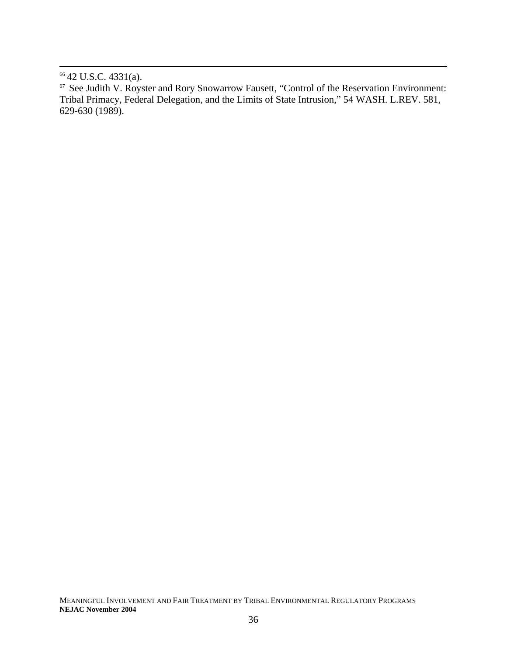66 42 U.S.C. 4331(a).

 $67$  See Judith V. Royster and Rory Snowarrow Fausett, "Control of the Reservation Environment: Tribal Primacy, Federal Delegation, and the Limits of State Intrusion," 54 WASH. L.REV. 581, 629-630 (1989).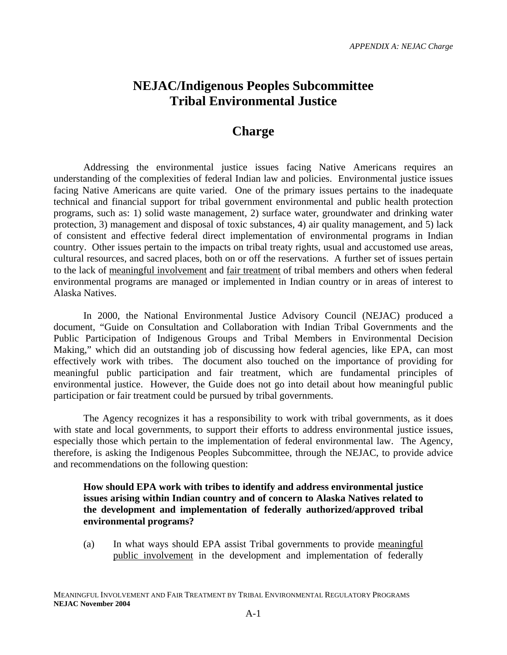# **NEJAC/Indigenous Peoples Subcommittee Tribal Environmental Justice**

# **Charge**

Addressing the environmental justice issues facing Native Americans requires an understanding of the complexities of federal Indian law and policies. Environmental justice issues facing Native Americans are quite varied. One of the primary issues pertains to the inadequate technical and financial support for tribal government environmental and public health protection programs, such as: 1) solid waste management, 2) surface water, groundwater and drinking water protection, 3) management and disposal of toxic substances, 4) air quality management, and 5) lack of consistent and effective federal direct implementation of environmental programs in Indian country. Other issues pertain to the impacts on tribal treaty rights, usual and accustomed use areas, cultural resources, and sacred places, both on or off the reservations. A further set of issues pertain to the lack of meaningful involvement and fair treatment of tribal members and others when federal environmental programs are managed or implemented in Indian country or in areas of interest to Alaska Natives.

In 2000, the National Environmental Justice Advisory Council (NEJAC) produced a document, "Guide on Consultation and Collaboration with Indian Tribal Governments and the Public Participation of Indigenous Groups and Tribal Members in Environmental Decision Making," which did an outstanding job of discussing how federal agencies, like EPA, can most effectively work with tribes. The document also touched on the importance of providing for meaningful public participation and fair treatment, which are fundamental principles of environmental justice. However, the Guide does not go into detail about how meaningful public participation or fair treatment could be pursued by tribal governments.

The Agency recognizes it has a responsibility to work with tribal governments, as it does with state and local governments, to support their efforts to address environmental justice issues, especially those which pertain to the implementation of federal environmental law. The Agency, therefore, is asking the Indigenous Peoples Subcommittee, through the NEJAC, to provide advice and recommendations on the following question:

#### **How should EPA work with tribes to identify and address environmental justice issues arising within Indian country and of concern to Alaska Natives related to the development and implementation of federally authorized/approved tribal environmental programs?**

(a) In what ways should EPA assist Tribal governments to provide meaningful public involvement in the development and implementation of federally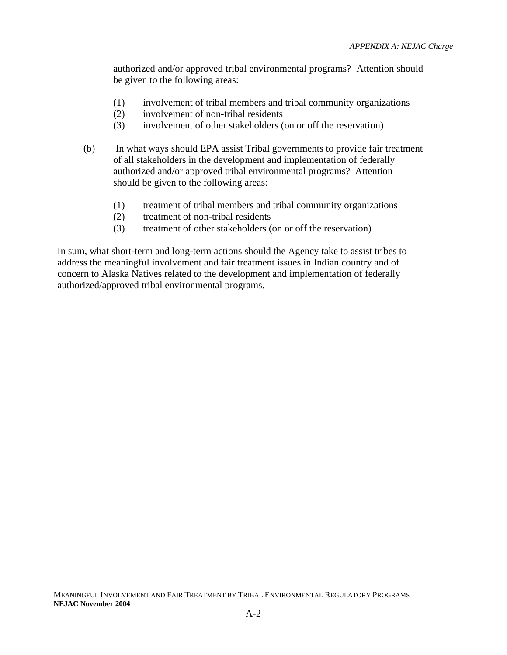authorized and/or approved tribal environmental programs? Attention should be given to the following areas:

- (1) involvement of tribal members and tribal community organizations
- (2) involvement of non-tribal residents
- (3) involvement of other stakeholders (on or off the reservation)
- (b) In what ways should EPA assist Tribal governments to provide fair treatment of all stakeholders in the development and implementation of federally authorized and/or approved tribal environmental programs? Attention should be given to the following areas:
	- (1) treatment of tribal members and tribal community organizations
	- (2) treatment of non-tribal residents
	- (3) treatment of other stakeholders (on or off the reservation)

In sum, what short-term and long-term actions should the Agency take to assist tribes to address the meaningful involvement and fair treatment issues in Indian country and of concern to Alaska Natives related to the development and implementation of federally authorized/approved tribal environmental programs.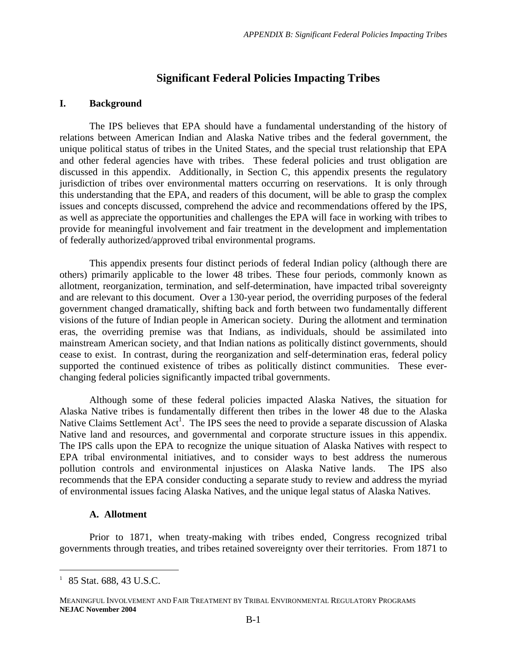# **Significant Federal Policies Impacting Tribes**

#### **I. Background**

The IPS believes that EPA should have a fundamental understanding of the history of relations between American Indian and Alaska Native tribes and the federal government, the unique political status of tribes in the United States, and the special trust relationship that EPA and other federal agencies have with tribes. These federal policies and trust obligation are discussed in this appendix. Additionally, in Section C, this appendix presents the regulatory jurisdiction of tribes over environmental matters occurring on reservations. It is only through this understanding that the EPA, and readers of this document, will be able to grasp the complex issues and concepts discussed, comprehend the advice and recommendations offered by the IPS, as well as appreciate the opportunities and challenges the EPA will face in working with tribes to provide for meaningful involvement and fair treatment in the development and implementation of federally authorized/approved tribal environmental programs.

This appendix presents four distinct periods of federal Indian policy (although there are others) primarily applicable to the lower 48 tribes. These four periods, commonly known as allotment, reorganization, termination, and self-determination, have impacted tribal sovereignty and are relevant to this document. Over a 130-year period, the overriding purposes of the federal government changed dramatically, shifting back and forth between two fundamentally different visions of the future of Indian people in American society. During the allotment and termination eras, the overriding premise was that Indians, as individuals, should be assimilated into mainstream American society, and that Indian nations as politically distinct governments, should cease to exist. In contrast, during the reorganization and self-determination eras, federal policy supported the continued existence of tribes as politically distinct communities. These everchanging federal policies significantly impacted tribal governments.

Although some of these federal policies impacted Alaska Natives, the situation for Alaska Native tribes is fundamentally different then tribes in the lower 48 due to the Alaska Native Claims Settlement  $Act<sup>1</sup>$ . The IPS sees the need to provide a separate discussion of Alaska Native land and resources, and governmental and corporate structure issues in this appendix. The IPS calls upon the EPA to recognize the unique situation of Alaska Natives with respect to EPA tribal environmental initiatives, and to consider ways to best address the numerous pollution controls and environmental injustices on Alaska Native lands. The IPS also recommends that the EPA consider conducting a separate study to review and address the myriad of environmental issues facing Alaska Natives, and the unique legal status of Alaska Natives.

#### **A. Allotment**

Prior to 1871, when treaty-making with tribes ended, Congress recognized tribal governments through treaties, and tribes retained sovereignty over their territories. From 1871 to

<sup>&</sup>lt;sup>1</sup> 85 Stat. 688, 43 U.S.C.

MEANINGFUL INVOLVEMENT AND FAIR TREATMENT BY TRIBAL ENVIRONMENTAL REGULATORY PROGRAMS **NEJAC November 2004**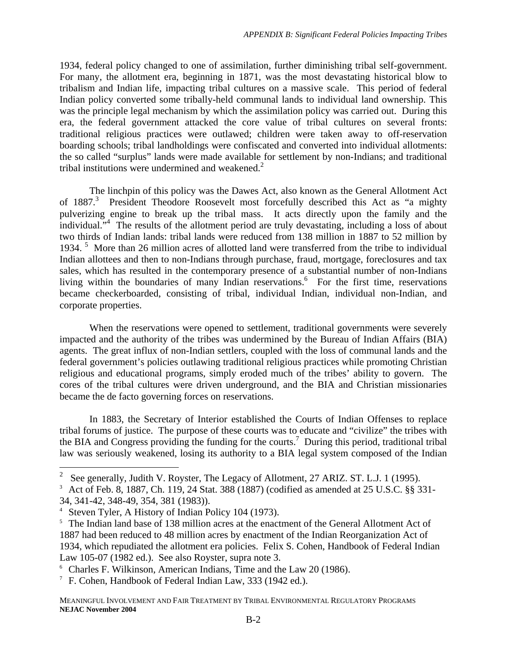1934, federal policy changed to one of assimilation, further diminishing tribal self-government. For many, the allotment era, beginning in 1871, was the most devastating historical blow to tribalism and Indian life, impacting tribal cultures on a massive scale. This period of federal Indian policy converted some tribally-held communal lands to individual land ownership. This was the principle legal mechanism by which the assimilation policy was carried out. During this era, the federal government attacked the core value of tribal cultures on several fronts: traditional religious practices were outlawed; children were taken away to off-reservation boarding schools; tribal landholdings were confiscated and converted into individual allotments: the so called "surplus" lands were made available for settlement by non-Indians; and traditional tribal institutions were undermined and weakened. $2$ 

The linchpin of this policy was the Dawes Act, also known as the General Allotment Act of 1887.<sup>3</sup> President Theodore Roosevelt most forcefully described this Act as "a mighty pulverizing engine to break up the tribal mass. It acts directly upon the family and the individual."<sup>4</sup> The results of the allotment period are truly devastating, including a loss of about two thirds of Indian lands: tribal lands were reduced from 138 million in 1887 to 52 million by 1934.<sup>5</sup> More than 26 million acres of allotted land were transferred from the tribe to individual Indian allottees and then to non-Indians through purchase, fraud, mortgage, foreclosures and tax sales, which has resulted in the contemporary presence of a substantial number of non-Indians living within the boundaries of many Indian reservations.<sup>6</sup> For the first time, reservations became checkerboarded, consisting of tribal, individual Indian, individual non-Indian, and corporate properties.

When the reservations were opened to settlement, traditional governments were severely impacted and the authority of the tribes was undermined by the Bureau of Indian Affairs (BIA) agents. The great influx of non-Indian settlers, coupled with the loss of communal lands and the federal government's policies outlawing traditional religious practices while promoting Christian religious and educational programs, simply eroded much of the tribes' ability to govern. The cores of the tribal cultures were driven underground, and the BIA and Christian missionaries became the de facto governing forces on reservations.

In 1883, the Secretary of Interior established the Courts of Indian Offenses to replace tribal forums of justice. The purpose of these courts was to educate and "civilize" the tribes with the BIA and Congress providing the funding for the courts.<sup>7</sup> During this period, traditional tribal law was seriously weakened, losing its authority to a BIA legal system composed of the Indian

3 Act of Feb. 8, 1887, Ch. 119, 24 Stat. 388 (1887) (codified as amended at 25 U.S.C. §§ 331-

<sup>2</sup> See generally, Judith V. Royster, The Legacy of Allotment, 27 ARIZ. ST. L.J. 1 (1995).

<sup>34, 341-42, 348-49, 354, 381 (1983)).</sup> 

<sup>&</sup>lt;sup>4</sup> Steven Tyler, A History of Indian Policy 104 (1973).<br><sup>5</sup> The Indian land base of 138 million acres at the enactment of the General Allotment Act of 1887 had been reduced to 48 million acres by enactment of the Indian Reorganization Act of 1934, which repudiated the allotment era policies. Felix S. Cohen, Handbook of Federal Indian

Law 105-07 (1982 ed.). See also Royster, supra note 3.<br>
<sup>6</sup> Charles F. Wilkinson, American Indians, Time and the Law 20 (1986).<br>
<sup>7</sup> F. Cohen, Handbook of Federal Indian Law, 333 (1942 ed.).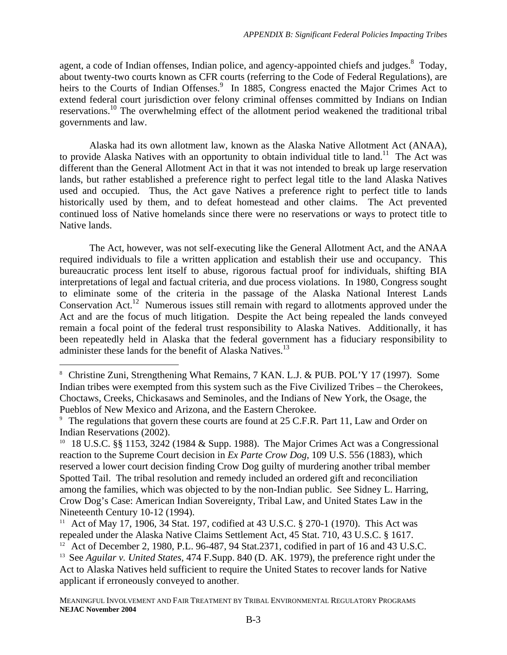agent, a code of Indian offenses, Indian police, and agency-appointed chiefs and judges.<sup>8</sup> Today, about twenty-two courts known as CFR courts (referring to the Code of Federal Regulations), are heirs to the Courts of Indian Offenses.<sup>9</sup> In 1885, Congress enacted the Major Crimes Act to extend federal court jurisdiction over felony criminal offenses committed by Indians on Indian reservations.<sup>10</sup> The overwhelming effect of the allotment period weakened the traditional tribal governments and law.

Alaska had its own allotment law, known as the Alaska Native Allotment Act (ANAA), to provide Alaska Natives with an opportunity to obtain individual title to land.<sup>11</sup> The Act was different than the General Allotment Act in that it was not intended to break up large reservation lands, but rather established a preference right to perfect legal title to the land Alaska Natives used and occupied. Thus, the Act gave Natives a preference right to perfect title to lands historically used by them, and to defeat homestead and other claims. The Act prevented continued loss of Native homelands since there were no reservations or ways to protect title to Native lands.

The Act, however, was not self-executing like the General Allotment Act, and the ANAA required individuals to file a written application and establish their use and occupancy. This bureaucratic process lent itself to abuse, rigorous factual proof for individuals, shifting BIA interpretations of legal and factual criteria, and due process violations. In 1980, Congress sought to eliminate some of the criteria in the passage of the Alaska National Interest Lands Conservation Act.<sup>12</sup> Numerous issues still remain with regard to allotments approved under the Act and are the focus of much litigation. Despite the Act being repealed the lands conveyed remain a focal point of the federal trust responsibility to Alaska Natives. Additionally, it has been repeatedly held in Alaska that the federal government has a fiduciary responsibility to administer these lands for the benefit of Alaska Natives.<sup>13</sup>

<sup>8</sup> Christine Zuni, Strengthening What Remains, 7 KAN. L.J. & PUB. POL'Y 17 (1997). Some Indian tribes were exempted from this system such as the Five Civilized Tribes – the Cherokees, Choctaws, Creeks, Chickasaws and Seminoles, and the Indians of New York, the Osage, the Pueblos of New Mexico and Arizona, and the Eastern Cherokee.

 $9\textdegree$  The regulations that govern these courts are found at 25 C.F.R. Part 11, Law and Order on Indian Reservations (2002).

<sup>&</sup>lt;sup>10</sup> 18 U.S.C. §§ 1153, 3242 (1984 & Supp. 1988). The Major Crimes Act was a Congressional reaction to the Supreme Court decision in *Ex Parte Crow Dog*, 109 U.S. 556 (1883), which reserved a lower court decision finding Crow Dog guilty of murdering another tribal member Spotted Tail. The tribal resolution and remedy included an ordered gift and reconciliation among the families, which was objected to by the non-Indian public. See Sidney L. Harring, Crow Dog's Case: American Indian Sovereignty, Tribal Law, and United States Law in the Nineteenth Century 10-12 (1994).

<sup>&</sup>lt;sup>11</sup> Act of May 17, 1906, 34 Stat. 197, codified at 43 U.S.C. § 270-1 (1970). This Act was

repealed under the Alaska Native Claims Settlement Act, 45 Stat. 710, 43 U.S.C. § 1617.<br><sup>12</sup> Act of December 2, 1980, P.L. 96-487, 94 Stat.2371, codified in part of 16 and 43 U.S.C.<br><sup>13</sup> See Aguilar v. United States, 474 F Act to Alaska Natives held sufficient to require the United States to recover lands for Native applicant if erroneously conveyed to another.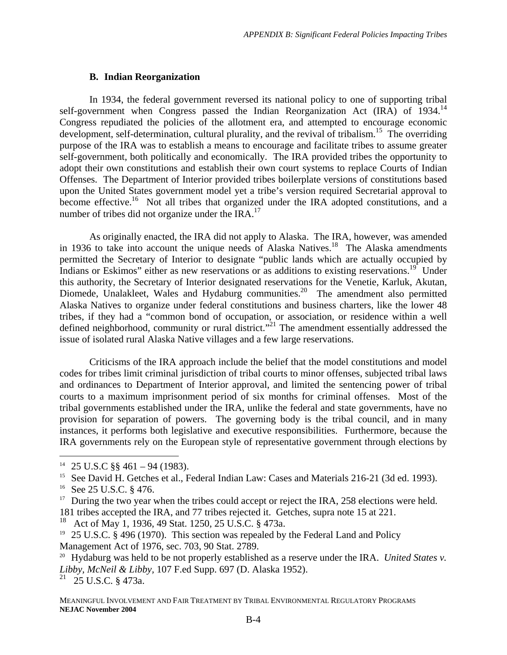# **B. Indian Reorganization**

In 1934, the federal government reversed its national policy to one of supporting tribal self-government when Congress passed the Indian Reorganization Act (IRA) of  $1934$ <sup>14</sup> Congress repudiated the policies of the allotment era, and attempted to encourage economic development, self-determination, cultural plurality, and the revival of tribalism.<sup>15</sup> The overriding purpose of the IRA was to establish a means to encourage and facilitate tribes to assume greater self-government, both politically and economically. The IRA provided tribes the opportunity to adopt their own constitutions and establish their own court systems to replace Courts of Indian Offenses. The Department of Interior provided tribes boilerplate versions of constitutions based upon the United States government model yet a tribe's version required Secretarial approval to become effective.<sup>16</sup> Not all tribes that organized under the IRA adopted constitutions, and a number of tribes did not organize under the  $IRA$ .<sup>17</sup>

As originally enacted, the IRA did not apply to Alaska. The IRA, however, was amended in 1936 to take into account the unique needs of Alaska Natives.<sup>18</sup> The Alaska amendments permitted the Secretary of Interior to designate "public lands which are actually occupied by Indians or Eskimos" either as new reservations or as additions to existing reservations.<sup>19</sup> Under this authority, the Secretary of Interior designated reservations for the Venetie, Karluk, Akutan, Diomede, Unalakleet, Wales and Hydaburg communities.<sup>20</sup> The amendment also permitted Alaska Natives to organize under federal constitutions and business charters, like the lower 48 tribes, if they had a "common bond of occupation, or association, or residence within a well defined neighborhood, community or rural district."<sup>21</sup> The amendment essentially addressed the issue of isolated rural Alaska Native villages and a few large reservations.

Criticisms of the IRA approach include the belief that the model constitutions and model codes for tribes limit criminal jurisdiction of tribal courts to minor offenses, subjected tribal laws and ordinances to Department of Interior approval, and limited the sentencing power of tribal courts to a maximum imprisonment period of six months for criminal offenses. Most of the tribal governments established under the IRA, unlike the federal and state governments, have no provision for separation of powers. The governing body is the tribal council, and in many instances, it performs both legislative and executive responsibilities. Furthermore, because the IRA governments rely on the European style of representative government through elections by

<sup>&</sup>lt;sup>14</sup> 25 U.S.C §§ 461 – 94 (1983).<br><sup>15</sup> See David H. Getches et al., Federal Indian Law: Cases and Materials 216-21 (3d ed. 1993).<br><sup>16</sup> See 25 U.S.C. § 476.<br><sup>17</sup> During the two year when the tribes could accept or reject t

<sup>181</sup> tribes accepted the IRA, and 77 tribes rejected it. Getches, supra note 15 at 221.

<sup>18</sup> Act of May 1, 1936, 49 Stat. 1250, 25 U.S.C. § 473a.

<sup>&</sup>lt;sup>19</sup> 25 U.S.C. § 496 (1970). This section was repealed by the Federal Land and Policy

Management Act of 1976, sec. 703, 90 Stat. 2789.

<sup>20</sup> Hydaburg was held to be not properly established as a reserve under the IRA. *United States v. Libby, McNeil & Libby, 107 F.ed Supp. 697 (D. Alaska 1952).*<br><sup>21</sup> 25 U S C & 473a

<sup>25</sup> U.S.C. § 473a.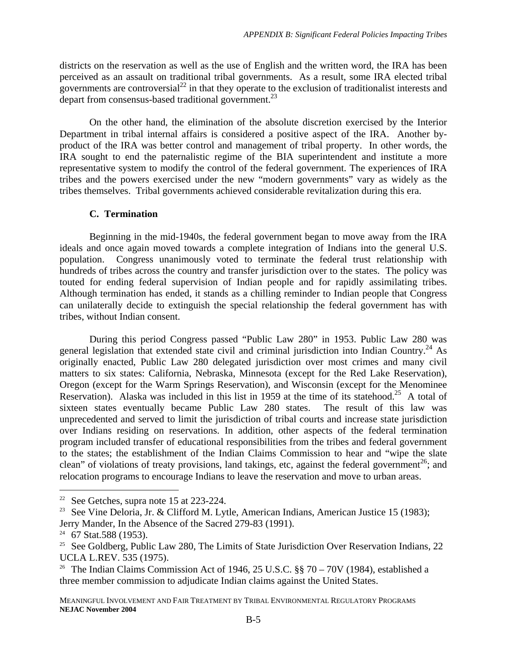districts on the reservation as well as the use of English and the written word, the IRA has been perceived as an assault on traditional tribal governments. As a result, some IRA elected tribal governments are controversial<sup>22</sup> in that they operate to the exclusion of traditionalist interests and depart from consensus-based traditional government.<sup>23</sup>

On the other hand, the elimination of the absolute discretion exercised by the Interior Department in tribal internal affairs is considered a positive aspect of the IRA. Another byproduct of the IRA was better control and management of tribal property. In other words, the IRA sought to end the paternalistic regime of the BIA superintendent and institute a more representative system to modify the control of the federal government. The experiences of IRA tribes and the powers exercised under the new "modern governments" vary as widely as the tribes themselves. Tribal governments achieved considerable revitalization during this era.

# **C. Termination**

Beginning in the mid-1940s, the federal government began to move away from the IRA ideals and once again moved towards a complete integration of Indians into the general U.S. population. Congress unanimously voted to terminate the federal trust relationship with hundreds of tribes across the country and transfer jurisdiction over to the states. The policy was touted for ending federal supervision of Indian people and for rapidly assimilating tribes. Although termination has ended, it stands as a chilling reminder to Indian people that Congress can unilaterally decide to extinguish the special relationship the federal government has with tribes, without Indian consent.

During this period Congress passed "Public Law 280" in 1953. Public Law 280 was general legislation that extended state civil and criminal jurisdiction into Indian Country.<sup>24</sup> As originally enacted, Public Law 280 delegated jurisdiction over most crimes and many civil matters to six states: California, Nebraska, Minnesota (except for the Red Lake Reservation), Oregon (except for the Warm Springs Reservation), and Wisconsin (except for the Menominee Reservation). Alaska was included in this list in 1959 at the time of its statehood.<sup>25</sup> A total of sixteen states eventually became Public Law 280 states. The result of this law was unprecedented and served to limit the jurisdiction of tribal courts and increase state jurisdiction over Indians residing on reservations. In addition, other aspects of the federal termination program included transfer of educational responsibilities from the tribes and federal government to the states; the establishment of the Indian Claims Commission to hear and "wipe the slate clean" of violations of treaty provisions, land takings, etc, against the federal government<sup>26</sup>; and relocation programs to encourage Indians to leave the reservation and move to urban areas.

<sup>&</sup>lt;sup>22</sup> See Getches, supra note 15 at 223-224.<br><sup>23</sup> See Vine Deloria, Jr. & Clifford M. Lytle, American Indians, American Justice 15 (1983); Jerry Mander, In the Absence of the Sacred 279-83 (1991).

<sup>&</sup>lt;sup>24</sup> 67 Stat.588 (1953).<br><sup>25</sup> See Goldberg, Public Law 280, The Limits of State Jurisdiction Over Reservation Indians, 22 UCLA L.REV. 535 (1975).

<sup>&</sup>lt;sup>26</sup> The Indian Claims Commission Act of 1946, 25 U.S.C.  $\S$ § 70 – 70V (1984), established a three member commission to adjudicate Indian claims against the United States.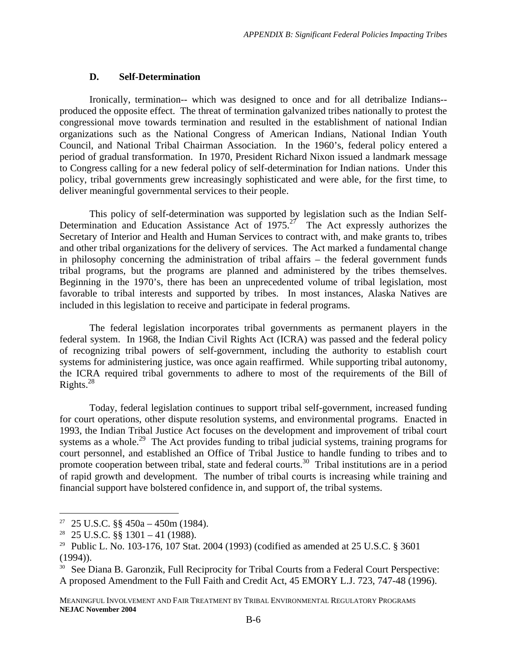#### **D. Self-Determination**

Ironically, termination-- which was designed to once and for all detribalize Indians- produced the opposite effect. The threat of termination galvanized tribes nationally to protest the congressional move towards termination and resulted in the establishment of national Indian organizations such as the National Congress of American Indians, National Indian Youth Council, and National Tribal Chairman Association. In the 1960's, federal policy entered a period of gradual transformation. In 1970, President Richard Nixon issued a landmark message to Congress calling for a new federal policy of self-determination for Indian nations. Under this policy, tribal governments grew increasingly sophisticated and were able, for the first time, to deliver meaningful governmental services to their people.

This policy of self-determination was supported by legislation such as the Indian Self-Determination and Education Assistance Act of  $1975.<sup>27</sup>$  The Act expressly authorizes the Secretary of Interior and Health and Human Services to contract with, and make grants to, tribes and other tribal organizations for the delivery of services. The Act marked a fundamental change in philosophy concerning the administration of tribal affairs – the federal government funds tribal programs, but the programs are planned and administered by the tribes themselves. Beginning in the 1970's, there has been an unprecedented volume of tribal legislation, most favorable to tribal interests and supported by tribes. In most instances, Alaska Natives are included in this legislation to receive and participate in federal programs.

The federal legislation incorporates tribal governments as permanent players in the federal system. In 1968, the Indian Civil Rights Act (ICRA) was passed and the federal policy of recognizing tribal powers of self-government, including the authority to establish court systems for administering justice, was once again reaffirmed. While supporting tribal autonomy, the ICRA required tribal governments to adhere to most of the requirements of the Bill of Rights. $^{28}$ 

Today, federal legislation continues to support tribal self-government, increased funding for court operations, other dispute resolution systems, and environmental programs. Enacted in 1993, the Indian Tribal Justice Act focuses on the development and improvement of tribal court systems as a whole.<sup>29</sup> The Act provides funding to tribal judicial systems, training programs for court personnel, and established an Office of Tribal Justice to handle funding to tribes and to promote cooperation between tribal, state and federal courts.30 Tribal institutions are in a period of rapid growth and development. The number of tribal courts is increasing while training and financial support have bolstered confidence in, and support of, the tribal systems.

<sup>&</sup>lt;sup>27</sup> 25 U.S.C. §§ 450a – 450m (1984).<br><sup>28</sup> 25 U.S.C. §§ 1301 – 41 (1988).

<sup>&</sup>lt;sup>29</sup> Public L. No. 103-176, 107 Stat. 2004 (1993) (codified as amended at 25 U.S.C. § 3601 (1994)).

<sup>&</sup>lt;sup>30</sup> See Diana B. Garonzik, Full Reciprocity for Tribal Courts from a Federal Court Perspective: A proposed Amendment to the Full Faith and Credit Act, 45 EMORY L.J. 723, 747-48 (1996).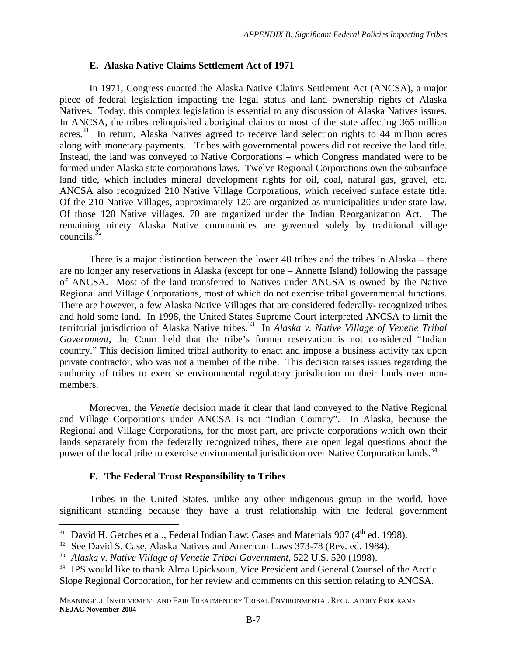# **E. Alaska Native Claims Settlement Act of 1971**

In 1971, Congress enacted the Alaska Native Claims Settlement Act (ANCSA), a major piece of federal legislation impacting the legal status and land ownership rights of Alaska Natives. Today, this complex legislation is essential to any discussion of Alaska Natives issues. In ANCSA, the tribes relinquished aboriginal claims to most of the state affecting 365 million  $\alpha$  acres.<sup>31</sup> In return, Alaska Natives agreed to receive land selection rights to 44 million acres along with monetary payments. Tribes with governmental powers did not receive the land title. Instead, the land was conveyed to Native Corporations – which Congress mandated were to be formed under Alaska state corporations laws. Twelve Regional Corporations own the subsurface land title, which includes mineral development rights for oil, coal, natural gas, gravel, etc. ANCSA also recognized 210 Native Village Corporations, which received surface estate title. Of the 210 Native Villages, approximately 120 are organized as municipalities under state law. Of those 120 Native villages, 70 are organized under the Indian Reorganization Act. The remaining ninety Alaska Native communities are governed solely by traditional village councils.32

There is a major distinction between the lower 48 tribes and the tribes in Alaska – there are no longer any reservations in Alaska (except for one – Annette Island) following the passage of ANCSA. Most of the land transferred to Natives under ANCSA is owned by the Native Regional and Village Corporations, most of which do not exercise tribal governmental functions. There are however, a few Alaska Native Villages that are considered federally- recognized tribes and hold some land. In 1998, the United States Supreme Court interpreted ANCSA to limit the territorial jurisdiction of Alaska Native tribes.<sup>33</sup> In *Alaska v. Native Village of Venetie Tribal Government*, the Court held that the tribe's former reservation is not considered "Indian country." This decision limited tribal authority to enact and impose a business activity tax upon private contractor, who was not a member of the tribe. This decision raises issues regarding the authority of tribes to exercise environmental regulatory jurisdiction on their lands over nonmembers.

 Moreover, the *Venetie* decision made it clear that land conveyed to the Native Regional and Village Corporations under ANCSA is not "Indian Country". In Alaska, because the Regional and Village Corporations, for the most part, are private corporations which own their lands separately from the federally recognized tribes, there are open legal questions about the power of the local tribe to exercise environmental jurisdiction over Native Corporation lands.<sup>34</sup>

# **F. The Federal Trust Responsibility to Tribes**

Tribes in the United States, unlike any other indigenous group in the world, have significant standing because they have a trust relationship with the federal government

<sup>&</sup>lt;sup>31</sup> David H. Getches et al., Federal Indian Law: Cases and Materials 907 ( $4^{\text{th}}$  ed. 1998).<br><sup>32</sup> See David S. Case, Alaska Natives and American Laws 373-78 (Rev. ed. 1984).<br><sup>33</sup> Alaska v. Native Village of Venetie Tri

Slope Regional Corporation, for her review and comments on this section relating to ANCSA.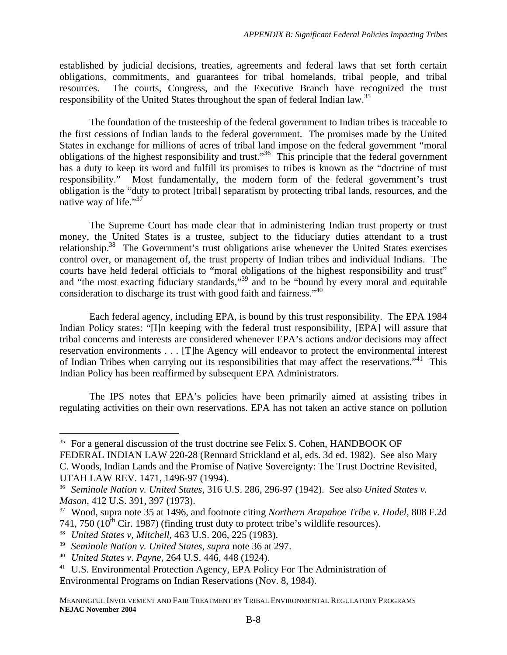established by judicial decisions, treaties, agreements and federal laws that set forth certain obligations, commitments, and guarantees for tribal homelands, tribal people, and tribal resources. The courts, Congress, and the Executive Branch have recognized the trust responsibility of the United States throughout the span of federal Indian law.<sup>35</sup>

The foundation of the trusteeship of the federal government to Indian tribes is traceable to the first cessions of Indian lands to the federal government. The promises made by the United States in exchange for millions of acres of tribal land impose on the federal government "moral obligations of the highest responsibility and trust."36 This principle that the federal government has a duty to keep its word and fulfill its promises to tribes is known as the "doctrine of trust responsibility." Most fundamentally, the modern form of the federal government's trust obligation is the "duty to protect [tribal] separatism by protecting tribal lands, resources, and the native way of life."<sup>37</sup>

The Supreme Court has made clear that in administering Indian trust property or trust money, the United States is a trustee, subject to the fiduciary duties attendant to a trust relationship.<sup>38</sup> The Government's trust obligations arise whenever the United States exercises control over, or management of, the trust property of Indian tribes and individual Indians. The courts have held federal officials to "moral obligations of the highest responsibility and trust" and "the most exacting fiduciary standards,"<sup>39</sup> and to be "bound by every moral and equitable" consideration to discharge its trust with good faith and fairness."40

Each federal agency, including EPA, is bound by this trust responsibility. The EPA 1984 Indian Policy states: "[I]n keeping with the federal trust responsibility, [EPA] will assure that tribal concerns and interests are considered whenever EPA's actions and/or decisions may affect reservation environments . . . [T]he Agency will endeavor to protect the environmental interest of Indian Tribes when carrying out its responsibilities that may affect the reservations."<sup>41</sup> This Indian Policy has been reaffirmed by subsequent EPA Administrators.

The IPS notes that EPA's policies have been primarily aimed at assisting tribes in regulating activities on their own reservations. EPA has not taken an active stance on pollution

<sup>&</sup>lt;sup>35</sup> For a general discussion of the trust doctrine see Felix S. Cohen, HANDBOOK OF FEDERAL INDIAN LAW 220-28 (Rennard Strickland et al, eds. 3d ed. 1982). See also Mary C. Woods, Indian Lands and the Promise of Native Sovereignty: The Trust Doctrine Revisited, UTAH LAW REV. 1471, 1496-97 (1994). 36 *Seminole Nation v. United States,* 316 U.S. 286, 296-97 (1942). See also *United States v.* 

*Mason,* 412 U.S. 391, 397 (1973).<br><sup>37</sup> Wood, supra note 35 at 1496, and footnote citing *Northern Arapahoe Tribe v. Hodel*, 808 F.2d

<sup>741, 750 (</sup> $10^{th}$  Cir. 1987) (finding trust duty to protect tribe's wildlife resources).<br><sup>38</sup> *United States v, Mitchell,* 463 U.S. 206, 225 (1983).

<sup>&</sup>lt;sup>39</sup> Seminole Nation v. United States, supra note 36 at 297.<br><sup>40</sup> *United States v. Payne*, 264 U.S. 446, 448 (1924).<br><sup>41</sup> U.S. Environmental Protection Agency, EPA Policy For The Administration of Environmental Programs on Indian Reservations (Nov. 8, 1984).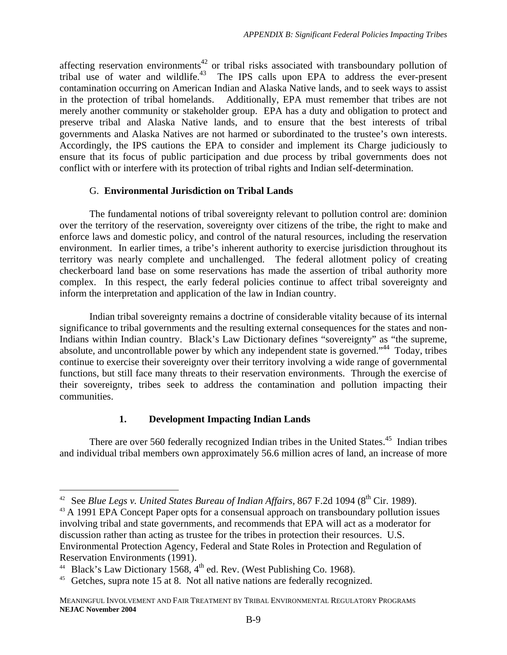affecting reservation environments<sup>42</sup> or tribal risks associated with transboundary pollution of tribal use of water and wildlife. $43$  The IPS calls upon EPA to address the ever-present contamination occurring on American Indian and Alaska Native lands, and to seek ways to assist in the protection of tribal homelands. Additionally, EPA must remember that tribes are not merely another community or stakeholder group. EPA has a duty and obligation to protect and preserve tribal and Alaska Native lands, and to ensure that the best interests of tribal governments and Alaska Natives are not harmed or subordinated to the trustee's own interests. Accordingly, the IPS cautions the EPA to consider and implement its Charge judiciously to ensure that its focus of public participation and due process by tribal governments does not conflict with or interfere with its protection of tribal rights and Indian self-determination.

# G. **Environmental Jurisdiction on Tribal Lands**

The fundamental notions of tribal sovereignty relevant to pollution control are: dominion over the territory of the reservation, sovereignty over citizens of the tribe, the right to make and enforce laws and domestic policy, and control of the natural resources, including the reservation environment. In earlier times, a tribe's inherent authority to exercise jurisdiction throughout its territory was nearly complete and unchallenged. The federal allotment policy of creating checkerboard land base on some reservations has made the assertion of tribal authority more complex. In this respect, the early federal policies continue to affect tribal sovereignty and inform the interpretation and application of the law in Indian country.

Indian tribal sovereignty remains a doctrine of considerable vitality because of its internal significance to tribal governments and the resulting external consequences for the states and non-Indians within Indian country. Black's Law Dictionary defines "sovereignty" as "the supreme, absolute, and uncontrollable power by which any independent state is governed."44 Today, tribes continue to exercise their sovereignty over their territory involving a wide range of governmental functions, but still face many threats to their reservation environments. Through the exercise of their sovereignty, tribes seek to address the contamination and pollution impacting their communities.

# **1. Development Impacting Indian Lands**

There are over 560 federally recognized Indian tribes in the United States.<sup>45</sup> Indian tribes and individual tribal members own approximately 56.6 million acres of land, an increase of more

<sup>&</sup>lt;sup>42</sup> See *Blue Legs v. United States Bureau of Indian Affairs*, 867 F.2d 1094 (8<sup>th</sup> Cir. 1989).<br><sup>43</sup> A 1991 EPA Concept Paper opts for a consensual approach on transboundary pollution issues

involving tribal and state governments, and recommends that EPA will act as a moderator for discussion rather than acting as trustee for the tribes in protection their resources. U.S. Environmental Protection Agency, Federal and State Roles in Protection and Regulation of Reservation Environments (1991).

<sup>&</sup>lt;sup>44</sup> Black's Law Dictionary 1568,  $4^{\text{th}}$  ed. Rev. (West Publishing Co. 1968).<br><sup>45</sup> Getches, supra note 15 at 8. Not all native nations are federally recognized.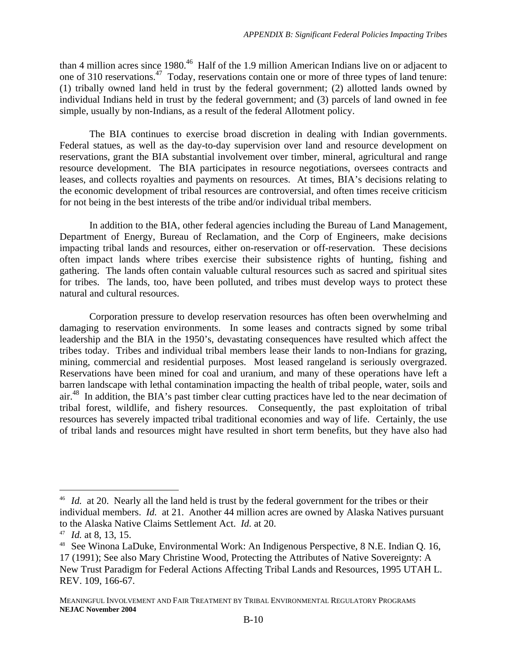than 4 million acres since 1980.<sup>46</sup> Half of the 1.9 million American Indians live on or adjacent to one of 310 reservations.47 Today, reservations contain one or more of three types of land tenure: (1) tribally owned land held in trust by the federal government; (2) allotted lands owned by individual Indians held in trust by the federal government; and (3) parcels of land owned in fee simple, usually by non-Indians, as a result of the federal Allotment policy.

The BIA continues to exercise broad discretion in dealing with Indian governments. Federal statues, as well as the day-to-day supervision over land and resource development on reservations, grant the BIA substantial involvement over timber, mineral, agricultural and range resource development. The BIA participates in resource negotiations, oversees contracts and leases, and collects royalties and payments on resources. At times, BIA's decisions relating to the economic development of tribal resources are controversial, and often times receive criticism for not being in the best interests of the tribe and/or individual tribal members.

In addition to the BIA, other federal agencies including the Bureau of Land Management, Department of Energy, Bureau of Reclamation, and the Corp of Engineers, make decisions impacting tribal lands and resources, either on-reservation or off-reservation. These decisions often impact lands where tribes exercise their subsistence rights of hunting, fishing and gathering. The lands often contain valuable cultural resources such as sacred and spiritual sites for tribes. The lands, too, have been polluted, and tribes must develop ways to protect these natural and cultural resources.

Corporation pressure to develop reservation resources has often been overwhelming and damaging to reservation environments. In some leases and contracts signed by some tribal leadership and the BIA in the 1950's, devastating consequences have resulted which affect the tribes today. Tribes and individual tribal members lease their lands to non-Indians for grazing, mining, commercial and residential purposes. Most leased rangeland is seriously overgrazed. Reservations have been mined for coal and uranium, and many of these operations have left a barren landscape with lethal contamination impacting the health of tribal people, water, soils and air.48 In addition, the BIA's past timber clear cutting practices have led to the near decimation of tribal forest, wildlife, and fishery resources. Consequently, the past exploitation of tribal resources has severely impacted tribal traditional economies and way of life. Certainly, the use of tribal lands and resources might have resulted in short term benefits, but they have also had

<sup>&</sup>lt;sup>46</sup> *Id.* at 20. Nearly all the land held is trust by the federal government for the tribes or their individual members. *Id.* at 21. Another 44 million acres are owned by Alaska Natives pursuant to the Alaska Native Claims Settlement Act. *Id.* at 20.<br><sup>47</sup> *Id.* at 8, 13, 15.<br><sup>48</sup> See Winona LaDuke, Environmental Work: An Indigenous Perspective, 8 N.E. Indian Q. 16,

<sup>17 (1991);</sup> See also Mary Christine Wood, Protecting the Attributes of Native Sovereignty: A New Trust Paradigm for Federal Actions Affecting Tribal Lands and Resources, 1995 UTAH L. REV. 109, 166-67.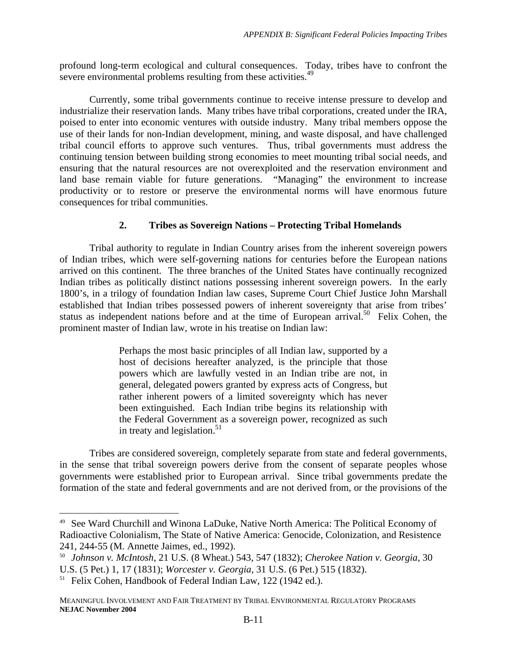profound long-term ecological and cultural consequences. Today, tribes have to confront the severe environmental problems resulting from these activities.<sup>49</sup>

Currently, some tribal governments continue to receive intense pressure to develop and industrialize their reservation lands. Many tribes have tribal corporations, created under the IRA, poised to enter into economic ventures with outside industry. Many tribal members oppose the use of their lands for non-Indian development, mining, and waste disposal, and have challenged tribal council efforts to approve such ventures. Thus, tribal governments must address the continuing tension between building strong economies to meet mounting tribal social needs, and ensuring that the natural resources are not overexploited and the reservation environment and land base remain viable for future generations. "Managing" the environment to increase productivity or to restore or preserve the environmental norms will have enormous future consequences for tribal communities.

# **2. Tribes as Sovereign Nations – Protecting Tribal Homelands**

Tribal authority to regulate in Indian Country arises from the inherent sovereign powers of Indian tribes, which were self-governing nations for centuries before the European nations arrived on this continent. The three branches of the United States have continually recognized Indian tribes as politically distinct nations possessing inherent sovereign powers. In the early 1800's, in a trilogy of foundation Indian law cases, Supreme Court Chief Justice John Marshall established that Indian tribes possessed powers of inherent sovereignty that arise from tribes' status as independent nations before and at the time of European arrival.<sup>50</sup> Felix Cohen, the prominent master of Indian law, wrote in his treatise on Indian law:

> Perhaps the most basic principles of all Indian law, supported by a host of decisions hereafter analyzed, is the principle that those powers which are lawfully vested in an Indian tribe are not, in general, delegated powers granted by express acts of Congress, but rather inherent powers of a limited sovereignty which has never been extinguished. Each Indian tribe begins its relationship with the Federal Government as a sovereign power, recognized as such in treaty and legislation.<sup>51</sup>

Tribes are considered sovereign, completely separate from state and federal governments, in the sense that tribal sovereign powers derive from the consent of separate peoples whose governments were established prior to European arrival. Since tribal governments predate the formation of the state and federal governments and are not derived from, or the provisions of the

<sup>49</sup> See Ward Churchill and Winona LaDuke, Native North America: The Political Economy of Radioactive Colonialism, The State of Native America: Genocide, Colonization, and Resistence 241, 244-55 (M. Annette Jaimes, ed., 1992).

<sup>50</sup>*Johnson v. McIntosh,* 21 U.S. (8 Wheat.) 543, 547 (1832); *Cherokee Nation v. Georgia,* 30

U.S. (5 Pet.) 1, 17 (1831); *Worcester v. Georgia*, 31 U.S. (6 Pet.) 515 (1832).<br><sup>51</sup> Felix Cohen, Handbook of Federal Indian Law, 122 (1942 ed.).

MEANINGFUL INVOLVEMENT AND FAIR TREATMENT BY TRIBAL ENVIRONMENTAL REGULATORY PROGRAMS **NEJAC November 2004**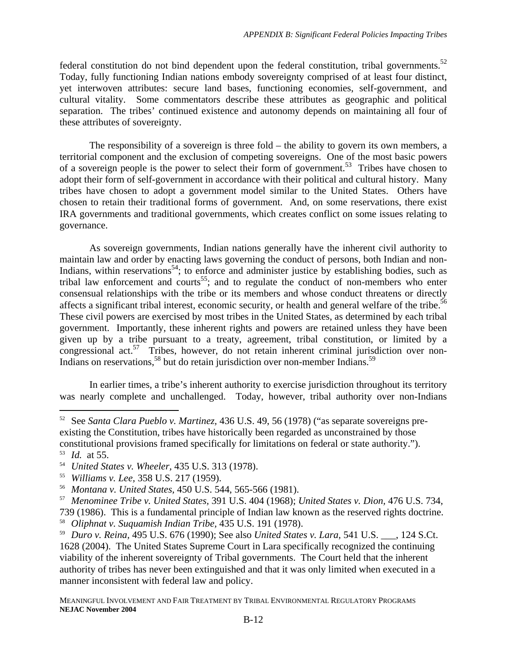federal constitution do not bind dependent upon the federal constitution, tribal governments.<sup>52</sup> Today, fully functioning Indian nations embody sovereignty comprised of at least four distinct, yet interwoven attributes: secure land bases, functioning economies, self-government, and cultural vitality. Some commentators describe these attributes as geographic and political separation. The tribes' continued existence and autonomy depends on maintaining all four of these attributes of sovereignty.

The responsibility of a sovereign is three fold – the ability to govern its own members, a territorial component and the exclusion of competing sovereigns. One of the most basic powers of a sovereign people is the power to select their form of government.<sup>53</sup> Tribes have chosen to adopt their form of self-government in accordance with their political and cultural history. Many tribes have chosen to adopt a government model similar to the United States. Others have chosen to retain their traditional forms of government. And, on some reservations, there exist IRA governments and traditional governments, which creates conflict on some issues relating to governance.

As sovereign governments, Indian nations generally have the inherent civil authority to maintain law and order by enacting laws governing the conduct of persons, both Indian and non-Indians, within reservations<sup>54</sup>; to enforce and administer justice by establishing bodies, such as tribal law enforcement and courts<sup>55</sup>; and to regulate the conduct of non-members who enter consensual relationships with the tribe or its members and whose conduct threatens or directly affects a significant tribal interest, economic security, or health and general welfare of the tribe.<sup>56</sup> These civil powers are exercised by most tribes in the United States, as determined by each tribal government. Importantly, these inherent rights and powers are retained unless they have been given up by a tribe pursuant to a treaty, agreement, tribal constitution, or limited by a congressional act.<sup>57</sup> Tribes, however, do not retain inherent criminal jurisdiction over non-Indians on reservations,<sup>58</sup> but do retain jurisdiction over non-member Indians.<sup>59</sup>

In earlier times, a tribe's inherent authority to exercise jurisdiction throughout its territory was nearly complete and unchallenged. Today, however, tribal authority over non-Indians

<sup>52</sup> See *Santa Clara Pueblo v. Martinez,* 436 U.S. 49, 56 (1978) ("as separate sovereigns preexisting the Constitution, tribes have historically been regarded as unconstrained by those constitutional provisions framed specifically for limitations on federal or state authority.").<br>
<sup>53</sup> *Id.* at 55.<br>
<sup>54</sup> *United States v. Wheeler*, 435 U.S. 313 (1978).<br>
<sup>55</sup> *Williams v. Lee*, 358 U.S. 217 (1959).<br>
<sup>56</sup>

<sup>739 (1986).</sup> This is a fundamental principle of Indian law known as the reserved rights doctrine. 58 *Oliphnat v. Suquamish Indian Tribe,* 435 U.S. 191 (1978).

<sup>59</sup>*Duro v. Reina,* 495 U.S. 676 (1990); See also *United States v. Lara,* 541 U.S. \_\_\_, 124 S.Ct. 1628 (2004). The United States Supreme Court in Lara specifically recognized the continuing viability of the inherent sovereignty of Tribal governments. The Court held that the inherent authority of tribes has never been extinguished and that it was only limited when executed in a manner inconsistent with federal law and policy.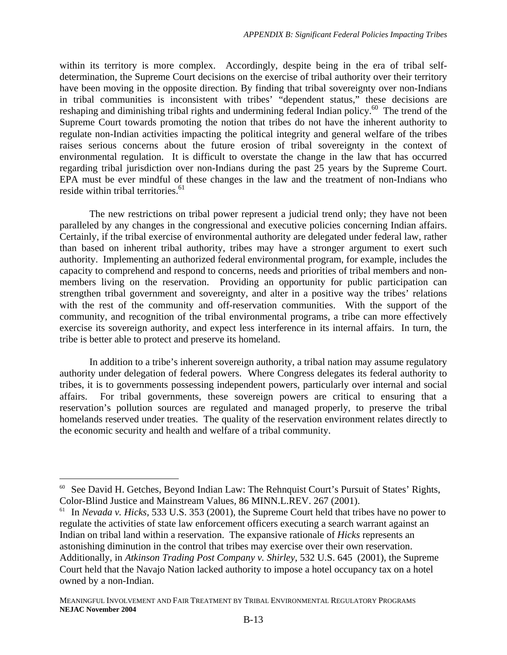within its territory is more complex. Accordingly, despite being in the era of tribal selfdetermination, the Supreme Court decisions on the exercise of tribal authority over their territory have been moving in the opposite direction. By finding that tribal sovereignty over non-Indians in tribal communities is inconsistent with tribes' "dependent status," these decisions are reshaping and diminishing tribal rights and undermining federal Indian policy.<sup>60</sup> The trend of the Supreme Court towards promoting the notion that tribes do not have the inherent authority to regulate non-Indian activities impacting the political integrity and general welfare of the tribes raises serious concerns about the future erosion of tribal sovereignty in the context of environmental regulation. It is difficult to overstate the change in the law that has occurred regarding tribal jurisdiction over non-Indians during the past 25 years by the Supreme Court. EPA must be ever mindful of these changes in the law and the treatment of non-Indians who reside within tribal territories.<sup>61</sup>

The new restrictions on tribal power represent a judicial trend only; they have not been paralleled by any changes in the congressional and executive policies concerning Indian affairs. Certainly, if the tribal exercise of environmental authority are delegated under federal law, rather than based on inherent tribal authority, tribes may have a stronger argument to exert such authority. Implementing an authorized federal environmental program, for example, includes the capacity to comprehend and respond to concerns, needs and priorities of tribal members and nonmembers living on the reservation. Providing an opportunity for public participation can strengthen tribal government and sovereignty, and alter in a positive way the tribes' relations with the rest of the community and off-reservation communities. With the support of the community, and recognition of the tribal environmental programs, a tribe can more effectively exercise its sovereign authority, and expect less interference in its internal affairs. In turn, the tribe is better able to protect and preserve its homeland.

In addition to a tribe's inherent sovereign authority, a tribal nation may assume regulatory authority under delegation of federal powers. Where Congress delegates its federal authority to tribes, it is to governments possessing independent powers, particularly over internal and social affairs. For tribal governments, these sovereign powers are critical to ensuring that a reservation's pollution sources are regulated and managed properly, to preserve the tribal homelands reserved under treaties. The quality of the reservation environment relates directly to the economic security and health and welfare of a tribal community.

<sup>60</sup> See David H. Getches, Beyond Indian Law: The Rehnquist Court's Pursuit of States' Rights, Color-Blind Justice and Mainstream Values, 86 MINN.L.REV. 267 (2001).<br><sup>61</sup> In *Nevada v. Hicks*, 533 U.S. 353 (2001), the Supreme Court held that tribes have no power to

regulate the activities of state law enforcement officers executing a search warrant against an Indian on tribal land within a reservation. The expansive rationale of *Hicks* represents an astonishing diminution in the control that tribes may exercise over their own reservation. Additionally, in *Atkinson Trading Post Company v. Shirley,* 532 U.S. 645 (2001), the Supreme Court held that the Navajo Nation lacked authority to impose a hotel occupancy tax on a hotel owned by a non-Indian.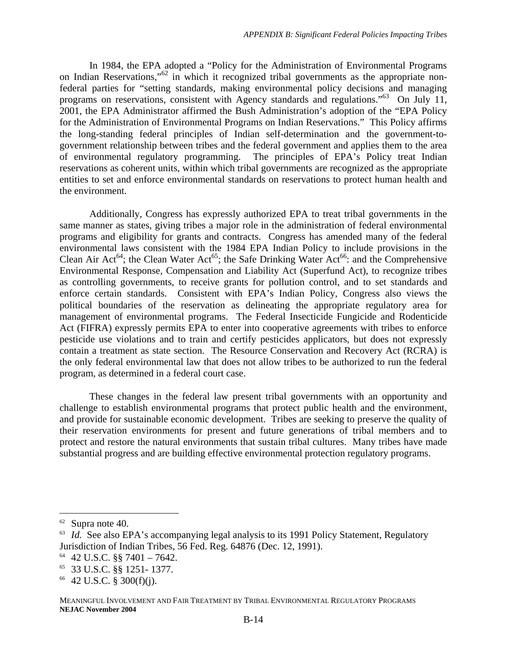In 1984, the EPA adopted a "Policy for the Administration of Environmental Programs on Indian Reservations,"62 in which it recognized tribal governments as the appropriate nonfederal parties for "setting standards, making environmental policy decisions and managing programs on reservations, consistent with Agency standards and regulations.<sup>"63</sup> On July 11, 2001, the EPA Administrator affirmed the Bush Administration's adoption of the "EPA Policy for the Administration of Environmental Programs on Indian Reservations." This Policy affirms the long-standing federal principles of Indian self-determination and the government-togovernment relationship between tribes and the federal government and applies them to the area of environmental regulatory programming. The principles of EPA's Policy treat Indian reservations as coherent units, within which tribal governments are recognized as the appropriate entities to set and enforce environmental standards on reservations to protect human health and the environment.

Additionally, Congress has expressly authorized EPA to treat tribal governments in the same manner as states, giving tribes a major role in the administration of federal environmental programs and eligibility for grants and contracts. Congress has amended many of the federal environmental laws consistent with the 1984 EPA Indian Policy to include provisions in the Clean Air Act<sup>64</sup>; the Clean Water Act<sup>65</sup>; the Safe Drinking Water Act<sup>66</sup>: and the Comprehensive Environmental Response, Compensation and Liability Act (Superfund Act), to recognize tribes as controlling governments, to receive grants for pollution control, and to set standards and enforce certain standards. Consistent with EPA's Indian Policy, Congress also views the political boundaries of the reservation as delineating the appropriate regulatory area for management of environmental programs. The Federal Insecticide Fungicide and Rodenticide Act (FIFRA) expressly permits EPA to enter into cooperative agreements with tribes to enforce pesticide use violations and to train and certify pesticides applicators, but does not expressly contain a treatment as state section. The Resource Conservation and Recovery Act (RCRA) is the only federal environmental law that does not allow tribes to be authorized to run the federal program, as determined in a federal court case.

These changes in the federal law present tribal governments with an opportunity and challenge to establish environmental programs that protect public health and the environment, and provide for sustainable economic development. Tribes are seeking to preserve the quality of their reservation environments for present and future generations of tribal members and to protect and restore the natural environments that sustain tribal cultures. Many tribes have made substantial progress and are building effective environmental protection regulatory programs.

<sup>&</sup>lt;sup>62</sup> Supra note 40.<br><sup>63</sup> *Id.* See also EPA's accompanying legal analysis to its 1991 Policy Statement, Regulatory Jurisdiction of Indian Tribes, 56 Fed. Reg. 64876 (Dec. 12, 1991).<br>
<sup>64</sup> 42 U.S.C. §§ 7401 – 7642.<br>
<sup>65</sup> 33 U.S.C. §§ 1251- 1377.<br>
<sup>66</sup> 42 U.S.C. § 300(f)(j).

MEANINGFUL INVOLVEMENT AND FAIR TREATMENT BY TRIBAL ENVIRONMENTAL REGULATORY PROGRAMS **NEJAC November 2004**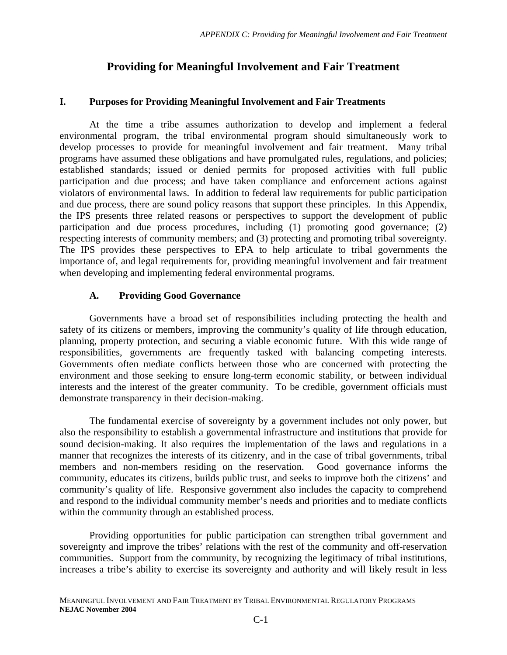# **Providing for Meaningful Involvement and Fair Treatment**

# **I. Purposes for Providing Meaningful Involvement and Fair Treatments**

At the time a tribe assumes authorization to develop and implement a federal environmental program, the tribal environmental program should simultaneously work to develop processes to provide for meaningful involvement and fair treatment. Many tribal programs have assumed these obligations and have promulgated rules, regulations, and policies; established standards; issued or denied permits for proposed activities with full public participation and due process; and have taken compliance and enforcement actions against violators of environmental laws. In addition to federal law requirements for public participation and due process, there are sound policy reasons that support these principles. In this Appendix, the IPS presents three related reasons or perspectives to support the development of public participation and due process procedures, including (1) promoting good governance; (2) respecting interests of community members; and (3) protecting and promoting tribal sovereignty. The IPS provides these perspectives to EPA to help articulate to tribal governments the importance of, and legal requirements for, providing meaningful involvement and fair treatment when developing and implementing federal environmental programs.

# **A. Providing Good Governance**

Governments have a broad set of responsibilities including protecting the health and safety of its citizens or members, improving the community's quality of life through education, planning, property protection, and securing a viable economic future. With this wide range of responsibilities, governments are frequently tasked with balancing competing interests. Governments often mediate conflicts between those who are concerned with protecting the environment and those seeking to ensure long-term economic stability, or between individual interests and the interest of the greater community. To be credible, government officials must demonstrate transparency in their decision-making.

The fundamental exercise of sovereignty by a government includes not only power, but also the responsibility to establish a governmental infrastructure and institutions that provide for sound decision-making. It also requires the implementation of the laws and regulations in a manner that recognizes the interests of its citizenry, and in the case of tribal governments, tribal members and non-members residing on the reservation. Good governance informs the community, educates its citizens, builds public trust, and seeks to improve both the citizens' and community's quality of life. Responsive government also includes the capacity to comprehend and respond to the individual community member's needs and priorities and to mediate conflicts within the community through an established process.

Providing opportunities for public participation can strengthen tribal government and sovereignty and improve the tribes' relations with the rest of the community and off-reservation communities. Support from the community, by recognizing the legitimacy of tribal institutions, increases a tribe's ability to exercise its sovereignty and authority and will likely result in less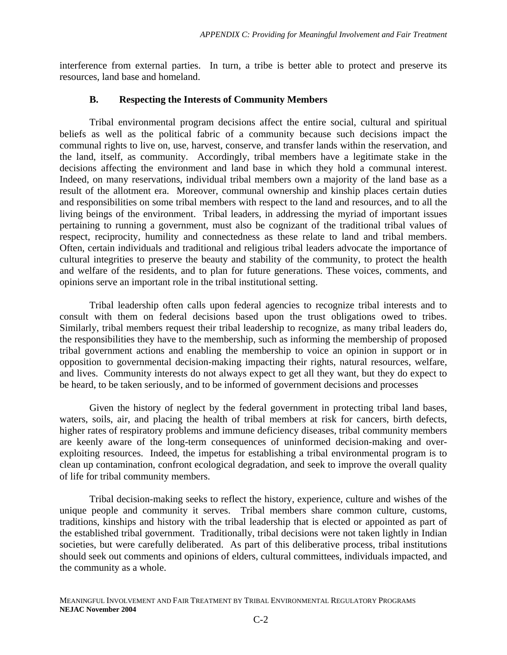interference from external parties. In turn, a tribe is better able to protect and preserve its resources, land base and homeland.

# **B. Respecting the Interests of Community Members**

Tribal environmental program decisions affect the entire social, cultural and spiritual beliefs as well as the political fabric of a community because such decisions impact the communal rights to live on, use, harvest, conserve, and transfer lands within the reservation, and the land, itself, as community. Accordingly, tribal members have a legitimate stake in the decisions affecting the environment and land base in which they hold a communal interest. Indeed, on many reservations, individual tribal members own a majority of the land base as a result of the allotment era. Moreover, communal ownership and kinship places certain duties and responsibilities on some tribal members with respect to the land and resources, and to all the living beings of the environment. Tribal leaders, in addressing the myriad of important issues pertaining to running a government, must also be cognizant of the traditional tribal values of respect, reciprocity, humility and connectedness as these relate to land and tribal members. Often, certain individuals and traditional and religious tribal leaders advocate the importance of cultural integrities to preserve the beauty and stability of the community, to protect the health and welfare of the residents, and to plan for future generations. These voices, comments, and opinions serve an important role in the tribal institutional setting.

Tribal leadership often calls upon federal agencies to recognize tribal interests and to consult with them on federal decisions based upon the trust obligations owed to tribes. Similarly, tribal members request their tribal leadership to recognize, as many tribal leaders do, the responsibilities they have to the membership, such as informing the membership of proposed tribal government actions and enabling the membership to voice an opinion in support or in opposition to governmental decision-making impacting their rights, natural resources, welfare, and lives. Community interests do not always expect to get all they want, but they do expect to be heard, to be taken seriously, and to be informed of government decisions and processes

Given the history of neglect by the federal government in protecting tribal land bases, waters, soils, air, and placing the health of tribal members at risk for cancers, birth defects, higher rates of respiratory problems and immune deficiency diseases, tribal community members are keenly aware of the long-term consequences of uninformed decision-making and overexploiting resources. Indeed, the impetus for establishing a tribal environmental program is to clean up contamination, confront ecological degradation, and seek to improve the overall quality of life for tribal community members.

Tribal decision-making seeks to reflect the history, experience, culture and wishes of the unique people and community it serves. Tribal members share common culture, customs, traditions, kinships and history with the tribal leadership that is elected or appointed as part of the established tribal government. Traditionally, tribal decisions were not taken lightly in Indian societies, but were carefully deliberated. As part of this deliberative process, tribal institutions should seek out comments and opinions of elders, cultural committees, individuals impacted, and the community as a whole.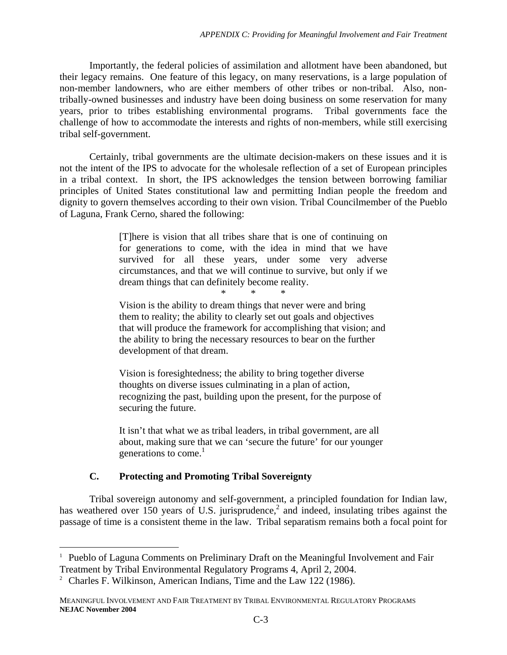Importantly, the federal policies of assimilation and allotment have been abandoned, but their legacy remains. One feature of this legacy, on many reservations, is a large population of non-member landowners, who are either members of other tribes or non-tribal. Also, nontribally-owned businesses and industry have been doing business on some reservation for many years, prior to tribes establishing environmental programs. Tribal governments face the challenge of how to accommodate the interests and rights of non-members, while still exercising tribal self-government.

Certainly, tribal governments are the ultimate decision-makers on these issues and it is not the intent of the IPS to advocate for the wholesale reflection of a set of European principles in a tribal context. In short, the IPS acknowledges the tension between borrowing familiar principles of United States constitutional law and permitting Indian people the freedom and dignity to govern themselves according to their own vision. Tribal Councilmember of the Pueblo of Laguna, Frank Cerno, shared the following:

> [T]here is vision that all tribes share that is one of continuing on for generations to come, with the idea in mind that we have survived for all these years, under some very adverse circumstances, and that we will continue to survive, but only if we dream things that can definitely become reality.

> \* \* \* Vision is the ability to dream things that never were and bring them to reality; the ability to clearly set out goals and objectives that will produce the framework for accomplishing that vision; and the ability to bring the necessary resources to bear on the further development of that dream.

Vision is foresightedness; the ability to bring together diverse thoughts on diverse issues culminating in a plan of action, recognizing the past, building upon the present, for the purpose of securing the future.

It isn't that what we as tribal leaders, in tribal government, are all about, making sure that we can 'secure the future' for our younger generations to come.<sup>1</sup>

# **C. Protecting and Promoting Tribal Sovereignty**

Tribal sovereign autonomy and self-government, a principled foundation for Indian law, has weathered over 150 years of U.S. jurisprudence,<sup>2</sup> and indeed, insulating tribes against the passage of time is a consistent theme in the law. Tribal separatism remains both a focal point for

<sup>&</sup>lt;sup>1</sup> Pueblo of Laguna Comments on Preliminary Draft on the Meaningful Involvement and Fair Treatment by Tribal Environmental Regulatory Programs 4, April 2, 2004.<br><sup>2</sup> Charles F. Wilkinson, American Indians, Time and the Law 122 (1986).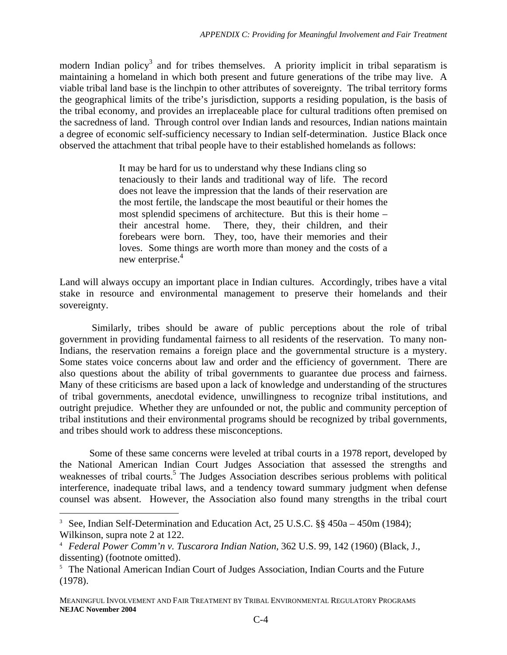modern Indian policy<sup>3</sup> and for tribes themselves. A priority implicit in tribal separatism is maintaining a homeland in which both present and future generations of the tribe may live. A viable tribal land base is the linchpin to other attributes of sovereignty. The tribal territory forms the geographical limits of the tribe's jurisdiction, supports a residing population, is the basis of the tribal economy, and provides an irreplaceable place for cultural traditions often premised on the sacredness of land. Through control over Indian lands and resources, Indian nations maintain a degree of economic self-sufficiency necessary to Indian self-determination. Justice Black once observed the attachment that tribal people have to their established homelands as follows:

> It may be hard for us to understand why these Indians cling so tenaciously to their lands and traditional way of life. The record does not leave the impression that the lands of their reservation are the most fertile, the landscape the most beautiful or their homes the most splendid specimens of architecture. But this is their home – their ancestral home. There, they, their children, and their forebears were born. They, too, have their memories and their loves. Some things are worth more than money and the costs of a new enterprise.<sup>4</sup>

Land will always occupy an important place in Indian cultures. Accordingly, tribes have a vital stake in resource and environmental management to preserve their homelands and their sovereignty.

Similarly, tribes should be aware of public perceptions about the role of tribal government in providing fundamental fairness to all residents of the reservation. To many non-Indians, the reservation remains a foreign place and the governmental structure is a mystery. Some states voice concerns about law and order and the efficiency of government. There are also questions about the ability of tribal governments to guarantee due process and fairness. Many of these criticisms are based upon a lack of knowledge and understanding of the structures of tribal governments, anecdotal evidence, unwillingness to recognize tribal institutions, and outright prejudice. Whether they are unfounded or not, the public and community perception of tribal institutions and their environmental programs should be recognized by tribal governments, and tribes should work to address these misconceptions.

Some of these same concerns were leveled at tribal courts in a 1978 report, developed by the National American Indian Court Judges Association that assessed the strengths and weaknesses of tribal courts.<sup>5</sup> The Judges Association describes serious problems with political interference, inadequate tribal laws, and a tendency toward summary judgment when defense counsel was absent. However, the Association also found many strengths in the tribal court

<sup>&</sup>lt;sup>3</sup> See, Indian Self-Determination and Education Act, 25 U.S.C. §§ 450a – 450m (1984); Wilkinson, supra note 2 at 122.

<sup>4</sup>*Federal Power Comm'n v. Tuscarora Indian Nation,* 362 U.S. 99, 142 (1960) (Black, J., dissenting) (footnote omitted).

<sup>&</sup>lt;sup>5</sup> The National American Indian Court of Judges Association, Indian Courts and the Future (1978).

MEANINGFUL INVOLVEMENT AND FAIR TREATMENT BY TRIBAL ENVIRONMENTAL REGULATORY PROGRAMS **NEJAC November 2004**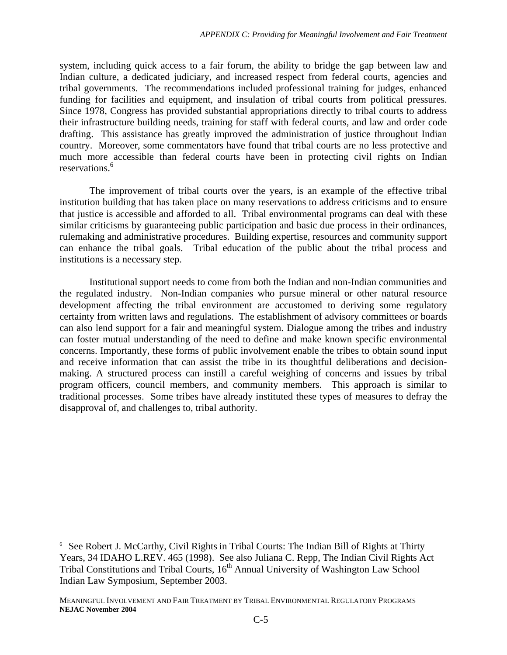system, including quick access to a fair forum, the ability to bridge the gap between law and Indian culture, a dedicated judiciary, and increased respect from federal courts, agencies and tribal governments. The recommendations included professional training for judges, enhanced funding for facilities and equipment, and insulation of tribal courts from political pressures. Since 1978, Congress has provided substantial appropriations directly to tribal courts to address their infrastructure building needs, training for staff with federal courts, and law and order code drafting. This assistance has greatly improved the administration of justice throughout Indian country. Moreover, some commentators have found that tribal courts are no less protective and much more accessible than federal courts have been in protecting civil rights on Indian reservations.<sup>6</sup>

The improvement of tribal courts over the years, is an example of the effective tribal institution building that has taken place on many reservations to address criticisms and to ensure that justice is accessible and afforded to all. Tribal environmental programs can deal with these similar criticisms by guaranteeing public participation and basic due process in their ordinances, rulemaking and administrative procedures. Building expertise, resources and community support can enhance the tribal goals. Tribal education of the public about the tribal process and institutions is a necessary step.

Institutional support needs to come from both the Indian and non-Indian communities and the regulated industry. Non-Indian companies who pursue mineral or other natural resource development affecting the tribal environment are accustomed to deriving some regulatory certainty from written laws and regulations. The establishment of advisory committees or boards can also lend support for a fair and meaningful system. Dialogue among the tribes and industry can foster mutual understanding of the need to define and make known specific environmental concerns. Importantly, these forms of public involvement enable the tribes to obtain sound input and receive information that can assist the tribe in its thoughtful deliberations and decisionmaking. A structured process can instill a careful weighing of concerns and issues by tribal program officers, council members, and community members. This approach is similar to traditional processes. Some tribes have already instituted these types of measures to defray the disapproval of, and challenges to, tribal authority.

 $6$  See Robert J. McCarthy, Civil Rights in Tribal Courts: The Indian Bill of Rights at Thirty Years, 34 IDAHO L.REV. 465 (1998). See also Juliana C. Repp, The Indian Civil Rights Act Tribal Constitutions and Tribal Courts, 16th Annual University of Washington Law School Indian Law Symposium, September 2003.

MEANINGFUL INVOLVEMENT AND FAIR TREATMENT BY TRIBAL ENVIRONMENTAL REGULATORY PROGRAMS **NEJAC November 2004**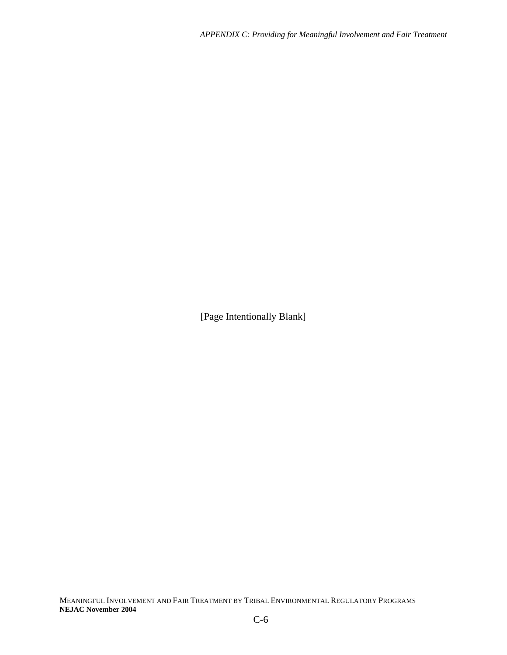[Page Intentionally Blank]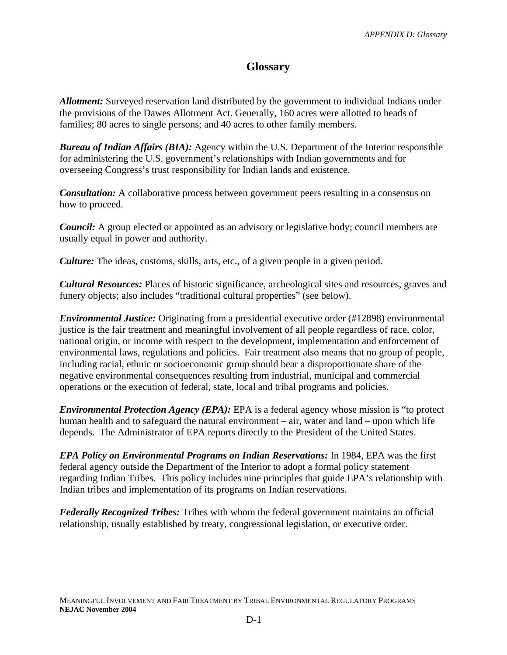# **Glossary**

*Allotment:* Surveyed reservation land distributed by the government to individual Indians under the provisions of the Dawes Allotment Act. Generally, 160 acres were allotted to heads of families; 80 acres to single persons; and 40 acres to other family members.

*Bureau of Indian Affairs (BIA):* Agency within the U.S. Department of the Interior responsible for administering the U.S. government's relationships with Indian governments and for overseeing Congress's trust responsibility for Indian lands and existence.

*Consultation:* A collaborative process between government peers resulting in a consensus on how to proceed.

*Council:* A group elected or appointed as an advisory or legislative body; council members are usually equal in power and authority.

*Culture:* The ideas, customs, skills, arts, etc., of a given people in a given period.

*Cultural Resources:* Places of historic significance, archeological sites and resources, graves and funery objects; also includes "traditional cultural properties" (see below).

*Environmental Justice:* Originating from a presidential executive order (#12898) environmental justice is the fair treatment and meaningful involvement of all people regardless of race, color, national origin, or income with respect to the development, implementation and enforcement of environmental laws, regulations and policies. Fair treatment also means that no group of people, including racial, ethnic or socioeconomic group should bear a disproportionate share of the negative environmental consequences resulting from industrial, municipal and commercial operations or the execution of federal, state, local and tribal programs and policies.

*Environmental Protection Agency (EPA):* EPA is a federal agency whose mission is "to protect human health and to safeguard the natural environment – air, water and land – upon which life depends. The Administrator of EPA reports directly to the President of the United States.

*EPA Policy on Environmental Programs on Indian Reservations:* In 1984, EPA was the first federal agency outside the Department of the Interior to adopt a formal policy statement regarding Indian Tribes. This policy includes nine principles that guide EPA's relationship with Indian tribes and implementation of its programs on Indian reservations.

*Federally Recognized Tribes:* Tribes with whom the federal government maintains an official relationship, usually established by treaty, congressional legislation, or executive order.